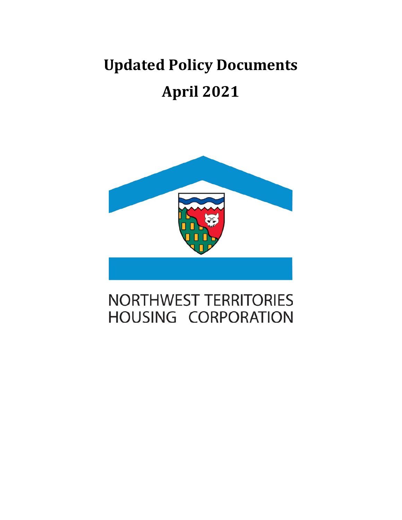# **Updated Policy Documents April 2021**



## **NORTHWEST TERRITORIES HOUSING CORPORATION**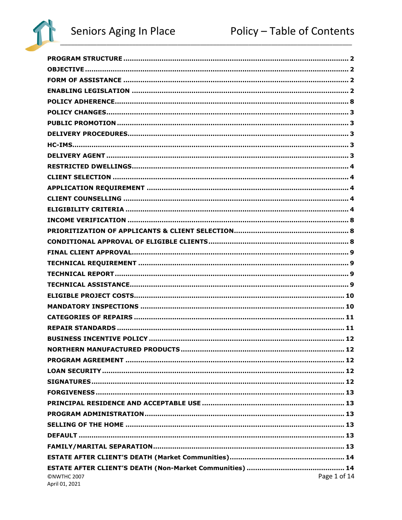| Page 1 of 14<br><b>©NWTHC 2007</b><br>April 01, 2021 |
|------------------------------------------------------|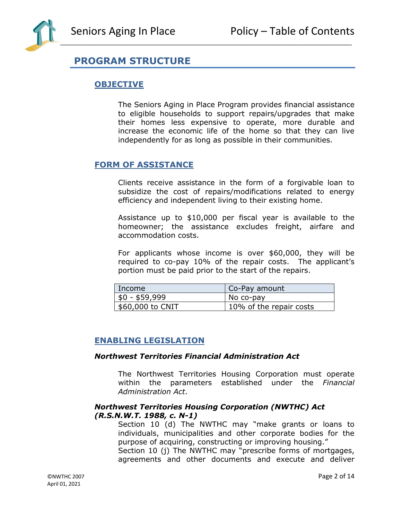

## <span id="page-2-1"></span><span id="page-2-0"></span>**PROGRAM STRUCTURE**

#### **OBJECTIVE**

The Seniors Aging in Place Program provides financial assistance to eligible households to support repairs/upgrades that make their homes less expensive to operate, more durable and increase the economic life of the home so that they can live independently for as long as possible in their communities.

#### <span id="page-2-2"></span>**FORM OF ASSISTANCE**

Clients receive assistance in the form of a forgivable loan to subsidize the cost of repairs/modifications related to energy efficiency and independent living to their existing home.

Assistance up to \$10,000 per fiscal year is available to the homeowner; the assistance excludes freight, airfare and accommodation costs.

For applicants whose income is over \$60,000, they will be required to co-pay 10% of the repair costs. The applicant's portion must be paid prior to the start of the repairs.

| Income           | Co-Pay amount           |
|------------------|-------------------------|
| $$0 - $59,999$   | No co-pay               |
| \$60,000 to CNIT | 10% of the repair costs |

#### <span id="page-2-3"></span>**ENABLING LEGISLATION**

#### *Northwest Territories Financial Administration Act*

The Northwest Territories Housing Corporation must operate within the parameters established under the *Financial Administration Act*.

#### *Northwest Territories Housing Corporation (NWTHC) Act (R.S.N.W.T. 1988, c. N-1)*

Section 10 (d) The NWTHC may "make grants or loans to individuals, municipalities and other corporate bodies for the purpose of acquiring, constructing or improving housing."

Section 10 (j) The NWTHC may "prescribe forms of mortgages, agreements and other documents and execute and deliver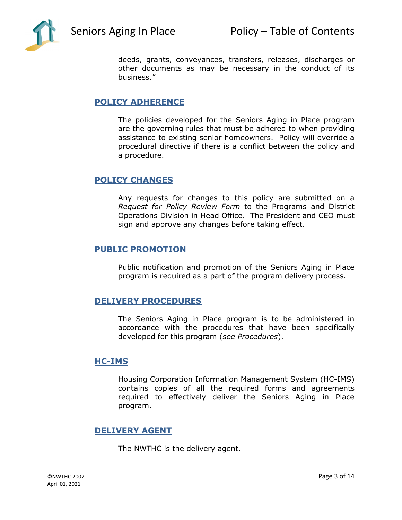

deeds, grants, conveyances, transfers, releases, discharges or other documents as may be necessary in the conduct of its business."

 $\bullet$  , and the contribution of the contribution of the contribution of  $\bullet$  , and  $\bullet$ 

#### **POLICY ADHERENCE**

The policies developed for the Seniors Aging in Place program are the governing rules that must be adhered to when providing assistance to existing senior homeowners. Policy will override a procedural directive if there is a conflict between the policy and a procedure.

#### <span id="page-3-0"></span>**POLICY CHANGES**

Any requests for changes to this policy are submitted on a *Request for Policy Review Form* to the Programs and District Operations Division in Head Office. The President and CEO must sign and approve any changes before taking effect.

#### <span id="page-3-1"></span>**PUBLIC PROMOTION**

Public notification and promotion of the Seniors Aging in Place program is required as a part of the program delivery process.

#### <span id="page-3-2"></span>**DELIVERY PROCEDURES**

The Seniors Aging in Place program is to be administered in accordance with the procedures that have been specifically developed for this program (*see Procedures*).

#### <span id="page-3-3"></span>**HC-IMS**

Housing Corporation Information Management System (HC-IMS) contains copies of all the required forms and agreements required to effectively deliver the Seniors Aging in Place program.

#### <span id="page-3-4"></span>**DELIVERY AGENT**

The NWTHC is the delivery agent.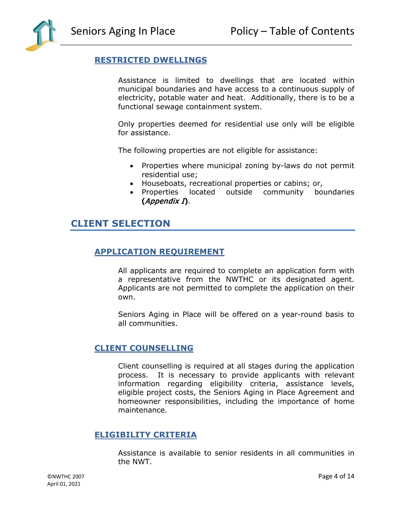

Assistance is limited to dwellings that are located within municipal boundaries and have access to a continuous supply of electricity, potable water and heat. Additionally, there is to be a functional sewage containment system.

Only properties deemed for residential use only will be eligible for assistance.

The following properties are not eligible for assistance:

<span id="page-4-0"></span> $\bullet$  , and the contribution of the contribution of the contribution of  $\bullet$  , and  $\bullet$ 

- Properties where municipal zoning by-laws do not permit residential use;
- Houseboats, recreational properties or cabins; or,
- Properties located outside community boundaries **(**Appendix I**)**.

## <span id="page-4-2"></span><span id="page-4-1"></span>**CLIENT SELECTION**

## **APPLICATION REQUIREMENT**

All applicants are required to complete an application form with a representative from the NWTHC or its designated agent. Applicants are not permitted to complete the application on their own.

Seniors Aging in Place will be offered on a year-round basis to all communities.

#### <span id="page-4-3"></span>**CLIENT COUNSELLING**

Client counselling is required at all stages during the application process. It is necessary to provide applicants with relevant information regarding eligibility criteria, assistance levels, eligible project costs, the Seniors Aging in Place Agreement and homeowner responsibilities, including the importance of home maintenance.

### <span id="page-4-4"></span>**ELIGIBILITY CRITERIA**

Assistance is available to senior residents in all communities in the NWT.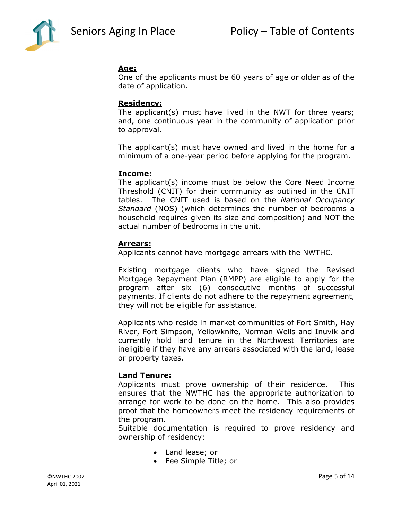#### **Age:**

One of the applicants must be 60 years of age or older as of the date of application.

 $\bullet$  , and the contribution of the contribution of the contribution of  $\bullet$  , and  $\bullet$ 

#### **Residency:**

The applicant(s) must have lived in the NWT for three years; and, one continuous year in the community of application prior to approval.

The applicant(s) must have owned and lived in the home for a minimum of a one-year period before applying for the program.

#### **Income:**

The applicant(s) income must be below the Core Need Income Threshold (CNIT) for their community as outlined in the CNIT tables. The CNIT used is based on the *National Occupancy Standard* (NOS) (which determines the number of bedrooms a household requires given its size and composition) and NOT the actual number of bedrooms in the unit.

#### **Arrears:**

Applicants cannot have mortgage arrears with the NWTHC.

Existing mortgage clients who have signed the Revised Mortgage Repayment Plan (RMPP) are eligible to apply for the program after six (6) consecutive months of successful payments. If clients do not adhere to the repayment agreement, they will not be eligible for assistance.

Applicants who reside in market communities of Fort Smith, Hay River, Fort Simpson, Yellowknife, Norman Wells and Inuvik and currently hold land tenure in the Northwest Territories are ineligible if they have any arrears associated with the land, lease or property taxes.

#### **Land Tenure:**

Applicants must prove ownership of their residence. This ensures that the NWTHC has the appropriate authorization to arrange for work to be done on the home. This also provides proof that the homeowners meet the residency requirements of the program.

Suitable documentation is required to prove residency and ownership of residency:

- Land lease; or
- Fee Simple Title; or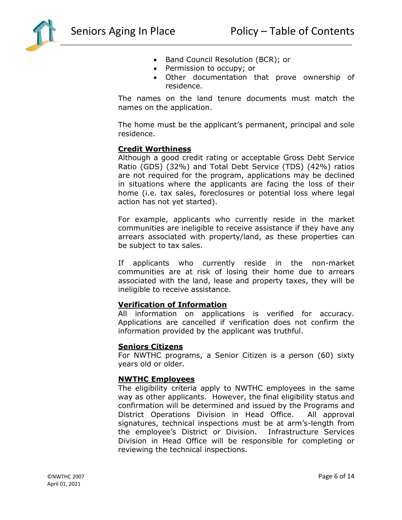

- Band Council Resolution (BCR); or
- Permission to occupy; or
- Other documentation that prove ownership of residence.

The names on the land tenure documents must match the names on the application.

The home must be the applicant's permanent, principal and sole residence.

#### **Credit Worthiness**

Although a good credit rating or acceptable Gross Debt Service Ratio (GDS) (32%) and Total Debt Service (TDS) (42%) ratios are not required for the program, applications may be declined in situations where the applicants are facing the loss of their home (i.e. tax sales, foreclosures or potential loss where legal action has not yet started).

For example, applicants who currently reside in the market communities are ineligible to receive assistance if they have any arrears associated with property/land, as these properties can be subject to tax sales.

If applicants who currently reside in the non-market communities are at risk of losing their home due to arrears associated with the land, lease and property taxes, they will be ineligible to receive assistance.

#### **Verification of Information**

All information on applications is verified for accuracy. Applications are cancelled if verification does not confirm the information provided by the applicant was truthful.

#### **Seniors Citizens**

For NWTHC programs, a Senior Citizen is a person (60) sixty years old or older.

#### **NWTHC Employees**

The eligibility criteria apply to NWTHC employees in the same way as other applicants. However, the final eligibility status and confirmation will be determined and issued by the Programs and District Operations Division in Head Office. All approval signatures, technical inspections must be at arm's-length from the employee's District or Division. Infrastructure Services Division in Head Office will be responsible for completing or reviewing the technical inspections.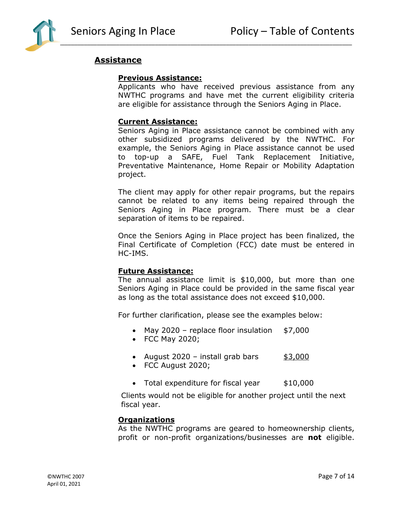



#### **Assistance**

#### **Previous Assistance:**

Applicants who have received previous assistance from any NWTHC programs and have met the current eligibility criteria are eligible for assistance through the Seniors Aging in Place.

#### **Current Assistance:**

Seniors Aging in Place assistance cannot be combined with any other subsidized programs delivered by the NWTHC. For example, the Seniors Aging in Place assistance cannot be used to top-up a SAFE, Fuel Tank Replacement Initiative, Preventative Maintenance, Home Repair or Mobility Adaptation project.

The client may apply for other repair programs, but the repairs cannot be related to any items being repaired through the Seniors Aging in Place program. There must be a clear separation of items to be repaired.

Once the Seniors Aging in Place project has been finalized, the Final Certificate of Completion (FCC) date must be entered in HC-IMS.

#### **Future Assistance:**

The annual assistance limit is \$10,000, but more than one Seniors Aging in Place could be provided in the same fiscal year as long as the total assistance does not exceed \$10,000.

For further clarification, please see the examples below:

- May 2020 replace floor insulation \$7,000
- FCC May 2020;
- August 2020 install grab bars  $$3,000$
- FCC August 2020;
- Total expenditure for fiscal year \$10,000

Clients would not be eligible for another project until the next fiscal year.

#### **Organizations**

As the NWTHC programs are geared to homeownership clients, profit or non-profit organizations/businesses are **not** eligible.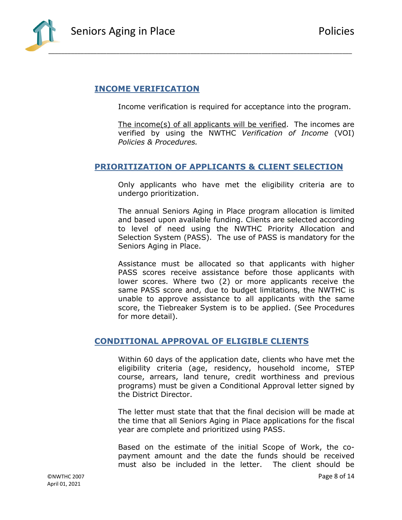<span id="page-8-0"></span>



## <span id="page-8-1"></span>**INCOME VERIFICATION**

Income verification is required for acceptance into the program.

The income(s) of all applicants will be verified. The incomes are verified by using the NWTHC *Verification of Income* (VOI) *Policies & Procedures.*

#### <span id="page-8-2"></span>**PRIORITIZATION OF APPLICANTS & CLIENT SELECTION**

Only applicants who have met the eligibility criteria are to undergo prioritization.

The annual Seniors Aging in Place program allocation is limited and based upon available funding. Clients are selected according to level of need using the NWTHC Priority Allocation and Selection System (PASS). The use of PASS is mandatory for the Seniors Aging in Place.

Assistance must be allocated so that applicants with higher PASS scores receive assistance before those applicants with lower scores. Where two (2) or more applicants receive the same PASS score and, due to budget limitations, the NWTHC is unable to approve assistance to all applicants with the same score, the Tiebreaker System is to be applied. (See Procedures for more detail).

#### <span id="page-8-3"></span>**CONDITIONAL APPROVAL OF ELIGIBLE CLIENTS**

Within 60 days of the application date, clients who have met the eligibility criteria (age, residency, household income, STEP course, arrears, land tenure, credit worthiness and previous programs) must be given a Conditional Approval letter signed by the District Director.

The letter must state that that the final decision will be made at the time that all Seniors Aging in Place applications for the fiscal year are complete and prioritized using PASS.

Based on the estimate of the initial Scope of Work, the copayment amount and the date the funds should be received must also be included in the letter. The client should be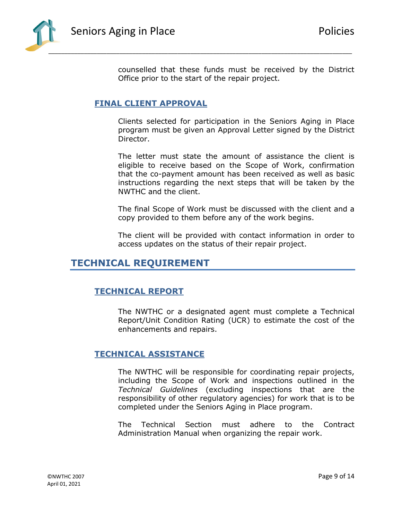

counselled that these funds must be received by the District Office prior to the start of the repair project.

<span id="page-9-0"></span>\_\_\_\_\_\_\_\_\_\_\_\_\_\_\_\_\_\_\_\_\_\_\_\_\_\_\_\_\_\_\_\_\_\_\_\_\_\_\_\_\_\_\_\_\_\_\_\_\_\_\_\_\_\_\_\_\_\_\_\_\_\_\_\_\_\_\_\_\_\_\_\_\_\_\_\_\_\_\_\_\_\_\_\_\_\_\_\_\_\_\_\_\_\_

## **FINAL CLIENT APPROVAL**

Clients selected for participation in the Seniors Aging in Place program must be given an Approval Letter signed by the District Director.

The letter must state the amount of assistance the client is eligible to receive based on the Scope of Work, confirmation that the co-payment amount has been received as well as basic instructions regarding the next steps that will be taken by the NWTHC and the client.

The final Scope of Work must be discussed with the client and a copy provided to them before any of the work begins.

The client will be provided with contact information in order to access updates on the status of their repair project.

## <span id="page-9-2"></span><span id="page-9-1"></span>**TECHNICAL REQUIREMENT**

## **TECHNICAL REPORT**

The NWTHC or a designated agent must complete a Technical Report/Unit Condition Rating (UCR) to estimate the cost of the enhancements and repairs.

### <span id="page-9-3"></span>**TECHNICAL ASSISTANCE**

The NWTHC will be responsible for coordinating repair projects, including the Scope of Work and inspections outlined in the *Technical Guidelines* (excluding inspections that are the responsibility of other regulatory agencies) for work that is to be completed under the Seniors Aging in Place program.

The Technical Section must adhere to the Contract Administration Manual when organizing the repair work.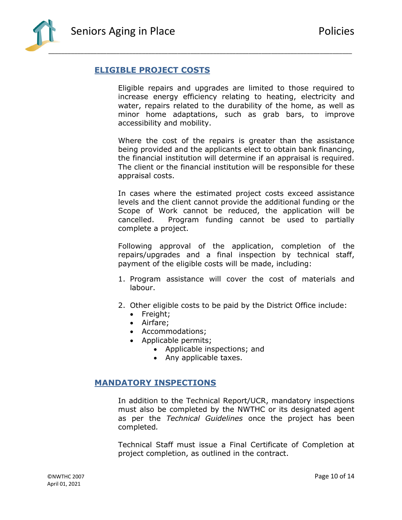

## <span id="page-10-0"></span>**ELIGIBLE PROJECT COSTS**

Eligible repairs and upgrades are limited to those required to increase energy efficiency relating to heating, electricity and water, repairs related to the durability of the home, as well as minor home adaptations, such as grab bars, to improve accessibility and mobility.

Where the cost of the repairs is greater than the assistance being provided and the applicants elect to obtain bank financing, the financial institution will determine if an appraisal is required. The client or the financial institution will be responsible for these appraisal costs.

In cases where the estimated project costs exceed assistance levels and the client cannot provide the additional funding or the Scope of Work cannot be reduced, the application will be cancelled. Program funding cannot be used to partially complete a project.

Following approval of the application, completion of the repairs/upgrades and a final inspection by technical staff, payment of the eligible costs will be made, including:

- 1. Program assistance will cover the cost of materials and labour.
- 2. Other eligible costs to be paid by the District Office include:
	- Freight;
	- Airfare;
	- Accommodations;
	- Applicable permits;
		- Applicable inspections; and
		- Any applicable taxes.

#### <span id="page-10-1"></span>**MANDATORY INSPECTIONS**

In addition to the Technical Report/UCR, mandatory inspections must also be completed by the NWTHC or its designated agent as per the *Technical Guidelines* once the project has been completed*.* 

Technical Staff must issue a Final Certificate of Completion at project completion, as outlined in the contract.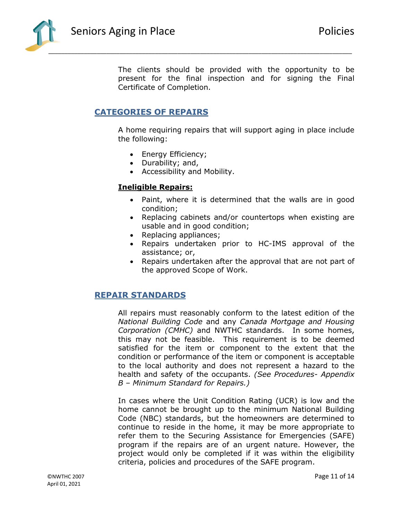

The clients should be provided with the opportunity to be present for the final inspection and for signing the Final Certificate of Completion.

## **CATEGORIES OF REPAIRS**

A home requiring repairs that will support aging in place include the following:

- Energy Efficiency;
- Durability; and,
- Accessibility and Mobility.

<span id="page-11-0"></span>\_\_\_\_\_\_\_\_\_\_\_\_\_\_\_\_\_\_\_\_\_\_\_\_\_\_\_\_\_\_\_\_\_\_\_\_\_\_\_\_\_\_\_\_\_\_\_\_\_\_\_\_\_\_\_\_\_\_\_\_\_\_\_\_\_\_\_\_\_\_\_\_\_\_\_\_\_\_\_\_\_\_\_\_\_\_\_\_\_\_\_\_\_\_

#### **Ineligible Repairs:**

- Paint, where it is determined that the walls are in good condition;
- Replacing cabinets and/or countertops when existing are usable and in good condition;
- Replacing appliances;
- Repairs undertaken prior to HC-IMS approval of the assistance; or,
- Repairs undertaken after the approval that are not part of the approved Scope of Work.

### <span id="page-11-1"></span>**REPAIR STANDARDS**

All repairs must reasonably conform to the latest edition of the *National Building Code* and any *Canada Mortgage and Housing Corporation (CMHC)* and NWTHC standards. In some homes, this may not be feasible. This requirement is to be deemed satisfied for the item or component to the extent that the condition or performance of the item or component is acceptable to the local authority and does not represent a hazard to the health and safety of the occupants. *(See Procedures- Appendix B – Minimum Standard for Repairs.)*

In cases where the Unit Condition Rating (UCR) is low and the home cannot be brought up to the minimum National Building Code (NBC) standards, but the homeowners are determined to continue to reside in the home, it may be more appropriate to refer them to the Securing Assistance for Emergencies (SAFE) program if the repairs are of an urgent nature. However, the project would only be completed if it was within the eligibility criteria, policies and procedures of the SAFE program.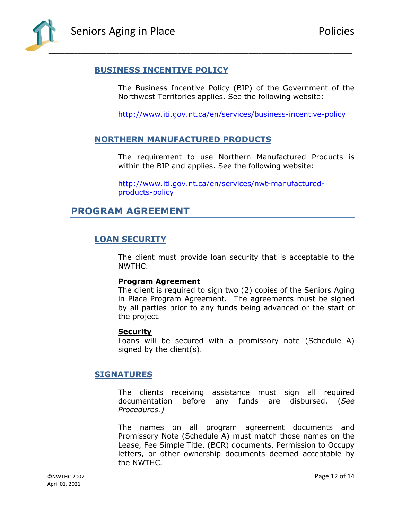

The Business Incentive Policy (BIP) of the Government of the Northwest Territories applies. See the following website:

<http://www.iti.gov.nt.ca/en/services/business-incentive-policy>

#### <span id="page-12-1"></span>**NORTHERN MANUFACTURED PRODUCTS**

<span id="page-12-0"></span>\_\_\_\_\_\_\_\_\_\_\_\_\_\_\_\_\_\_\_\_\_\_\_\_\_\_\_\_\_\_\_\_\_\_\_\_\_\_\_\_\_\_\_\_\_\_\_\_\_\_\_\_\_\_\_\_\_\_\_\_\_\_\_\_\_\_\_\_\_\_\_\_\_\_\_\_\_\_\_\_\_\_\_\_\_\_\_\_\_\_\_\_\_\_

The requirement to use Northern Manufactured Products is within the BIP and applies. See the following website:

[http://www.iti.gov.nt.ca/en/services/nwt-manufactured](http://www.iti.gov.nt.ca/en/services/nwt-manufactured-products-policy)[products-policy](http://www.iti.gov.nt.ca/en/services/nwt-manufactured-products-policy)

## <span id="page-12-3"></span><span id="page-12-2"></span>**PROGRAM AGREEMENT**

### **LOAN SECURITY**

The client must provide loan security that is acceptable to the NWTHC.

#### **Program Agreement**

The client is required to sign two (2) copies of the Seniors Aging in Place Program Agreement. The agreements must be signed by all parties prior to any funds being advanced or the start of the project.

#### **Security**

Loans will be secured with a promissory note (Schedule A) signed by the client(s).

#### <span id="page-12-4"></span>**SIGNATURES**

The clients receiving assistance must sign all required documentation before any funds are disbursed. (*See Procedures.)*

The names on all program agreement documents and Promissory Note (Schedule A) must match those names on the Lease, Fee Simple Title, (BCR) documents, Permission to Occupy letters, or other ownership documents deemed acceptable by the NWTHC.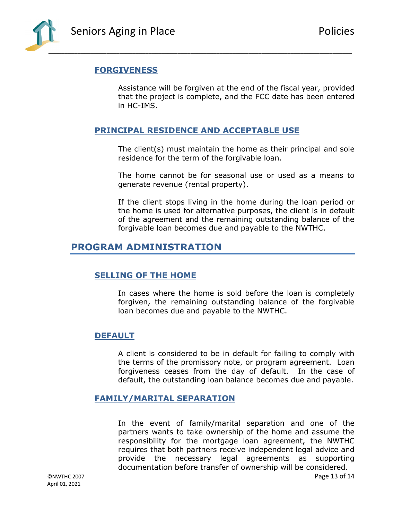

## <span id="page-13-0"></span>**FORGIVENESS**

Assistance will be forgiven at the end of the fiscal year, provided that the project is complete, and the FCC date has been entered in HC-IMS.

#### <span id="page-13-1"></span>**PRINCIPAL RESIDENCE AND ACCEPTABLE USE**

The client(s) must maintain the home as their principal and sole residence for the term of the forgivable loan.

The home cannot be for seasonal use or used as a means to generate revenue (rental property).

If the client stops living in the home during the loan period or the home is used for alternative purposes, the client is in default of the agreement and the remaining outstanding balance of the forgivable loan becomes due and payable to the NWTHC.

## <span id="page-13-3"></span><span id="page-13-2"></span>**PROGRAM ADMINISTRATION**

## **SELLING OF THE HOME**

In cases where the home is sold before the loan is completely forgiven, the remaining outstanding balance of the forgivable loan becomes due and payable to the NWTHC.

### <span id="page-13-4"></span>**DEFAULT**

A client is considered to be in default for failing to comply with the terms of the promissory note, or program agreement. Loan forgiveness ceases from the day of default. In the case of default, the outstanding loan balance becomes due and payable.

#### <span id="page-13-5"></span>**FAMILY/MARITAL SEPARATION**

In the event of family/marital separation and one of the partners wants to take ownership of the home and assume the responsibility for the mortgage loan agreement, the NWTHC requires that both partners receive independent legal advice and provide the necessary legal agreements as supporting documentation before transfer of ownership will be considered.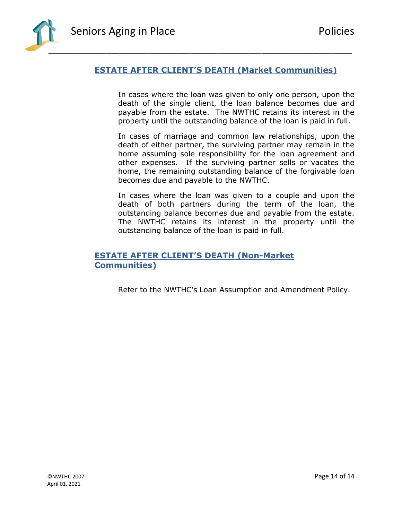

## **ESTATE AFTER CLIENT'S DEATH (Market Communities)**

<span id="page-14-0"></span>\_\_\_\_\_\_\_\_\_\_\_\_\_\_\_\_\_\_\_\_\_\_\_\_\_\_\_\_\_\_\_\_\_\_\_\_\_\_\_\_\_\_\_\_\_\_\_\_\_\_\_\_\_\_\_\_\_\_\_\_\_\_\_\_\_\_\_\_\_\_\_\_\_\_\_\_\_\_\_\_\_\_\_\_\_\_\_\_\_\_\_\_\_\_

In cases where the loan was given to only one person, upon the death of the single client, the loan balance becomes due and payable from the estate. The NWTHC retains its interest in the property until the outstanding balance of the loan is paid in full.

In cases of marriage and common law relationships, upon the death of either partner, the surviving partner may remain in the home assuming sole responsibility for the loan agreement and other expenses. If the surviving partner sells or vacates the home, the remaining outstanding balance of the forgivable loan becomes due and payable to the NWTHC.

In cases where the loan was given to a couple and upon the death of both partners during the term of the loan, the outstanding balance becomes due and payable from the estate. The NWTHC retains its interest in the property until the outstanding balance of the loan is paid in full.

#### <span id="page-14-1"></span>**ESTATE AFTER CLIENT'S DEATH (Non-Market Communities)**

Refer to the NWTHC's Loan Assumption and Amendment Policy.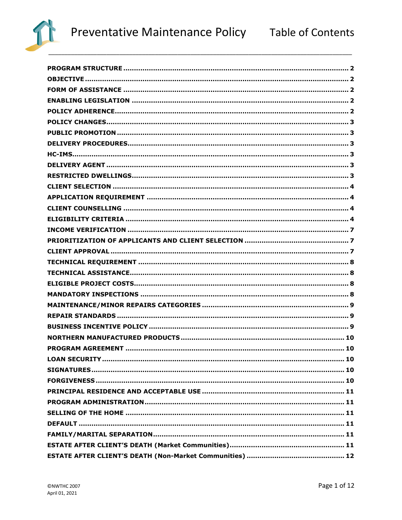## Preventative Maintenance Policy Table of Contents

| <b>LOAN SECURITY.</b> |
|-----------------------|
|                       |
|                       |
|                       |
|                       |
|                       |
|                       |
|                       |
|                       |
|                       |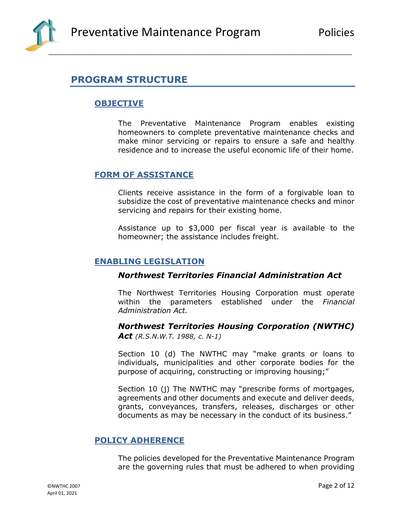<span id="page-16-0"></span>\_\_\_\_\_\_\_\_\_\_\_\_\_\_\_\_\_\_\_\_\_\_\_\_\_\_\_\_\_\_\_\_\_\_\_\_\_\_\_\_\_\_\_\_\_\_\_\_\_\_\_\_\_\_\_\_\_\_\_\_\_\_\_\_\_\_\_\_\_\_\_\_\_\_\_\_\_\_\_\_\_\_\_\_\_\_\_\_\_\_\_\_\_\_

## <span id="page-16-1"></span>**PROGRAM STRUCTURE**

## **OBJECTIVE**

The Preventative Maintenance Program enables existing homeowners to complete preventative maintenance checks and make minor servicing or repairs to ensure a safe and healthy residence and to increase the useful economic life of their home.

## <span id="page-16-2"></span>**FORM OF ASSISTANCE**

Clients receive assistance in the form of a forgivable loan to subsidize the cost of preventative maintenance checks and minor servicing and repairs for their existing home.

Assistance up to \$3,000 per fiscal year is available to the homeowner; the assistance includes freight.

## <span id="page-16-3"></span>**ENABLING LEGISLATION**

#### *Northwest Territories Financial Administration Act*

The Northwest Territories Housing Corporation must operate within the parameters established under the *Financial Administration Act.*

*Northwest Territories Housing Corporation (NWTHC) Act (R.S.N.W.T. 1988, c. N-1)*

Section 10 (d) The NWTHC may "make grants or loans to individuals, municipalities and other corporate bodies for the purpose of acquiring, constructing or improving housing;"

Section 10 (j) The NWTHC may "prescribe forms of mortgages, agreements and other documents and execute and deliver deeds, grants, conveyances, transfers, releases, discharges or other documents as may be necessary in the conduct of its business."

### <span id="page-16-4"></span>**POLICY ADHERENCE**

The policies developed for the Preventative Maintenance Program are the governing rules that must be adhered to when providing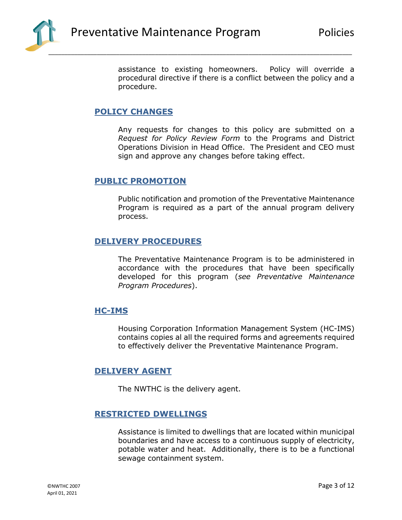

assistance to existing homeowners. Policy will override a procedural directive if there is a conflict between the policy and a procedure.

### <span id="page-17-0"></span>**POLICY CHANGES**

Any requests for changes to this policy are submitted on a *Request for Policy Review Form* to the Programs and District Operations Division in Head Office. The President and CEO must sign and approve any changes before taking effect.

#### <span id="page-17-1"></span>**PUBLIC PROMOTION**

Public notification and promotion of the Preventative Maintenance Program is required as a part of the annual program delivery process.

#### <span id="page-17-2"></span>**DELIVERY PROCEDURES**

The Preventative Maintenance Program is to be administered in accordance with the procedures that have been specifically developed for this program (*see Preventative Maintenance Program Procedures*).

#### <span id="page-17-3"></span>**HC-IMS**

Housing Corporation Information Management System (HC-IMS) contains copies al all the required forms and agreements required to effectively deliver the Preventative Maintenance Program.

#### <span id="page-17-4"></span>**DELIVERY AGENT**

The NWTHC is the delivery agent.

#### <span id="page-17-5"></span>**RESTRICTED DWELLINGS**

Assistance is limited to dwellings that are located within municipal boundaries and have access to a continuous supply of electricity, potable water and heat. Additionally, there is to be a functional sewage containment system.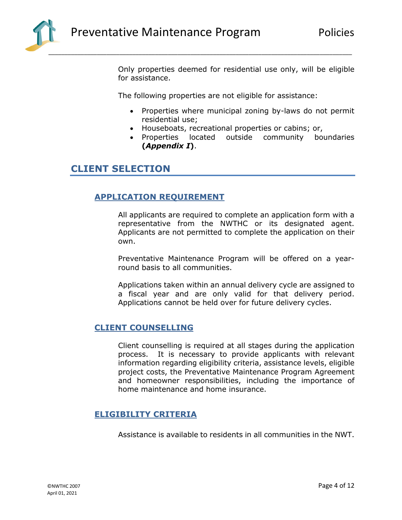

Only properties deemed for residential use only, will be eligible for assistance.

The following properties are not eligible for assistance:

\_\_\_\_\_\_\_\_\_\_\_\_\_\_\_\_\_\_\_\_\_\_\_\_\_\_\_\_\_\_\_\_\_\_\_\_\_\_\_\_\_\_\_\_\_\_\_\_\_\_\_\_\_\_\_\_\_\_\_\_\_\_\_\_\_\_\_\_\_\_\_\_\_\_\_\_\_\_\_\_\_\_\_\_\_\_\_\_\_\_\_\_\_\_

- Properties where municipal zoning by-laws do not permit residential use;
- Houseboats, recreational properties or cabins; or,
- Properties located outside community boundaries **(***Appendix I***)**.

## <span id="page-18-1"></span><span id="page-18-0"></span>**CLIENT SELECTION**

## **APPLICATION REQUIREMENT**

All applicants are required to complete an application form with a representative from the NWTHC or its designated agent. Applicants are not permitted to complete the application on their own.

Preventative Maintenance Program will be offered on a yearround basis to all communities.

Applications taken within an annual delivery cycle are assigned to a fiscal year and are only valid for that delivery period. Applications cannot be held over for future delivery cycles.

### <span id="page-18-2"></span>**CLIENT COUNSELLING**

Client counselling is required at all stages during the application process. It is necessary to provide applicants with relevant information regarding eligibility criteria, assistance levels, eligible project costs, the Preventative Maintenance Program Agreement and homeowner responsibilities, including the importance of home maintenance and home insurance.

### <span id="page-18-3"></span>**ELIGIBILITY CRITERIA**

Assistance is available to residents in all communities in the NWT.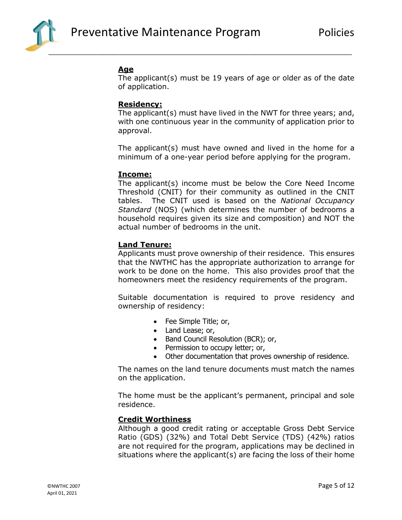

#### **Age**

The applicant(s) must be 19 years of age or older as of the date of application.

#### **Residency:**

The applicant(s) must have lived in the NWT for three years; and, with one continuous year in the community of application prior to approval.

The applicant(s) must have owned and lived in the home for a minimum of a one-year period before applying for the program.

#### **Income:**

The applicant(s) income must be below the Core Need Income Threshold (CNIT) for their community as outlined in the CNIT tables. The CNIT used is based on the *National Occupancy Standard* (NOS) (which determines the number of bedrooms a household requires given its size and composition) and NOT the actual number of bedrooms in the unit.

#### **Land Tenure:**

Applicants must prove ownership of their residence. This ensures that the NWTHC has the appropriate authorization to arrange for work to be done on the home. This also provides proof that the homeowners meet the residency requirements of the program.

Suitable documentation is required to prove residency and ownership of residency:

- Fee Simple Title; or,
- Land Lease; or,
- Band Council Resolution (BCR); or,
- Permission to occupy letter; or,
- Other documentation that proves ownership of residence.

The names on the land tenure documents must match the names on the application.

The home must be the applicant's permanent, principal and sole residence.

#### **Credit Worthiness**

Although a good credit rating or acceptable Gross Debt Service Ratio (GDS) (32%) and Total Debt Service (TDS) (42%) ratios are not required for the program, applications may be declined in situations where the applicant(s) are facing the loss of their home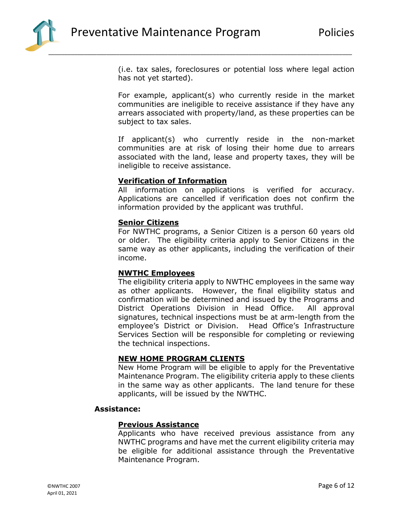

(i.e. tax sales, foreclosures or potential loss where legal action has not yet started).

For example, applicant(s) who currently reside in the market communities are ineligible to receive assistance if they have any arrears associated with property/land, as these properties can be subject to tax sales.

If applicant(s) who currently reside in the non-market communities are at risk of losing their home due to arrears associated with the land, lease and property taxes, they will be ineligible to receive assistance.

#### **Verification of Information**

All information on applications is verified for accuracy. Applications are cancelled if verification does not confirm the information provided by the applicant was truthful.

#### **Senior Citizens**

For NWTHC programs, a Senior Citizen is a person 60 years old or older. The eligibility criteria apply to Senior Citizens in the same way as other applicants, including the verification of their income.

#### **NWTHC Employees**

The eligibility criteria apply to NWTHC employees in the same way as other applicants. However, the final eligibility status and confirmation will be determined and issued by the Programs and District Operations Division in Head Office. All approval signatures, technical inspections must be at arm-length from the employee's District or Division. Head Office's Infrastructure Services Section will be responsible for completing or reviewing the technical inspections.

#### **NEW HOME PROGRAM CLIENTS**

New Home Program will be eligible to apply for the Preventative Maintenance Program. The eligibility criteria apply to these clients in the same way as other applicants. The land tenure for these applicants, will be issued by the NWTHC.

#### **Assistance:**

#### **Previous Assistance**

Applicants who have received previous assistance from any NWTHC programs and have met the current eligibility criteria may be eligible for additional assistance through the Preventative Maintenance Program.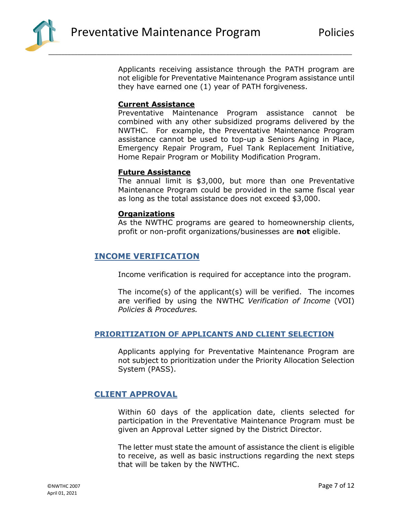

Applicants receiving assistance through the PATH program are not eligible for Preventative Maintenance Program assistance until they have earned one (1) year of PATH forgiveness.

\_\_\_\_\_\_\_\_\_\_\_\_\_\_\_\_\_\_\_\_\_\_\_\_\_\_\_\_\_\_\_\_\_\_\_\_\_\_\_\_\_\_\_\_\_\_\_\_\_\_\_\_\_\_\_\_\_\_\_\_\_\_\_\_\_\_\_\_\_\_\_\_\_\_\_\_\_\_\_\_\_\_\_\_\_\_\_\_\_\_\_\_\_\_

#### **Current Assistance**

Preventative Maintenance Program assistance cannot be combined with any other subsidized programs delivered by the NWTHC. For example, the Preventative Maintenance Program assistance cannot be used to top-up a Seniors Aging in Place, Emergency Repair Program, Fuel Tank Replacement Initiative, Home Repair Program or Mobility Modification Program.

#### **Future Assistance**

The annual limit is \$3,000, but more than one Preventative Maintenance Program could be provided in the same fiscal year as long as the total assistance does not exceed \$3,000.

#### **Organizations**

As the NWTHC programs are geared to homeownership clients, profit or non-profit organizations/businesses are **not** eligible.

#### <span id="page-21-0"></span>**INCOME VERIFICATION**

Income verification is required for acceptance into the program.

The income(s) of the applicant(s) will be verified. The incomes are verified by using the NWTHC *Verification of Income* (VOI) *Policies & Procedures.*

#### <span id="page-21-1"></span>**PRIORITIZATION OF APPLICANTS AND CLIENT SELECTION**

Applicants applying for Preventative Maintenance Program are not subject to prioritization under the Priority Allocation Selection System (PASS).

### <span id="page-21-2"></span>**CLIENT APPROVAL**

Within 60 days of the application date, clients selected for participation in the Preventative Maintenance Program must be given an Approval Letter signed by the District Director.

The letter must state the amount of assistance the client is eligible to receive, as well as basic instructions regarding the next steps that will be taken by the NWTHC.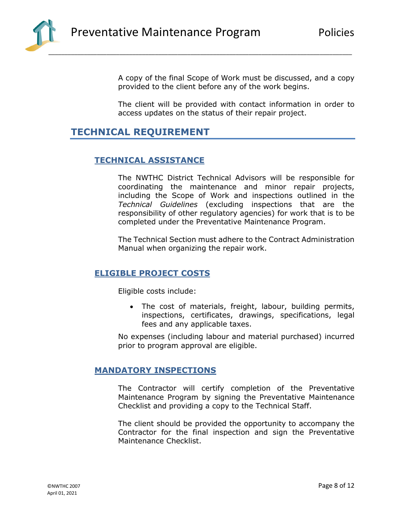

A copy of the final Scope of Work must be discussed, and a copy provided to the client before any of the work begins.

\_\_\_\_\_\_\_\_\_\_\_\_\_\_\_\_\_\_\_\_\_\_\_\_\_\_\_\_\_\_\_\_\_\_\_\_\_\_\_\_\_\_\_\_\_\_\_\_\_\_\_\_\_\_\_\_\_\_\_\_\_\_\_\_\_\_\_\_\_\_\_\_\_\_\_\_\_\_\_\_\_\_\_\_\_\_\_\_\_\_\_\_\_\_

The client will be provided with contact information in order to access updates on the status of their repair project.

## <span id="page-22-1"></span><span id="page-22-0"></span>**TECHNICAL REQUIREMENT**

## **TECHNICAL ASSISTANCE**

The NWTHC District Technical Advisors will be responsible for coordinating the maintenance and minor repair projects, including the Scope of Work and inspections outlined in the *Technical Guidelines* (excluding inspections that are the responsibility of other regulatory agencies) for work that is to be completed under the Preventative Maintenance Program.

The Technical Section must adhere to the Contract Administration Manual when organizing the repair work.

### <span id="page-22-2"></span>**ELIGIBLE PROJECT COSTS**

Eligible costs include:

• The cost of materials, freight, labour, building permits, inspections, certificates, drawings, specifications, legal fees and any applicable taxes.

No expenses (including labour and material purchased) incurred prior to program approval are eligible.

### <span id="page-22-3"></span>**MANDATORY INSPECTIONS**

The Contractor will certify completion of the Preventative Maintenance Program by signing the Preventative Maintenance Checklist and providing a copy to the Technical Staff.

The client should be provided the opportunity to accompany the Contractor for the final inspection and sign the Preventative Maintenance Checklist.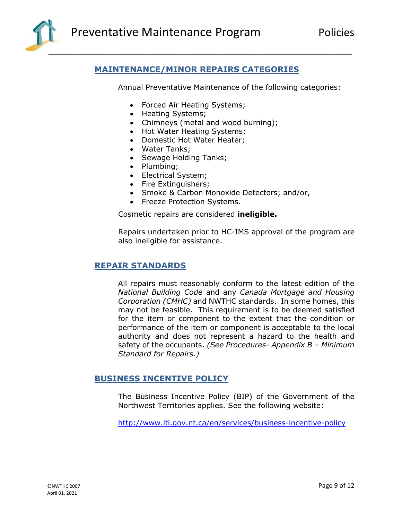

## **MAINTENANCE/MINOR REPAIRS CATEGORIES**

<span id="page-23-0"></span>\_\_\_\_\_\_\_\_\_\_\_\_\_\_\_\_\_\_\_\_\_\_\_\_\_\_\_\_\_\_\_\_\_\_\_\_\_\_\_\_\_\_\_\_\_\_\_\_\_\_\_\_\_\_\_\_\_\_\_\_\_\_\_\_\_\_\_\_\_\_\_\_\_\_\_\_\_\_\_\_\_\_\_\_\_\_\_\_\_\_\_\_\_\_

Annual Preventative Maintenance of the following categories:

- Forced Air Heating Systems;
- Heating Systems;
- Chimneys (metal and wood burning);
- Hot Water Heating Systems;
- Domestic Hot Water Heater;
- Water Tanks;
- Sewage Holding Tanks;
- Plumbing;
- Electrical System;
- Fire Extinguishers;
- Smoke & Carbon Monoxide Detectors; and/or,
- Freeze Protection Systems.

Cosmetic repairs are considered **ineligible.**

Repairs undertaken prior to HC-IMS approval of the program are also ineligible for assistance.

#### <span id="page-23-1"></span>**REPAIR STANDARDS**

All repairs must reasonably conform to the latest edition of the *National Building Code* and any *Canada Mortgage and Housing Corporation (CMHC)* and NWTHC standards. In some homes, this may not be feasible. This requirement is to be deemed satisfied for the item or component to the extent that the condition or performance of the item or component is acceptable to the local authority and does not represent a hazard to the health and safety of the occupants. *(See Procedures- Appendix B – Minimum Standard for Repairs.)*

#### <span id="page-23-2"></span>**BUSINESS INCENTIVE POLICY**

The Business Incentive Policy (BIP) of the Government of the Northwest Territories applies. See the following website:

<http://www.iti.gov.nt.ca/en/services/business-incentive-policy>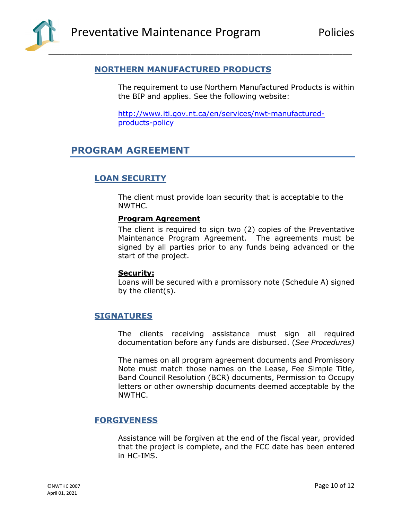## **NORTHERN MANUFACTURED PRODUCTS**

<span id="page-24-0"></span>\_\_\_\_\_\_\_\_\_\_\_\_\_\_\_\_\_\_\_\_\_\_\_\_\_\_\_\_\_\_\_\_\_\_\_\_\_\_\_\_\_\_\_\_\_\_\_\_\_\_\_\_\_\_\_\_\_\_\_\_\_\_\_\_\_\_\_\_\_\_\_\_\_\_\_\_\_\_\_\_\_\_\_\_\_\_\_\_\_\_\_\_\_\_

The requirement to use Northern Manufactured Products is within the BIP and applies. See the following website:

[http://www.iti.gov.nt.ca/en/services/nwt-manufactured](http://www.iti.gov.nt.ca/en/services/nwt-manufactured-products-policy)[products-policy](http://www.iti.gov.nt.ca/en/services/nwt-manufactured-products-policy)

## <span id="page-24-2"></span><span id="page-24-1"></span>**PROGRAM AGREEMENT**

## **LOAN SECURITY**

The client must provide loan security that is acceptable to the NWTHC.

#### **Program Agreement**

The client is required to sign two (2) copies of the Preventative Maintenance Program Agreement. The agreements must be signed by all parties prior to any funds being advanced or the start of the project.

#### **Security:**

Loans will be secured with a promissory note (Schedule A) signed by the client(s).

#### <span id="page-24-3"></span>**SIGNATURES**

The clients receiving assistance must sign all required documentation before any funds are disbursed. (*See Procedures)*

The names on all program agreement documents and Promissory Note must match those names on the Lease, Fee Simple Title, Band Council Resolution (BCR) documents, Permission to Occupy letters or other ownership documents deemed acceptable by the NWTHC.

#### <span id="page-24-4"></span>**FORGIVENESS**

Assistance will be forgiven at the end of the fiscal year, provided that the project is complete, and the FCC date has been entered in HC-IMS.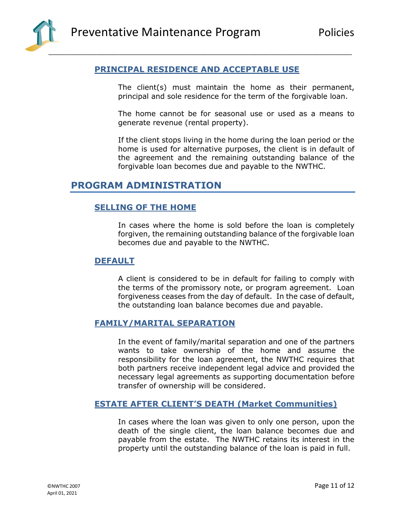#### **PRINCIPAL RESIDENCE AND ACCEPTABLE USE**

<span id="page-25-0"></span>\_\_\_\_\_\_\_\_\_\_\_\_\_\_\_\_\_\_\_\_\_\_\_\_\_\_\_\_\_\_\_\_\_\_\_\_\_\_\_\_\_\_\_\_\_\_\_\_\_\_\_\_\_\_\_\_\_\_\_\_\_\_\_\_\_\_\_\_\_\_\_\_\_\_\_\_\_\_\_\_\_\_\_\_\_\_\_\_\_\_\_\_\_\_

The client(s) must maintain the home as their permanent, principal and sole residence for the term of the forgivable loan.

The home cannot be for seasonal use or used as a means to generate revenue (rental property).

If the client stops living in the home during the loan period or the home is used for alternative purposes, the client is in default of the agreement and the remaining outstanding balance of the forgivable loan becomes due and payable to the NWTHC.

## <span id="page-25-2"></span><span id="page-25-1"></span>**PROGRAM ADMINISTRATION**

#### **SELLING OF THE HOME**

In cases where the home is sold before the loan is completely forgiven, the remaining outstanding balance of the forgivable loan becomes due and payable to the NWTHC.

#### <span id="page-25-3"></span>**DEFAULT**

A client is considered to be in default for failing to comply with the terms of the promissory note, or program agreement. Loan forgiveness ceases from the day of default. In the case of default, the outstanding loan balance becomes due and payable.

#### <span id="page-25-4"></span>**FAMILY/MARITAL SEPARATION**

In the event of family/marital separation and one of the partners wants to take ownership of the home and assume the responsibility for the loan agreement, the NWTHC requires that both partners receive independent legal advice and provided the necessary legal agreements as supporting documentation before transfer of ownership will be considered.

#### <span id="page-25-5"></span>**ESTATE AFTER CLIENT'S DEATH (Market Communities)**

In cases where the loan was given to only one person, upon the death of the single client, the loan balance becomes due and payable from the estate. The NWTHC retains its interest in the property until the outstanding balance of the loan is paid in full.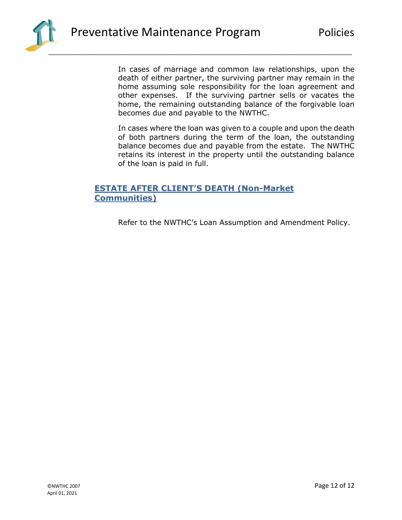In cases of marriage and common law relationships, upon the death of either partner, the surviving partner may remain in the home assuming sole responsibility for the loan agreement and other expenses. If the surviving partner sells or vacates the home, the remaining outstanding balance of the forgivable loan becomes due and payable to the NWTHC.

In cases where the loan was given to a couple and upon the death of both partners during the term of the loan, the outstanding balance becomes due and payable from the estate. The NWTHC retains its interest in the property until the outstanding balance of the loan is paid in full.

## <span id="page-26-0"></span>**ESTATE AFTER CLIENT'S DEATH (Non-Market Communities)**

\_\_\_\_\_\_\_\_\_\_\_\_\_\_\_\_\_\_\_\_\_\_\_\_\_\_\_\_\_\_\_\_\_\_\_\_\_\_\_\_\_\_\_\_\_\_\_\_\_\_\_\_\_\_\_\_\_\_\_\_\_\_\_\_\_\_\_\_\_\_\_\_\_\_\_\_\_\_\_\_\_\_\_\_\_\_\_\_\_\_\_\_\_\_

Refer to the NWTHC's Loan Assumption and Amendment Policy.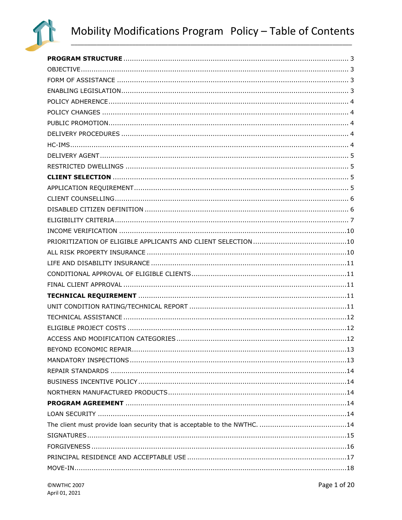

## Mobility Modifications Program Policy - Table of Contents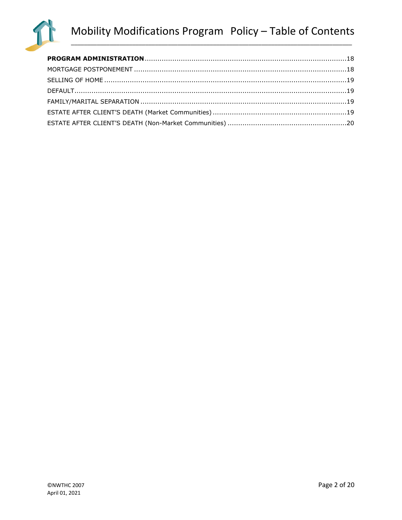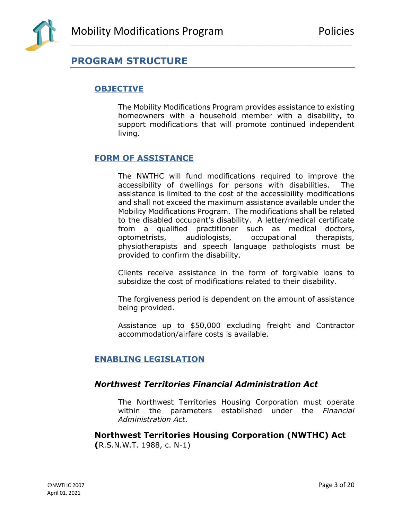

## <span id="page-29-1"></span><span id="page-29-0"></span>**PROGRAM STRUCTURE**

#### **OBJECTIVE**

The Mobility Modifications Program provides assistance to existing homeowners with a household member with a disability, to support modifications that will promote continued independent living.

\_\_\_\_\_\_\_\_\_\_\_\_\_\_\_\_\_\_\_\_\_\_\_\_\_\_\_\_\_\_\_\_\_\_\_\_\_\_\_\_\_\_\_\_\_\_\_\_\_\_\_\_\_\_\_\_\_\_\_\_\_\_\_\_\_\_\_\_\_\_\_\_\_\_\_\_\_\_\_\_\_\_\_\_\_\_\_

## <span id="page-29-2"></span>**FORM OF ASSISTANCE**

The NWTHC will fund modifications required to improve the accessibility of dwellings for persons with disabilities. The assistance is limited to the cost of the accessibility modifications and shall not exceed the maximum assistance available under the Mobility Modifications Program. The modifications shall be related to the disabled occupant's disability. A letter/medical certificate from a qualified practitioner such as medical doctors, optometrists, audiologists, occupational therapists, physiotherapists and speech language pathologists must be provided to confirm the disability.

Clients receive assistance in the form of forgivable loans to subsidize the cost of modifications related to their disability.

The forgiveness period is dependent on the amount of assistance being provided.

Assistance up to \$50,000 excluding freight and Contractor accommodation/airfare costs is available.

### <span id="page-29-3"></span>**ENABLING LEGISLATION**

#### *Northwest Territories Financial Administration Act*

The Northwest Territories Housing Corporation must operate within the parameters established under the *Financial Administration Act*.

**Northwest Territories Housing Corporation (NWTHC) Act (**R.S.N.W.T. 1988, c. N-1)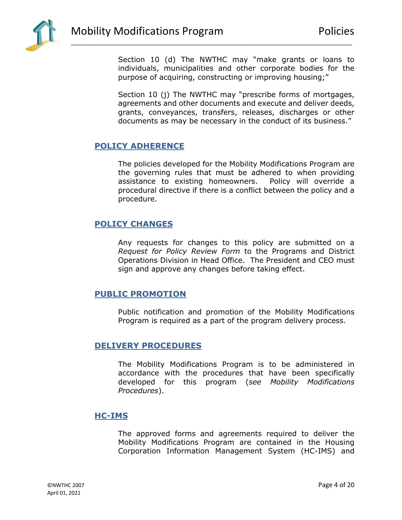

Section 10 (d) The NWTHC may "make grants or loans to individuals, municipalities and other corporate bodies for the purpose of acquiring, constructing or improving housing;"

\_\_\_\_\_\_\_\_\_\_\_\_\_\_\_\_\_\_\_\_\_\_\_\_\_\_\_\_\_\_\_\_\_\_\_\_\_\_\_\_\_\_\_\_\_\_\_\_\_\_\_\_\_\_\_\_\_\_\_\_\_\_\_\_\_\_\_\_\_\_\_\_\_\_\_\_\_\_\_\_\_\_\_\_\_\_\_

Section 10 (i) The NWTHC may "prescribe forms of mortgages, agreements and other documents and execute and deliver deeds, grants, conveyances, transfers, releases, discharges or other documents as may be necessary in the conduct of its business."

### <span id="page-30-0"></span>**POLICY ADHERENCE**

The policies developed for the Mobility Modifications Program are the governing rules that must be adhered to when providing assistance to existing homeowners. Policy will override a procedural directive if there is a conflict between the policy and a procedure.

### <span id="page-30-1"></span>**POLICY CHANGES**

Any requests for changes to this policy are submitted on a *Request for Policy Review Form* to the Programs and District Operations Division in Head Office. The President and CEO must sign and approve any changes before taking effect.

#### <span id="page-30-2"></span>**PUBLIC PROMOTION**

Public notification and promotion of the Mobility Modifications Program is required as a part of the program delivery process.

#### <span id="page-30-3"></span>**DELIVERY PROCEDURES**

The Mobility Modifications Program is to be administered in accordance with the procedures that have been specifically developed for this program (*see Mobility Modifications Procedures*).

#### <span id="page-30-4"></span>**HC-IMS**

The approved forms and agreements required to deliver the Mobility Modifications Program are contained in the Housing Corporation Information Management System (HC-IMS) and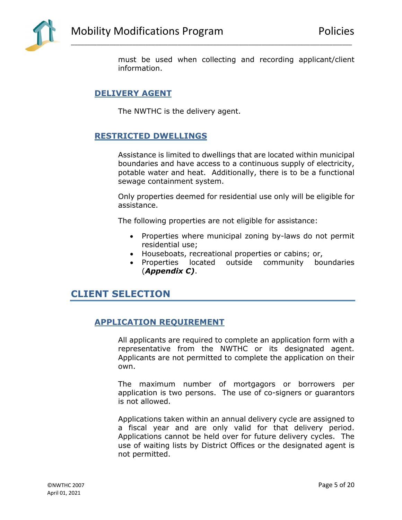

must be used when collecting and recording applicant/client information.

<span id="page-31-0"></span>\_\_\_\_\_\_\_\_\_\_\_\_\_\_\_\_\_\_\_\_\_\_\_\_\_\_\_\_\_\_\_\_\_\_\_\_\_\_\_\_\_\_\_\_\_\_\_\_\_\_\_\_\_\_\_\_\_\_\_\_\_\_\_\_\_\_\_\_\_\_\_\_\_\_\_\_\_\_\_\_\_\_\_\_\_\_\_

## **DELIVERY AGENT**

The NWTHC is the delivery agent.

#### <span id="page-31-1"></span>**RESTRICTED DWELLINGS**

Assistance is limited to dwellings that are located within municipal boundaries and have access to a continuous supply of electricity, potable water and heat. Additionally, there is to be a functional sewage containment system.

Only properties deemed for residential use only will be eligible for assistance.

The following properties are not eligible for assistance:

- Properties where municipal zoning by-laws do not permit residential use;
- Houseboats, recreational properties or cabins; or,
- Properties located outside community boundaries (*Appendix C)*.

## <span id="page-31-3"></span><span id="page-31-2"></span>**CLIENT SELECTION**

### **APPLICATION REQUIREMENT**

All applicants are required to complete an application form with a representative from the NWTHC or its designated agent. Applicants are not permitted to complete the application on their own.

The maximum number of mortgagors or borrowers per application is two persons. The use of co-signers or guarantors is not allowed.

Applications taken within an annual delivery cycle are assigned to a fiscal year and are only valid for that delivery period. Applications cannot be held over for future delivery cycles. The use of waiting lists by District Offices or the designated agent is not permitted.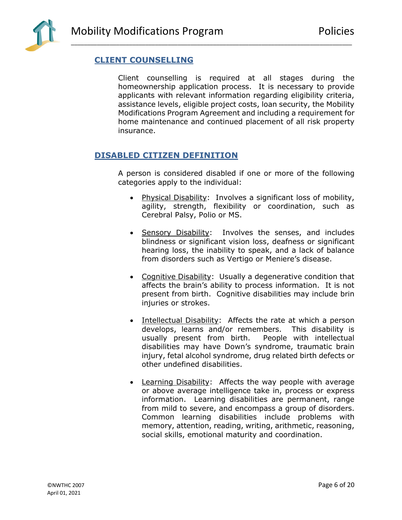

## **CLIENT COUNSELLING**

Client counselling is required at all stages during the homeownership application process. It is necessary to provide applicants with relevant information regarding eligibility criteria, assistance levels, eligible project costs, loan security, the Mobility Modifications Program Agreement and including a requirement for home maintenance and continued placement of all risk property insurance.

<span id="page-32-0"></span>\_\_\_\_\_\_\_\_\_\_\_\_\_\_\_\_\_\_\_\_\_\_\_\_\_\_\_\_\_\_\_\_\_\_\_\_\_\_\_\_\_\_\_\_\_\_\_\_\_\_\_\_\_\_\_\_\_\_\_\_\_\_\_\_\_\_\_\_\_\_\_\_\_\_\_\_\_\_\_\_\_\_\_\_\_\_\_

### <span id="page-32-1"></span>**DISABLED CITIZEN DEFINITION**

A person is considered disabled if one or more of the following categories apply to the individual:

- Physical Disability: Involves a significant loss of mobility, agility, strength, flexibility or coordination, such as Cerebral Palsy, Polio or MS.
- Sensory Disability: Involves the senses, and includes blindness or significant vision loss, deafness or significant hearing loss, the inability to speak, and a lack of balance from disorders such as Vertigo or Meniere's disease.
- Cognitive Disability: Usually a degenerative condition that affects the brain's ability to process information. It is not present from birth. Cognitive disabilities may include brin injuries or strokes.
- Intellectual Disability: Affects the rate at which a person develops, learns and/or remembers. This disability is usually present from birth. People with intellectual disabilities may have Down's syndrome, traumatic brain injury, fetal alcohol syndrome, drug related birth defects or other undefined disabilities.
- Learning Disability: Affects the way people with average or above average intelligence take in, process or express information. Learning disabilities are permanent, range from mild to severe, and encompass a group of disorders. Common learning disabilities include problems with memory, attention, reading, writing, arithmetic, reasoning, social skills, emotional maturity and coordination.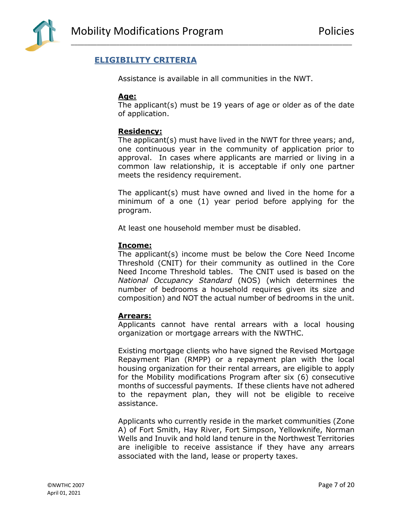

## **ELIGIBILITY CRITERIA**

Assistance is available in all communities in the NWT.

<span id="page-33-0"></span>\_\_\_\_\_\_\_\_\_\_\_\_\_\_\_\_\_\_\_\_\_\_\_\_\_\_\_\_\_\_\_\_\_\_\_\_\_\_\_\_\_\_\_\_\_\_\_\_\_\_\_\_\_\_\_\_\_\_\_\_\_\_\_\_\_\_\_\_\_\_\_\_\_\_\_\_\_\_\_\_\_\_\_\_\_\_\_

#### **Age:**

The applicant(s) must be 19 years of age or older as of the date of application.

#### **Residency:**

The applicant(s) must have lived in the NWT for three years; and, one continuous year in the community of application prior to approval. In cases where applicants are married or living in a common law relationship, it is acceptable if only one partner meets the residency requirement.

The applicant(s) must have owned and lived in the home for a minimum of a one (1) year period before applying for the program.

At least one household member must be disabled.

#### **Income:**

The applicant(s) income must be below the Core Need Income Threshold (CNIT) for their community as outlined in the Core Need Income Threshold tables. The CNIT used is based on the *National Occupancy Standard* (NOS) (which determines the number of bedrooms a household requires given its size and composition) and NOT the actual number of bedrooms in the unit.

#### **Arrears:**

Applicants cannot have rental arrears with a local housing organization or mortgage arrears with the NWTHC.

Existing mortgage clients who have signed the Revised Mortgage Repayment Plan (RMPP) or a repayment plan with the local housing organization for their rental arrears, are eligible to apply for the Mobility modifications Program after six (6) consecutive months of successful payments. If these clients have not adhered to the repayment plan, they will not be eligible to receive assistance.

Applicants who currently reside in the market communities (Zone A) of Fort Smith, Hay River, Fort Simpson, Yellowknife, Norman Wells and Inuvik and hold land tenure in the Northwest Territories are ineligible to receive assistance if they have any arrears associated with the land, lease or property taxes.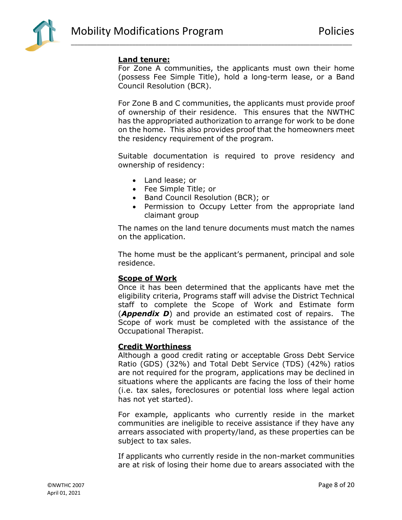

#### **Land tenure:**

For Zone A communities, the applicants must own their home (possess Fee Simple Title), hold a long-term lease, or a Band Council Resolution (BCR).

\_\_\_\_\_\_\_\_\_\_\_\_\_\_\_\_\_\_\_\_\_\_\_\_\_\_\_\_\_\_\_\_\_\_\_\_\_\_\_\_\_\_\_\_\_\_\_\_\_\_\_\_\_\_\_\_\_\_\_\_\_\_\_\_\_\_\_\_\_\_\_\_\_\_\_\_\_\_\_\_\_\_\_\_\_\_\_

For Zone B and C communities, the applicants must provide proof of ownership of their residence. This ensures that the NWTHC has the appropriated authorization to arrange for work to be done on the home. This also provides proof that the homeowners meet the residency requirement of the program.

Suitable documentation is required to prove residency and ownership of residency:

- Land lease; or
- Fee Simple Title; or
- Band Council Resolution (BCR); or
- Permission to Occupy Letter from the appropriate land claimant group

The names on the land tenure documents must match the names on the application.

The home must be the applicant's permanent, principal and sole residence.

#### **Scope of Work**

Once it has been determined that the applicants have met the eligibility criteria, Programs staff will advise the District Technical staff to complete the Scope of Work and Estimate form (*Appendix D*) and provide an estimated cost of repairs. The Scope of work must be completed with the assistance of the Occupational Therapist.

#### **Credit Worthiness**

Although a good credit rating or acceptable Gross Debt Service Ratio (GDS) (32%) and Total Debt Service (TDS) (42%) ratios are not required for the program, applications may be declined in situations where the applicants are facing the loss of their home (i.e. tax sales, foreclosures or potential loss where legal action has not yet started).

For example, applicants who currently reside in the market communities are ineligible to receive assistance if they have any arrears associated with property/land, as these properties can be subject to tax sales.

If applicants who currently reside in the non-market communities are at risk of losing their home due to arears associated with the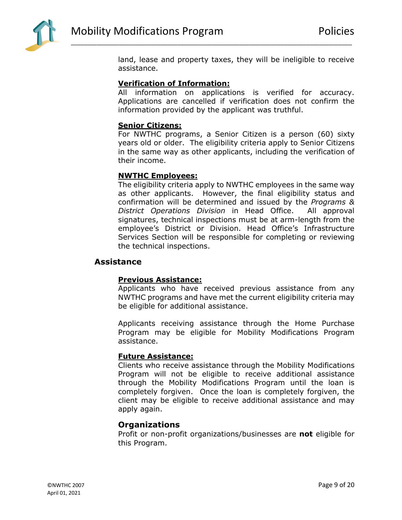

land, lease and property taxes, they will be ineligible to receive assistance.

\_\_\_\_\_\_\_\_\_\_\_\_\_\_\_\_\_\_\_\_\_\_\_\_\_\_\_\_\_\_\_\_\_\_\_\_\_\_\_\_\_\_\_\_\_\_\_\_\_\_\_\_\_\_\_\_\_\_\_\_\_\_\_\_\_\_\_\_\_\_\_\_\_\_\_\_\_\_\_\_\_\_\_\_\_\_\_

#### **Verification of Information:**

All information on applications is verified for accuracy. Applications are cancelled if verification does not confirm the information provided by the applicant was truthful.

#### **Senior Citizens:**

For NWTHC programs, a Senior Citizen is a person (60) sixty years old or older. The eligibility criteria apply to Senior Citizens in the same way as other applicants, including the verification of their income.

#### **NWTHC Employees:**

The eligibility criteria apply to NWTHC employees in the same way as other applicants. However, the final eligibility status and confirmation will be determined and issued by the *Programs & District Operations Division* in Head Office. All approval signatures, technical inspections must be at arm-length from the employee's District or Division. Head Office's Infrastructure Services Section will be responsible for completing or reviewing the technical inspections.

#### **Assistance**

#### **Previous Assistance:**

Applicants who have received previous assistance from any NWTHC programs and have met the current eligibility criteria may be eligible for additional assistance.

Applicants receiving assistance through the Home Purchase Program may be eligible for Mobility Modifications Program assistance.

#### **Future Assistance:**

Clients who receive assistance through the Mobility Modifications Program will not be eligible to receive additional assistance through the Mobility Modifications Program until the loan is completely forgiven. Once the loan is completely forgiven, the client may be eligible to receive additional assistance and may apply again.

#### **Organizations**

Profit or non-profit organizations/businesses are **not** eligible for this Program.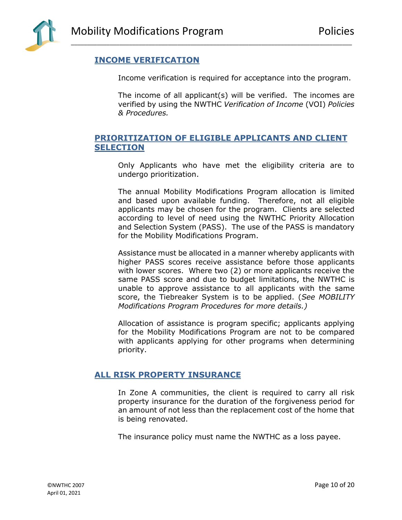

# **INCOME VERIFICATION**

Income verification is required for acceptance into the program.

The income of all applicant(s) will be verified. The incomes are verified by using the NWTHC *Verification of Income* (VOI) *Policies & Procedures.*

## **PRIORITIZATION OF ELIGIBLE APPLICANTS AND CLIENT SELECTION**

\_\_\_\_\_\_\_\_\_\_\_\_\_\_\_\_\_\_\_\_\_\_\_\_\_\_\_\_\_\_\_\_\_\_\_\_\_\_\_\_\_\_\_\_\_\_\_\_\_\_\_\_\_\_\_\_\_\_\_\_\_\_\_\_\_\_\_\_\_\_\_\_\_\_\_\_\_\_\_\_\_\_\_\_\_\_\_

Only Applicants who have met the eligibility criteria are to undergo prioritization.

The annual Mobility Modifications Program allocation is limited and based upon available funding. Therefore, not all eligible applicants may be chosen for the program. Clients are selected according to level of need using the NWTHC Priority Allocation and Selection System (PASS). The use of the PASS is mandatory for the Mobility Modifications Program.

Assistance must be allocated in a manner whereby applicants with higher PASS scores receive assistance before those applicants with lower scores. Where two (2) or more applicants receive the same PASS score and due to budget limitations, the NWTHC is unable to approve assistance to all applicants with the same score, the Tiebreaker System is to be applied. (*See MOBILITY Modifications Program Procedures for more details.)*

Allocation of assistance is program specific; applicants applying for the Mobility Modifications Program are not to be compared with applicants applying for other programs when determining priority.

# **ALL RISK PROPERTY INSURANCE**

In Zone A communities, the client is required to carry all risk property insurance for the duration of the forgiveness period for an amount of not less than the replacement cost of the home that is being renovated.

The insurance policy must name the NWTHC as a loss payee.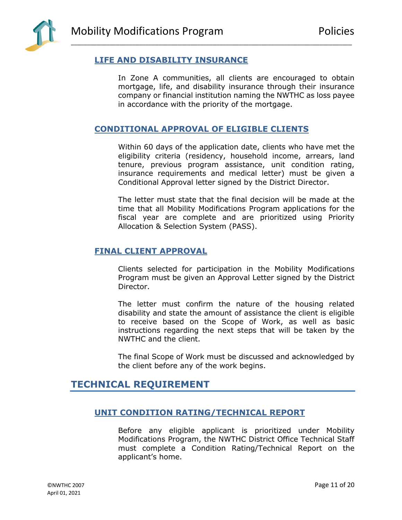

## **LIFE AND DISABILITY INSURANCE**

In Zone A communities, all clients are encouraged to obtain mortgage, life, and disability insurance through their insurance company or financial institution naming the NWTHC as loss payee in accordance with the priority of the mortgage.

## **CONDITIONAL APPROVAL OF ELIGIBLE CLIENTS**

\_\_\_\_\_\_\_\_\_\_\_\_\_\_\_\_\_\_\_\_\_\_\_\_\_\_\_\_\_\_\_\_\_\_\_\_\_\_\_\_\_\_\_\_\_\_\_\_\_\_\_\_\_\_\_\_\_\_\_\_\_\_\_\_\_\_\_\_\_\_\_\_\_\_\_\_\_\_\_\_\_\_\_\_\_\_\_

Within 60 days of the application date, clients who have met the eligibility criteria (residency, household income, arrears, land tenure, previous program assistance, unit condition rating, insurance requirements and medical letter) must be given a Conditional Approval letter signed by the District Director.

The letter must state that the final decision will be made at the time that all Mobility Modifications Program applications for the fiscal year are complete and are prioritized using Priority Allocation & Selection System (PASS).

## **FINAL CLIENT APPROVAL**

Clients selected for participation in the Mobility Modifications Program must be given an Approval Letter signed by the District Director.

The letter must confirm the nature of the housing related disability and state the amount of assistance the client is eligible to receive based on the Scope of Work, as well as basic instructions regarding the next steps that will be taken by the NWTHC and the client.

The final Scope of Work must be discussed and acknowledged by the client before any of the work begins.

# **TECHNICAL REQUIREMENT**

## **UNIT CONDITION RATING/TECHNICAL REPORT**

Before any eligible applicant is prioritized under Mobility Modifications Program, the NWTHC District Office Technical Staff must complete a Condition Rating/Technical Report on the applicant's home.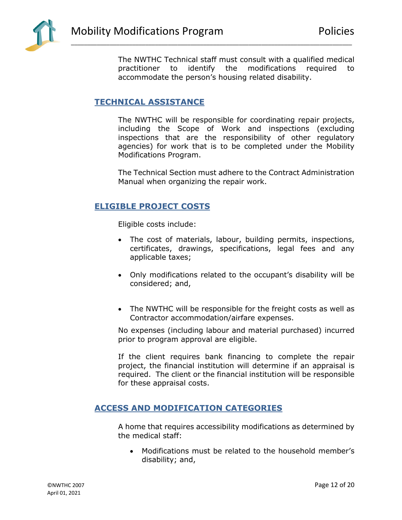

The NWTHC Technical staff must consult with a qualified medical practitioner to identify the modifications required to accommodate the person's housing related disability.

\_\_\_\_\_\_\_\_\_\_\_\_\_\_\_\_\_\_\_\_\_\_\_\_\_\_\_\_\_\_\_\_\_\_\_\_\_\_\_\_\_\_\_\_\_\_\_\_\_\_\_\_\_\_\_\_\_\_\_\_\_\_\_\_\_\_\_\_\_\_\_\_\_\_\_\_\_\_\_\_\_\_\_\_\_\_\_

# **TECHNICAL ASSISTANCE**

The NWTHC will be responsible for coordinating repair projects, including the Scope of Work and inspections (excluding inspections that are the responsibility of other regulatory agencies) for work that is to be completed under the Mobility Modifications Program.

The Technical Section must adhere to the Contract Administration Manual when organizing the repair work.

# **ELIGIBLE PROJECT COSTS**

Eligible costs include:

- The cost of materials, labour, building permits, inspections, certificates, drawings, specifications, legal fees and any applicable taxes;
- Only modifications related to the occupant's disability will be considered; and,
- The NWTHC will be responsible for the freight costs as well as Contractor accommodation/airfare expenses.

No expenses (including labour and material purchased) incurred prior to program approval are eligible.

If the client requires bank financing to complete the repair project, the financial institution will determine if an appraisal is required. The client or the financial institution will be responsible for these appraisal costs.

# **ACCESS AND MODIFICATION CATEGORIES**

A home that requires accessibility modifications as determined by the medical staff:

• Modifications must be related to the household member's disability; and,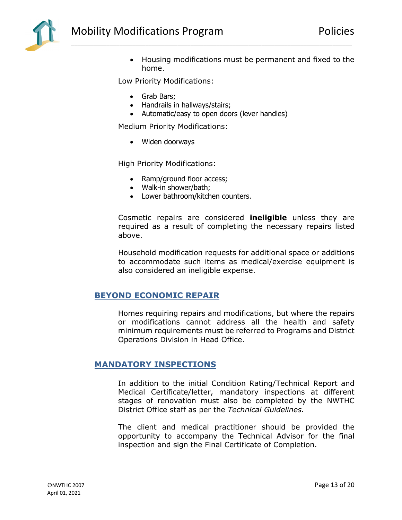

• Housing modifications must be permanent and fixed to the home.

Low Priority Modifications:

- Grab Bars;
- Handrails in hallways/stairs;
- Automatic/easy to open doors (lever handles)

\_\_\_\_\_\_\_\_\_\_\_\_\_\_\_\_\_\_\_\_\_\_\_\_\_\_\_\_\_\_\_\_\_\_\_\_\_\_\_\_\_\_\_\_\_\_\_\_\_\_\_\_\_\_\_\_\_\_\_\_\_\_\_\_\_\_\_\_\_\_\_\_\_\_\_\_\_\_\_\_\_\_\_\_\_\_\_

Medium Priority Modifications:

• Widen doorways

High Priority Modifications:

- Ramp/ground floor access;
- Walk-in shower/bath;
- Lower bathroom/kitchen counters.

Cosmetic repairs are considered **ineligible** unless they are required as a result of completing the necessary repairs listed above.

Household modification requests for additional space or additions to accommodate such items as medical/exercise equipment is also considered an ineligible expense.

## **BEYOND ECONOMIC REPAIR**

Homes requiring repairs and modifications, but where the repairs or modifications cannot address all the health and safety minimum requirements must be referred to Programs and District Operations Division in Head Office.

## **MANDATORY INSPECTIONS**

In addition to the initial Condition Rating/Technical Report and Medical Certificate/letter, mandatory inspections at different stages of renovation must also be completed by the NWTHC District Office staff as per the *Technical Guidelines.* 

The client and medical practitioner should be provided the opportunity to accompany the Technical Advisor for the final inspection and sign the Final Certificate of Completion.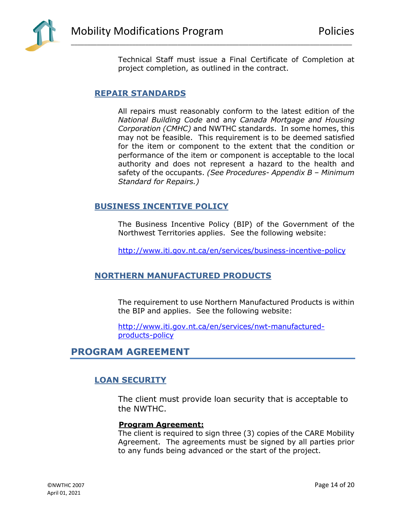

\_\_\_\_\_\_\_\_\_\_\_\_\_\_\_\_\_\_\_\_\_\_\_\_\_\_\_\_\_\_\_\_\_\_\_\_\_\_\_\_\_\_\_\_\_\_\_\_\_\_\_\_\_\_\_\_\_\_\_\_\_\_\_\_\_\_\_\_\_\_\_\_\_\_\_\_\_\_\_\_\_\_\_\_\_\_\_

# **REPAIR STANDARDS**

All repairs must reasonably conform to the latest edition of the *National Building Code* and any *Canada Mortgage and Housing Corporation (CMHC)* and NWTHC standards. In some homes, this may not be feasible. This requirement is to be deemed satisfied for the item or component to the extent that the condition or performance of the item or component is acceptable to the local authority and does not represent a hazard to the health and safety of the occupants. *(See Procedures- Appendix B – Minimum Standard for Repairs.)*

# **BUSINESS INCENTIVE POLICY**

The Business Incentive Policy (BIP) of the Government of the Northwest Territories applies. See the following website:

<http://www.iti.gov.nt.ca/en/services/business-incentive-policy>

# **NORTHERN MANUFACTURED PRODUCTS**

The requirement to use Northern Manufactured Products is within the BIP and applies. See the following website:

[http://www.iti.gov.nt.ca/en/services/nwt-manufactured](http://www.iti.gov.nt.ca/en/services/nwt-manufactured-products-policy)[products-policy](http://www.iti.gov.nt.ca/en/services/nwt-manufactured-products-policy)

# **PROGRAM AGREEMENT**

# **LOAN SECURITY**

The client must provide loan security that is acceptable to the NWTHC.

#### **Program Agreement:**

The client is required to sign three (3) copies of the CARE Mobility Agreement. The agreements must be signed by all parties prior to any funds being advanced or the start of the project.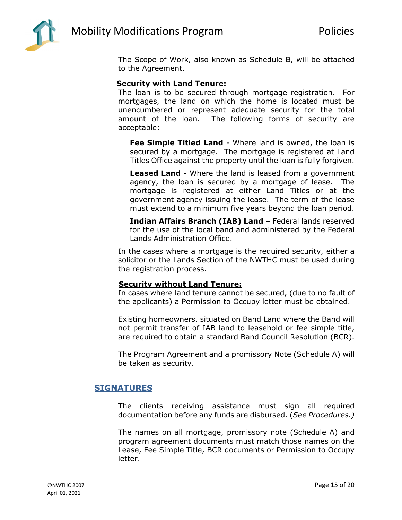

The Scope of Work, also known as Schedule B, will be attached to the Agreement.

\_\_\_\_\_\_\_\_\_\_\_\_\_\_\_\_\_\_\_\_\_\_\_\_\_\_\_\_\_\_\_\_\_\_\_\_\_\_\_\_\_\_\_\_\_\_\_\_\_\_\_\_\_\_\_\_\_\_\_\_\_\_\_\_\_\_\_\_\_\_\_\_\_\_\_\_\_\_\_\_\_\_\_\_\_\_\_

#### **Security with Land Tenure:**

The loan is to be secured through mortgage registration. For mortgages, the land on which the home is located must be unencumbered or represent adequate security for the total amount of the loan. The following forms of security are acceptable:

**Fee Simple Titled Land** - Where land is owned, the loan is secured by a mortgage. The mortgage is registered at Land Titles Office against the property until the loan is fully forgiven.

**Leased Land** - Where the land is leased from a government agency, the loan is secured by a mortgage of lease. The mortgage is registered at either Land Titles or at the government agency issuing the lease. The term of the lease must extend to a minimum five years beyond the loan period.

**Indian Affairs Branch (IAB) Land** – Federal lands reserved for the use of the local band and administered by the Federal Lands Administration Office.

In the cases where a mortgage is the required security, either a solicitor or the Lands Section of the NWTHC must be used during the registration process.

#### **Security without Land Tenure:**

In cases where land tenure cannot be secured, (due to no fault of the applicants) a Permission to Occupy letter must be obtained.

Existing homeowners, situated on Band Land where the Band will not permit transfer of IAB land to leasehold or fee simple title, are required to obtain a standard Band Council Resolution (BCR).

The Program Agreement and a promissory Note (Schedule A) will be taken as security.

#### **SIGNATURES**

The clients receiving assistance must sign all required documentation before any funds are disbursed. (*See Procedures.)*

The names on all mortgage, promissory note (Schedule A) and program agreement documents must match those names on the Lease, Fee Simple Title, BCR documents or Permission to Occupy letter.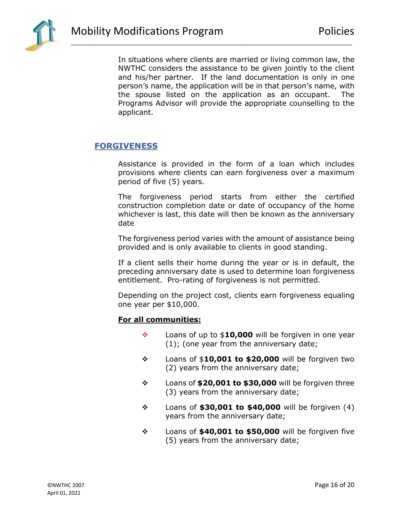

In situations where clients are married or living common law, the NWTHC considers the assistance to be given jointly to the client and his/her partner. If the land documentation is only in one person's name, the application will be in that person's name, with the spouse listed on the application as an occupant. The Programs Advisor will provide the appropriate counselling to the applicant.

\_\_\_\_\_\_\_\_\_\_\_\_\_\_\_\_\_\_\_\_\_\_\_\_\_\_\_\_\_\_\_\_\_\_\_\_\_\_\_\_\_\_\_\_\_\_\_\_\_\_\_\_\_\_\_\_\_\_\_\_\_\_\_\_\_\_\_\_\_\_\_\_\_\_\_\_\_\_\_\_\_\_\_\_\_\_\_

# **FORGIVENESS**

Assistance is provided in the form of a loan which includes provisions where clients can earn forgiveness over a maximum period of five (5) years.

The forgiveness period starts from either the certified construction completion date or date of occupancy of the home whichever is last, this date will then be known as the anniversary date

The forgiveness period varies with the amount of assistance being provided and is only available to clients in good standing.

If a client sells their home during the year or is in default, the preceding anniversary date is used to determine loan forgiveness entitlement. Pro-rating of forgiveness is not permitted.

Depending on the project cost, clients earn forgiveness equaling one year per \$10,000.

#### **For all communities:**

- Loans of up to \$**10,000** will be forgiven in one year (1); (one year from the anniversary date;
- Loans of \$**10,001 to \$20,000** will be forgiven two (2) years from the anniversary date;
- Loans of **\$20,001 to \$30,000** will be forgiven three (3) years from the anniversary date;
- Loans of **\$30,001 to \$40,000** will be forgiven (4) years from the anniversary date;
- Loans of **\$40,001 to \$50,000** will be forgiven five (5) years from the anniversary date;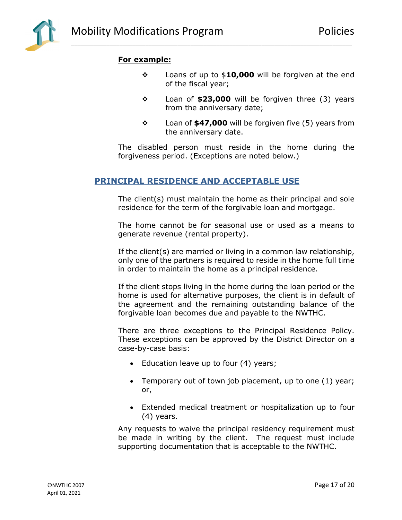

- Loans of up to \$**10,000** will be forgiven at the end of the fiscal year;
- Loan of **\$23,000** will be forgiven three (3) years from the anniversary date;
- Loan of **\$47,000** will be forgiven five (5) years from the anniversary date.

The disabled person must reside in the home during the forgiveness period. (Exceptions are noted below.)

# **PRINCIPAL RESIDENCE AND ACCEPTABLE USE**

\_\_\_\_\_\_\_\_\_\_\_\_\_\_\_\_\_\_\_\_\_\_\_\_\_\_\_\_\_\_\_\_\_\_\_\_\_\_\_\_\_\_\_\_\_\_\_\_\_\_\_\_\_\_\_\_\_\_\_\_\_\_\_\_\_\_\_\_\_\_\_\_\_\_\_\_\_\_\_\_\_\_\_\_\_\_\_

The client(s) must maintain the home as their principal and sole residence for the term of the forgivable loan and mortgage.

The home cannot be for seasonal use or used as a means to generate revenue (rental property).

If the client(s) are married or living in a common law relationship, only one of the partners is required to reside in the home full time in order to maintain the home as a principal residence.

If the client stops living in the home during the loan period or the home is used for alternative purposes, the client is in default of the agreement and the remaining outstanding balance of the forgivable loan becomes due and payable to the NWTHC.

There are three exceptions to the Principal Residence Policy. These exceptions can be approved by the District Director on a case-by-case basis:

- Education leave up to four (4) years;
- Temporary out of town job placement, up to one (1) year; or,
- Extended medical treatment or hospitalization up to four (4) years.

Any requests to waive the principal residency requirement must be made in writing by the client. The request must include supporting documentation that is acceptable to the NWTHC.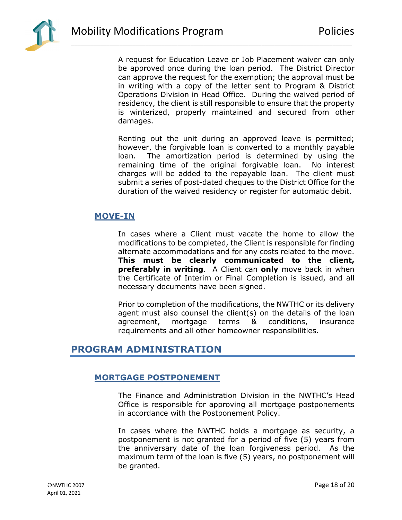

A request for Education Leave or Job Placement waiver can only be approved once during the loan period. The District Director can approve the request for the exemption; the approval must be in writing with a copy of the letter sent to Program & District Operations Division in Head Office. During the waived period of residency, the client is still responsible to ensure that the property is winterized, properly maintained and secured from other damages.

\_\_\_\_\_\_\_\_\_\_\_\_\_\_\_\_\_\_\_\_\_\_\_\_\_\_\_\_\_\_\_\_\_\_\_\_\_\_\_\_\_\_\_\_\_\_\_\_\_\_\_\_\_\_\_\_\_\_\_\_\_\_\_\_\_\_\_\_\_\_\_\_\_\_\_\_\_\_\_\_\_\_\_\_\_\_\_

Renting out the unit during an approved leave is permitted; however, the forgivable loan is converted to a monthly payable loan. The amortization period is determined by using the remaining time of the original forgivable loan. No interest charges will be added to the repayable loan. The client must submit a series of post-dated cheques to the District Office for the duration of the waived residency or register for automatic debit.

# **MOVE-IN**

In cases where a Client must vacate the home to allow the modifications to be completed, the Client is responsible for finding alternate accommodations and for any costs related to the move. **This must be clearly communicated to the client, preferably in writing**. A Client can **only** move back in when the Certificate of Interim or Final Completion is issued, and all necessary documents have been signed.

Prior to completion of the modifications, the NWTHC or its delivery agent must also counsel the client(s) on the details of the loan agreement, mortgage terms & conditions, insurance requirements and all other homeowner responsibilities.

# **PROGRAM ADMINISTRATION**

# **MORTGAGE POSTPONEMENT**

The Finance and Administration Division in the NWTHC's Head Office is responsible for approving all mortgage postponements in accordance with the Postponement Policy.

In cases where the NWTHC holds a mortgage as security, a postponement is not granted for a period of five (5) years from the anniversary date of the loan forgiveness period. As the maximum term of the loan is five (5) years, no postponement will be granted.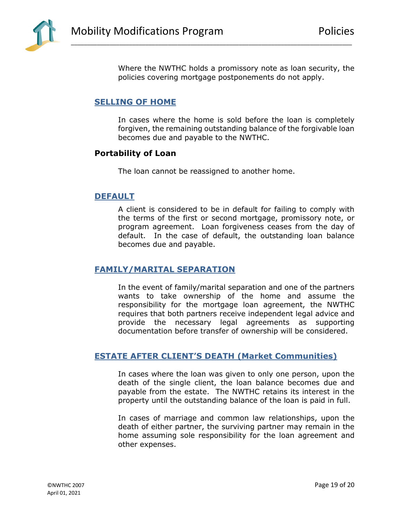

Where the NWTHC holds a promissory note as loan security, the policies covering mortgage postponements do not apply.

# **SELLING OF HOME**

In cases where the home is sold before the loan is completely forgiven, the remaining outstanding balance of the forgivable loan becomes due and payable to the NWTHC.

## **Portability of Loan**

The loan cannot be reassigned to another home.

\_\_\_\_\_\_\_\_\_\_\_\_\_\_\_\_\_\_\_\_\_\_\_\_\_\_\_\_\_\_\_\_\_\_\_\_\_\_\_\_\_\_\_\_\_\_\_\_\_\_\_\_\_\_\_\_\_\_\_\_\_\_\_\_\_\_\_\_\_\_\_\_\_\_\_\_\_\_\_\_\_\_\_\_\_\_\_

## **DEFAULT**

A client is considered to be in default for failing to comply with the terms of the first or second mortgage, promissory note, or program agreement. Loan forgiveness ceases from the day of default. In the case of default, the outstanding loan balance becomes due and payable.

## **FAMILY/MARITAL SEPARATION**

In the event of family/marital separation and one of the partners wants to take ownership of the home and assume the responsibility for the mortgage loan agreement, the NWTHC requires that both partners receive independent legal advice and provide the necessary legal agreements as supporting documentation before transfer of ownership will be considered.

## **ESTATE AFTER CLIENT'S DEATH (Market Communities)**

In cases where the loan was given to only one person, upon the death of the single client, the loan balance becomes due and payable from the estate. The NWTHC retains its interest in the property until the outstanding balance of the loan is paid in full.

In cases of marriage and common law relationships, upon the death of either partner, the surviving partner may remain in the home assuming sole responsibility for the loan agreement and other expenses.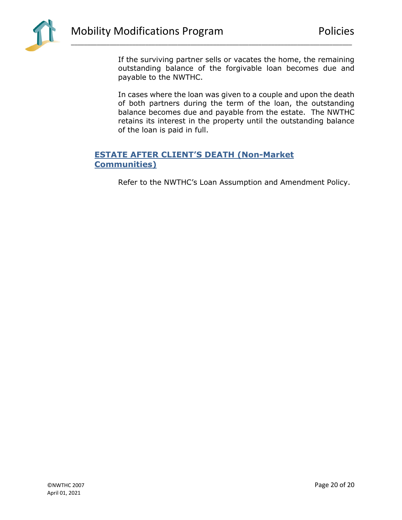

If the surviving partner sells or vacates the home, the remaining outstanding balance of the forgivable loan becomes due and payable to the NWTHC.

\_\_\_\_\_\_\_\_\_\_\_\_\_\_\_\_\_\_\_\_\_\_\_\_\_\_\_\_\_\_\_\_\_\_\_\_\_\_\_\_\_\_\_\_\_\_\_\_\_\_\_\_\_\_\_\_\_\_\_\_\_\_\_\_\_\_\_\_\_\_\_\_\_\_\_\_\_\_\_\_\_\_\_\_\_\_\_

In cases where the loan was given to a couple and upon the death of both partners during the term of the loan, the outstanding balance becomes due and payable from the estate. The NWTHC retains its interest in the property until the outstanding balance of the loan is paid in full.

## **ESTATE AFTER CLIENT'S DEATH (Non-Market Communities)**

Refer to the NWTHC's Loan Assumption and Amendment Policy.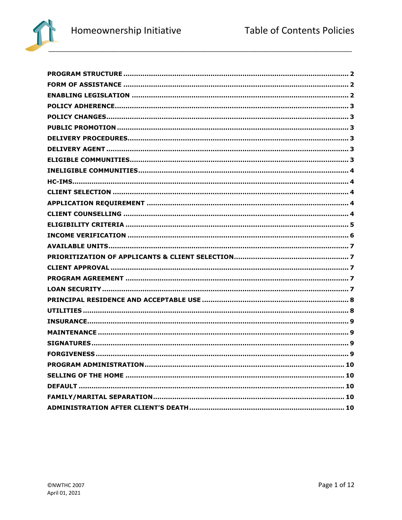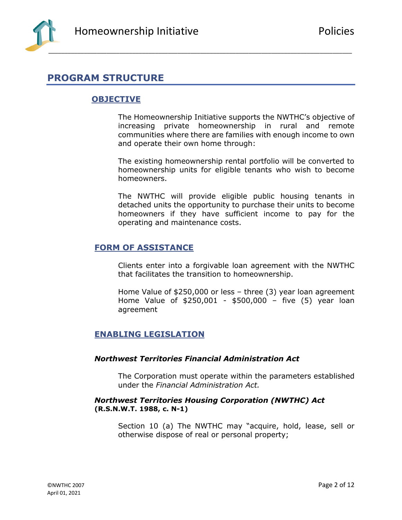

# <span id="page-48-0"></span>**PROGRAM STRUCTURE**

# **OBJECTIVE**

The Homeownership Initiative supports the NWTHC's objective of increasing private homeownership in rural and remote communities where there are families with enough income to own and operate their own home through:

\_\_\_\_\_\_\_\_\_\_\_\_\_\_\_\_\_\_\_\_\_\_\_\_\_\_\_\_\_\_\_\_\_\_\_\_\_\_\_\_\_\_\_\_\_\_\_\_\_\_\_\_\_\_\_\_\_\_\_\_\_\_\_\_\_\_\_\_\_\_\_\_\_\_\_\_\_\_\_\_\_\_\_\_\_\_\_\_\_\_\_\_\_\_

The existing homeownership rental portfolio will be converted to homeownership units for eligible tenants who wish to become homeowners.

The NWTHC will provide eligible public housing tenants in detached units the opportunity to purchase their units to become homeowners if they have sufficient income to pay for the operating and maintenance costs.

## <span id="page-48-1"></span>**FORM OF ASSISTANCE**

Clients enter into a forgivable loan agreement with the NWTHC that facilitates the transition to homeownership.

Home Value of \$250,000 or less – three (3) year loan agreement Home Value of \$250,001 - \$500,000 – five (5) year loan agreement

## <span id="page-48-2"></span>**ENABLING LEGISLATION**

#### *Northwest Territories Financial Administration Act*

The Corporation must operate within the parameters established under the *Financial Administration Act.* 

#### *Northwest Territories Housing Corporation (NWTHC) Act* **(R.S.N.W.T. 1988, c. N-1)**

Section 10 (a) The NWTHC may "acquire, hold, lease, sell or otherwise dispose of real or personal property;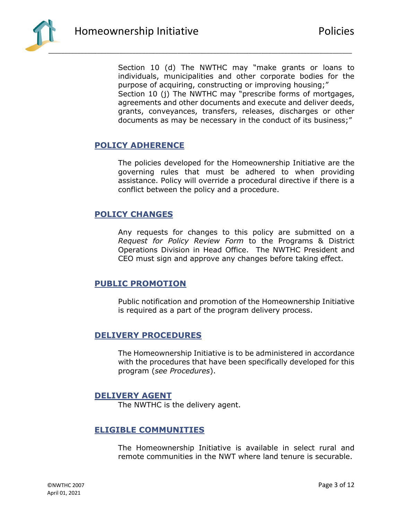Section 10 (d) The NWTHC may "make grants or loans to individuals, municipalities and other corporate bodies for the purpose of acquiring, constructing or improving housing;" Section 10 (j) The NWTHC may "prescribe forms of mortgages, agreements and other documents and execute and deliver deeds, grants, conveyances, transfers, releases, discharges or other documents as may be necessary in the conduct of its business;"

\_\_\_\_\_\_\_\_\_\_\_\_\_\_\_\_\_\_\_\_\_\_\_\_\_\_\_\_\_\_\_\_\_\_\_\_\_\_\_\_\_\_\_\_\_\_\_\_\_\_\_\_\_\_\_\_\_\_\_\_\_\_\_\_\_\_\_\_\_\_\_\_\_\_\_\_\_\_\_\_\_\_\_\_\_\_\_\_\_\_\_\_\_\_

# <span id="page-49-0"></span>**POLICY ADHERENCE**

The policies developed for the Homeownership Initiative are the governing rules that must be adhered to when providing assistance. Policy will override a procedural directive if there is a conflict between the policy and a procedure.

# <span id="page-49-1"></span>**POLICY CHANGES**

Any requests for changes to this policy are submitted on a *Request for Policy Review Form* to the Programs & District Operations Division in Head Office. The NWTHC President and CEO must sign and approve any changes before taking effect.

## <span id="page-49-2"></span>**PUBLIC PROMOTION**

Public notification and promotion of the Homeownership Initiative is required as a part of the program delivery process.

## <span id="page-49-3"></span>**DELIVERY PROCEDURES**

The Homeownership Initiative is to be administered in accordance with the procedures that have been specifically developed for this program (*see Procedures*).

## <span id="page-49-4"></span>**DELIVERY AGENT**

The NWTHC is the delivery agent.

## <span id="page-49-5"></span>**ELIGIBLE COMMUNITIES**

The Homeownership Initiative is available in select rural and remote communities in the NWT where land tenure is securable.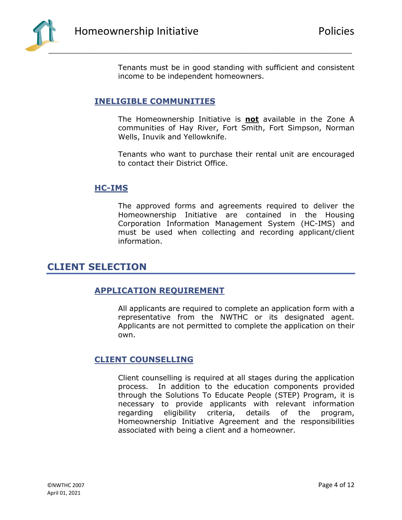

Tenants must be in good standing with sufficient and consistent income to be independent homeowners.

## <span id="page-50-0"></span>**INELIGIBLE COMMUNITIES**

The Homeownership Initiative is **not** available in the Zone A communities of Hay River, Fort Smith, Fort Simpson, Norman Wells, Inuvik and Yellowknife.

Tenants who want to purchase their rental unit are encouraged to contact their District Office.

## <span id="page-50-1"></span>**HC-IMS**

The approved forms and agreements required to deliver the Homeownership Initiative are contained in the Housing Corporation Information Management System (HC-IMS) and must be used when collecting and recording applicant/client information.

# <span id="page-50-3"></span><span id="page-50-2"></span>**CLIENT SELECTION**

## **APPLICATION REQUIREMENT**

All applicants are required to complete an application form with a representative from the NWTHC or its designated agent. Applicants are not permitted to complete the application on their own.

#### <span id="page-50-4"></span>**CLIENT COUNSELLING**

Client counselling is required at all stages during the application process. In addition to the education components provided through the Solutions To Educate People (STEP) Program, it is necessary to provide applicants with relevant information regarding eligibility criteria, details of the program, Homeownership Initiative Agreement and the responsibilities associated with being a client and a homeowner.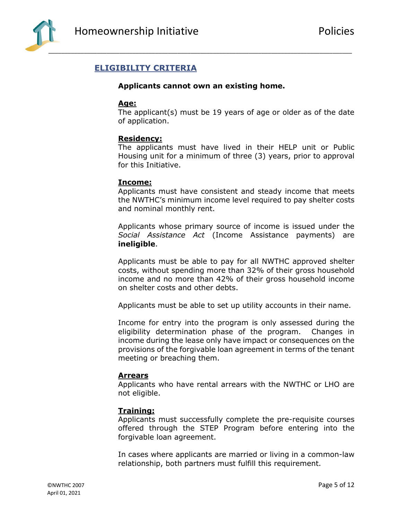

# <span id="page-51-0"></span>**ELIGIBILITY CRITERIA**

### **Applicants cannot own an existing home.**

#### **Age:**

The applicant(s) must be 19 years of age or older as of the date of application.

#### **Residency:**

The applicants must have lived in their HELP unit or Public Housing unit for a minimum of three (3) years, prior to approval for this Initiative.

#### **Income:**

Applicants must have consistent and steady income that meets the NWTHC's minimum income level required to pay shelter costs and nominal monthly rent.

Applicants whose primary source of income is issued under the *Social Assistance Act* (Income Assistance payments) are **ineligible**.

Applicants must be able to pay for all NWTHC approved shelter costs, without spending more than 32% of their gross household income and no more than 42% of their gross household income on shelter costs and other debts.

Applicants must be able to set up utility accounts in their name.

Income for entry into the program is only assessed during the eligibility determination phase of the program. Changes in income during the lease only have impact or consequences on the provisions of the forgivable loan agreement in terms of the tenant meeting or breaching them.

#### **Arrears**

Applicants who have rental arrears with the NWTHC or LHO are not eligible.

#### **Training:**

Applicants must successfully complete the pre-requisite courses offered through the STEP Program before entering into the forgivable loan agreement.

In cases where applicants are married or living in a common-law relationship, both partners must fulfill this requirement.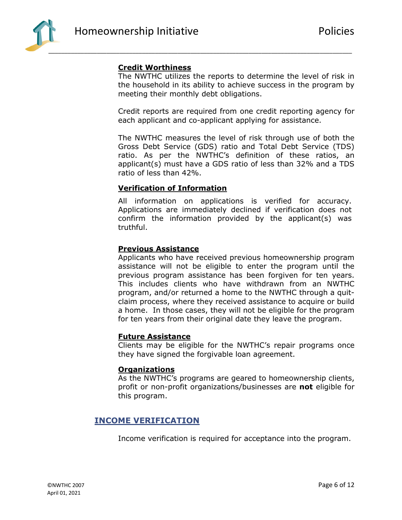

## **Credit Worthiness**

The NWTHC utilizes the reports to determine the level of risk in the household in its ability to achieve success in the program by meeting their monthly debt obligations.

Credit reports are required from one credit reporting agency for each applicant and co-applicant applying for assistance.

The NWTHC measures the level of risk through use of both the Gross Debt Service (GDS) ratio and Total Debt Service (TDS) ratio. As per the NWTHC's definition of these ratios, an applicant(s) must have a GDS ratio of less than 32% and a TDS ratio of less than 42%.

## **Verification of Information**

All information on applications is verified for accuracy. Applications are immediately declined if verification does not confirm the information provided by the applicant(s) was truthful.

#### **Previous Assistance**

Applicants who have received previous homeownership program assistance will not be eligible to enter the program until the previous program assistance has been forgiven for ten years. This includes clients who have withdrawn from an NWTHC program, and/or returned a home to the NWTHC through a quitclaim process, where they received assistance to acquire or build a home. In those cases, they will not be eligible for the program for ten years from their original date they leave the program.

#### **Future Assistance**

Clients may be eligible for the NWTHC's repair programs once they have signed the forgivable loan agreement.

#### **Organizations**

As the NWTHC's programs are geared to homeownership clients, profit or non-profit organizations/businesses are **not** eligible for this program.

# <span id="page-52-0"></span>**INCOME VERIFICATION**

Income verification is required for acceptance into the program.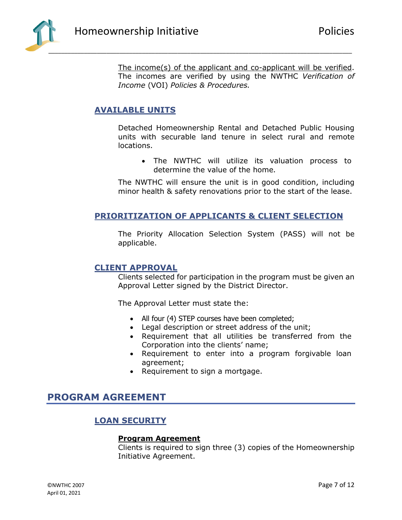The income(s) of the applicant and co-applicant will be verified. The incomes are verified by using the NWTHC *Verification of Income* (VOI) *Policies & Procedures.* 

<span id="page-53-0"></span>\_\_\_\_\_\_\_\_\_\_\_\_\_\_\_\_\_\_\_\_\_\_\_\_\_\_\_\_\_\_\_\_\_\_\_\_\_\_\_\_\_\_\_\_\_\_\_\_\_\_\_\_\_\_\_\_\_\_\_\_\_\_\_\_\_\_\_\_\_\_\_\_\_\_\_\_\_\_\_\_\_\_\_\_\_\_\_\_\_\_\_\_\_\_

# **AVAILABLE UNITS**

Detached Homeownership Rental and Detached Public Housing units with securable land tenure in select rural and remote locations.

• The NWTHC will utilize its valuation process to determine the value of the home.

The NWTHC will ensure the unit is in good condition, including minor health & safety renovations prior to the start of the lease.

## <span id="page-53-1"></span>**PRIORITIZATION OF APPLICANTS & CLIENT SELECTION**

The Priority Allocation Selection System (PASS) will not be applicable.

## <span id="page-53-2"></span>**CLIENT APPROVAL**

Clients selected for participation in the program must be given an Approval Letter signed by the District Director.

The Approval Letter must state the:

- All four (4) STEP courses have been completed;
- Legal description or street address of the unit;
- Requirement that all utilities be transferred from the Corporation into the clients' name;
- Requirement to enter into a program forgivable loan agreement;
- Requirement to sign a mortgage.

# <span id="page-53-4"></span><span id="page-53-3"></span>**PROGRAM AGREEMENT**

## **LOAN SECURITY**

#### **Program Agreement**

Clients is required to sign three (3) copies of the Homeownership Initiative Agreement.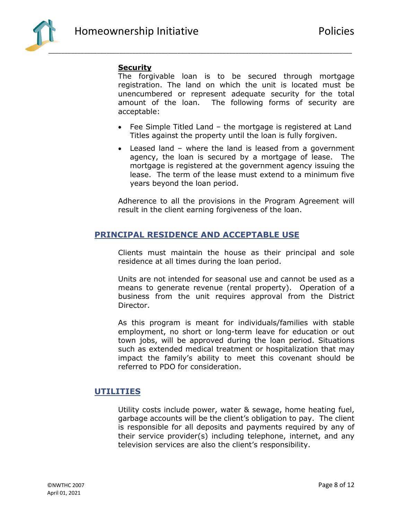

#### **Security**

The forgivable loan is to be secured through mortgage registration. The land on which the unit is located must be unencumbered or represent adequate security for the total amount of the loan. The following forms of security are acceptable:

- Fee Simple Titled Land the mortgage is registered at Land Titles against the property until the loan is fully forgiven.
- Leased land where the land is leased from a government agency, the loan is secured by a mortgage of lease. The mortgage is registered at the government agency issuing the lease. The term of the lease must extend to a minimum five years beyond the loan period.

Adherence to all the provisions in the Program Agreement will result in the client earning forgiveness of the loan.

# <span id="page-54-0"></span>**PRINCIPAL RESIDENCE AND ACCEPTABLE USE**

Clients must maintain the house as their principal and sole residence at all times during the loan period.

Units are not intended for seasonal use and cannot be used as a means to generate revenue (rental property). Operation of a business from the unit requires approval from the District Director.

As this program is meant for individuals/families with stable employment, no short or long-term leave for education or out town jobs, will be approved during the loan period. Situations such as extended medical treatment or hospitalization that may impact the family's ability to meet this covenant should be referred to PDO for consideration.

# <span id="page-54-1"></span>**UTILITIES**

Utility costs include power, water & sewage, home heating fuel, garbage accounts will be the client's obligation to pay. The client is responsible for all deposits and payments required by any of their service provider(s) including telephone, internet, and any television services are also the client's responsibility.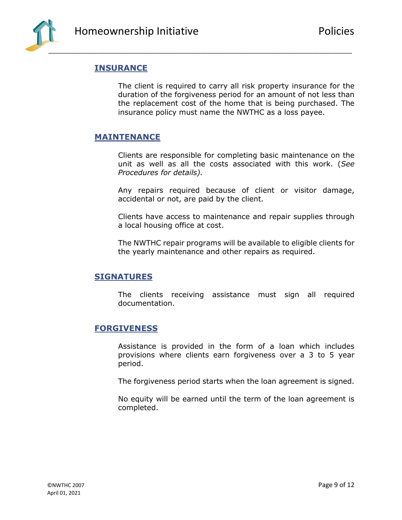

# <span id="page-55-0"></span>**INSURANCE**

The client is required to carry all risk property insurance for the duration of the forgiveness period for an amount of not less than the replacement cost of the home that is being purchased. The insurance policy must name the NWTHC as a loss payee.

## <span id="page-55-1"></span>**MAINTENANCE**

Clients are responsible for completing basic maintenance on the unit as well as all the costs associated with this work. (*See Procedures for details).*

Any repairs required because of client or visitor damage, accidental or not, are paid by the client.

Clients have access to maintenance and repair supplies through a local housing office at cost.

The NWTHC repair programs will be available to eligible clients for the yearly maintenance and other repairs as required.

#### <span id="page-55-2"></span>**SIGNATURES**

The clients receiving assistance must sign all required documentation.

#### <span id="page-55-3"></span>**FORGIVENESS**

Assistance is provided in the form of a loan which includes provisions where clients earn forgiveness over a 3 to 5 year period.

The forgiveness period starts when the loan agreement is signed.

No equity will be earned until the term of the loan agreement is completed.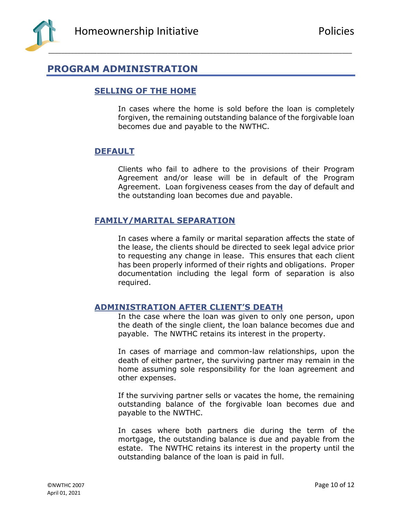

# <span id="page-56-1"></span><span id="page-56-0"></span>**PROGRAM ADMINISTRATION**

# **SELLING OF THE HOME**

In cases where the home is sold before the loan is completely forgiven, the remaining outstanding balance of the forgivable loan becomes due and payable to the NWTHC.

# <span id="page-56-2"></span>**DEFAULT**

Clients who fail to adhere to the provisions of their Program Agreement and/or lease will be in default of the Program Agreement. Loan forgiveness ceases from the day of default and the outstanding loan becomes due and payable.

## <span id="page-56-3"></span>**FAMILY/MARITAL SEPARATION**

In cases where a family or marital separation affects the state of the lease, the clients should be directed to seek legal advice prior to requesting any change in lease. This ensures that each client has been properly informed of their rights and obligations. Proper documentation including the legal form of separation is also required.

## <span id="page-56-4"></span>**ADMINISTRATION AFTER CLIENT'S DEATH**

In the case where the loan was given to only one person, upon the death of the single client, the loan balance becomes due and payable. The NWTHC retains its interest in the property.

In cases of marriage and common-law relationships, upon the death of either partner, the surviving partner may remain in the home assuming sole responsibility for the loan agreement and other expenses.

If the surviving partner sells or vacates the home, the remaining outstanding balance of the forgivable loan becomes due and payable to the NWTHC.

In cases where both partners die during the term of the mortgage, the outstanding balance is due and payable from the estate. The NWTHC retains its interest in the property until the outstanding balance of the loan is paid in full.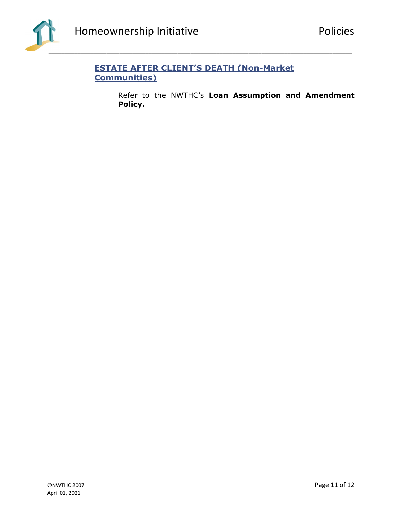

# **ESTATE AFTER CLIENT'S DEATH (Non-Market Communities)**

Refer to the NWTHC's **Loan Assumption and Amendment Policy.**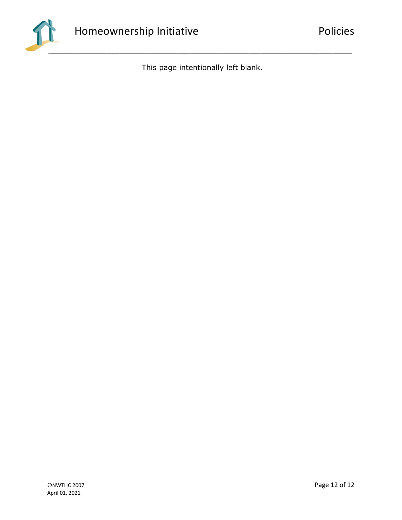

This page intentionally left blank.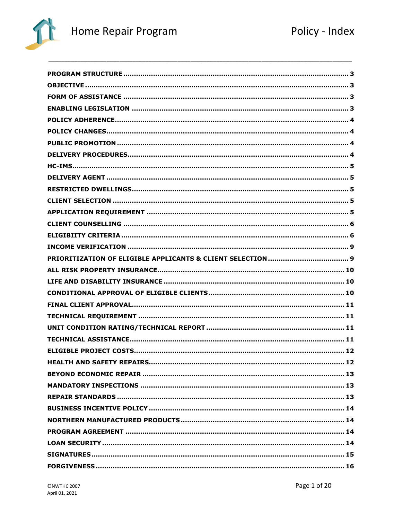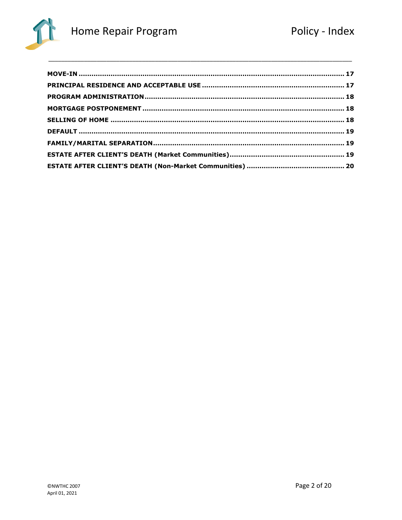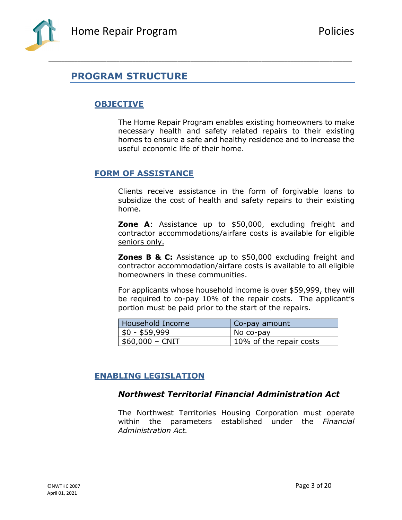

# <span id="page-61-1"></span>**PROGRAM STRUCTURE**

# **OBJECTIVE**

The Home Repair Program enables existing homeowners to make necessary health and safety related repairs to their existing homes to ensure a safe and healthy residence and to increase the useful economic life of their home.

<span id="page-61-0"></span>\_\_\_\_\_\_\_\_\_\_\_\_\_\_\_\_\_\_\_\_\_\_\_\_\_\_\_\_\_\_\_\_\_\_\_\_\_\_\_\_\_\_\_\_\_\_\_\_\_\_\_\_\_\_\_\_\_\_\_\_\_\_\_\_\_\_\_\_\_\_\_\_\_\_\_\_\_\_\_\_\_\_\_\_\_\_\_\_\_\_\_\_\_\_

# <span id="page-61-2"></span>**FORM OF ASSISTANCE**

Clients receive assistance in the form of forgivable loans to subsidize the cost of health and safety repairs to their existing home.

**Zone A**: Assistance up to \$50,000, excluding freight and contractor accommodations/airfare costs is available for eligible seniors only.

**Zones B & C:** Assistance up to \$50,000 excluding freight and contractor accommodation/airfare costs is available to all eligible homeowners in these communities.

For applicants whose household income is over \$59,999, they will be required to co-pay 10% of the repair costs. The applicant's portion must be paid prior to the start of the repairs.

| Household Income | Co-pay amount           |
|------------------|-------------------------|
| $$0 - $59,999$   | No co-pay               |
| 560,000 - CNIT   | 10% of the repair costs |

# <span id="page-61-3"></span>**ENABLING LEGISLATION**

## *Northwest Territorial Financial Administration Act*

The Northwest Territories Housing Corporation must operate within the parameters established under the *Financial Administration Act.*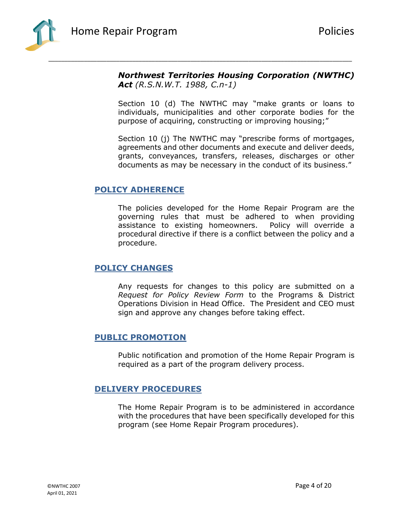

## *Northwest Territories Housing Corporation (NWTHC) Act (R.S.N.W.T. 1988, C.n-1)*

\_\_\_\_\_\_\_\_\_\_\_\_\_\_\_\_\_\_\_\_\_\_\_\_\_\_\_\_\_\_\_\_\_\_\_\_\_\_\_\_\_\_\_\_\_\_\_\_\_\_\_\_\_\_\_\_\_\_\_\_\_\_\_\_\_\_\_\_\_\_\_\_\_\_\_\_\_\_\_\_\_\_\_\_\_\_\_\_\_\_\_\_\_\_

Section 10 (d) The NWTHC may "make grants or loans to individuals, municipalities and other corporate bodies for the purpose of acquiring, constructing or improving housing;"

Section 10 (j) The NWTHC may "prescribe forms of mortgages, agreements and other documents and execute and deliver deeds, grants, conveyances, transfers, releases, discharges or other documents as may be necessary in the conduct of its business."

## <span id="page-62-0"></span>**POLICY ADHERENCE**

The policies developed for the Home Repair Program are the governing rules that must be adhered to when providing assistance to existing homeowners. Policy will override a procedural directive if there is a conflict between the policy and a procedure.

# <span id="page-62-1"></span>**POLICY CHANGES**

Any requests for changes to this policy are submitted on a *Request for Policy Review Form* to the Programs & District Operations Division in Head Office. The President and CEO must sign and approve any changes before taking effect.

## <span id="page-62-2"></span>**PUBLIC PROMOTION**

Public notification and promotion of the Home Repair Program is required as a part of the program delivery process.

## <span id="page-62-3"></span>**DELIVERY PROCEDURES**

The Home Repair Program is to be administered in accordance with the procedures that have been specifically developed for this program (see Home Repair Program procedures).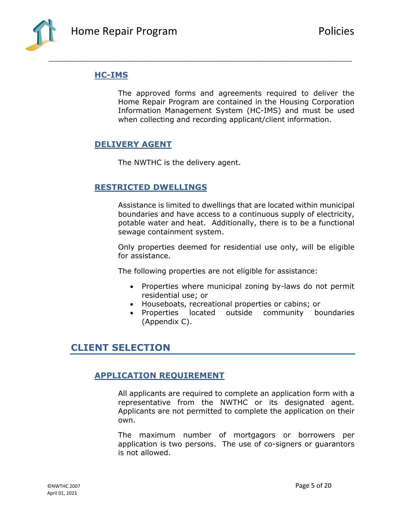

# <span id="page-63-0"></span>**HC-IMS**

The approved forms and agreements required to deliver the Home Repair Program are contained in the Housing Corporation Information Management System (HC-IMS) and must be used when collecting and recording applicant/client information.

# <span id="page-63-1"></span>**DELIVERY AGENT**

The NWTHC is the delivery agent.

\_\_\_\_\_\_\_\_\_\_\_\_\_\_\_\_\_\_\_\_\_\_\_\_\_\_\_\_\_\_\_\_\_\_\_\_\_\_\_\_\_\_\_\_\_\_\_\_\_\_\_\_\_\_\_\_\_\_\_\_\_\_\_\_\_\_\_\_\_\_\_\_\_\_\_\_\_\_\_\_\_\_\_\_\_\_\_\_\_\_\_\_\_\_

# <span id="page-63-2"></span>**RESTRICTED DWELLINGS**

Assistance is limited to dwellings that are located within municipal boundaries and have access to a continuous supply of electricity, potable water and heat. Additionally, there is to be a functional sewage containment system.

Only properties deemed for residential use only, will be eligible for assistance.

The following properties are not eligible for assistance:

- Properties where municipal zoning by-laws do not permit residential use; or
- Houseboats, recreational properties or cabins; or
- Properties located outside community boundaries (Appendix C).

# <span id="page-63-4"></span><span id="page-63-3"></span>**CLIENT SELECTION**

# **APPLICATION REQUIREMENT**

All applicants are required to complete an application form with a representative from the NWTHC or its designated agent. Applicants are not permitted to complete the application on their own.

The maximum number of mortgagors or borrowers per application is two persons. The use of co-signers or guarantors is not allowed.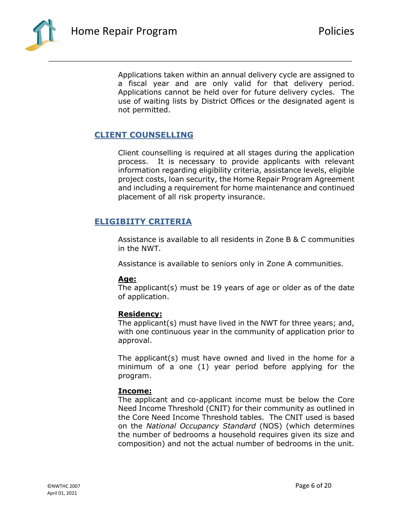

\_\_\_\_\_\_\_\_\_\_\_\_\_\_\_\_\_\_\_\_\_\_\_\_\_\_\_\_\_\_\_\_\_\_\_\_\_\_\_\_\_\_\_\_\_\_\_\_\_\_\_\_\_\_\_\_\_\_\_\_\_\_\_\_\_\_\_\_\_\_\_\_\_\_\_\_\_\_\_\_\_\_\_\_\_\_\_\_\_\_\_\_\_\_

# <span id="page-64-0"></span>**CLIENT COUNSELLING**

Client counselling is required at all stages during the application process. It is necessary to provide applicants with relevant information regarding eligibility criteria, assistance levels, eligible project costs, loan security, the Home Repair Program Agreement and including a requirement for home maintenance and continued placement of all risk property insurance.

## <span id="page-64-1"></span>**ELIGIBIITY CRITERIA**

Assistance is available to all residents in Zone B & C communities in the NWT.

Assistance is available to seniors only in Zone A communities.

#### **Age:**

The applicant(s) must be 19 years of age or older as of the date of application.

#### **Residency:**

The applicant(s) must have lived in the NWT for three years; and, with one continuous year in the community of application prior to approval.

The applicant(s) must have owned and lived in the home for a minimum of a one (1) year period before applying for the program.

#### **Income:**

The applicant and co-applicant income must be below the Core Need Income Threshold (CNIT) for their community as outlined in the Core Need Income Threshold tables. The CNIT used is based on the *National Occupancy Standard* (NOS) (which determines the number of bedrooms a household requires given its size and composition) and not the actual number of bedrooms in the unit.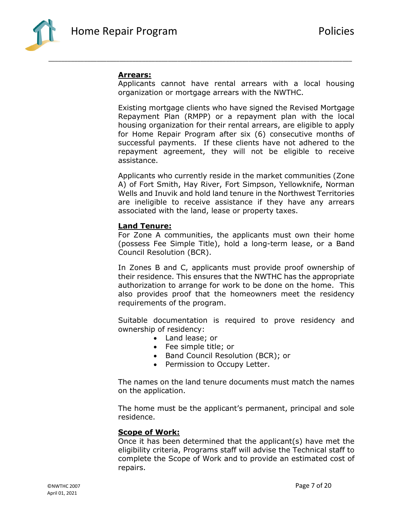

## **Arrears:**

Applicants cannot have rental arrears with a local housing organization or mortgage arrears with the NWTHC.

\_\_\_\_\_\_\_\_\_\_\_\_\_\_\_\_\_\_\_\_\_\_\_\_\_\_\_\_\_\_\_\_\_\_\_\_\_\_\_\_\_\_\_\_\_\_\_\_\_\_\_\_\_\_\_\_\_\_\_\_\_\_\_\_\_\_\_\_\_\_\_\_\_\_\_\_\_\_\_\_\_\_\_\_\_\_\_\_\_\_\_\_\_\_

Existing mortgage clients who have signed the Revised Mortgage Repayment Plan (RMPP) or a repayment plan with the local housing organization for their rental arrears, are eligible to apply for Home Repair Program after six (6) consecutive months of successful payments. If these clients have not adhered to the repayment agreement, they will not be eligible to receive assistance.

Applicants who currently reside in the market communities (Zone A) of Fort Smith, Hay River, Fort Simpson, Yellowknife, Norman Wells and Inuvik and hold land tenure in the Northwest Territories are ineligible to receive assistance if they have any arrears associated with the land, lease or property taxes.

#### **Land Tenure:**

For Zone A communities, the applicants must own their home (possess Fee Simple Title), hold a long-term lease, or a Band Council Resolution (BCR).

In Zones B and C, applicants must provide proof ownership of their residence. This ensures that the NWTHC has the appropriate authorization to arrange for work to be done on the home. This also provides proof that the homeowners meet the residency requirements of the program.

Suitable documentation is required to prove residency and ownership of residency:

- Land lease; or
- Fee simple title; or
- Band Council Resolution (BCR); or
- Permission to Occupy Letter.

The names on the land tenure documents must match the names on the application.

The home must be the applicant's permanent, principal and sole residence.

#### **Scope of Work:**

Once it has been determined that the applicant(s) have met the eligibility criteria, Programs staff will advise the Technical staff to complete the Scope of Work and to provide an estimated cost of repairs.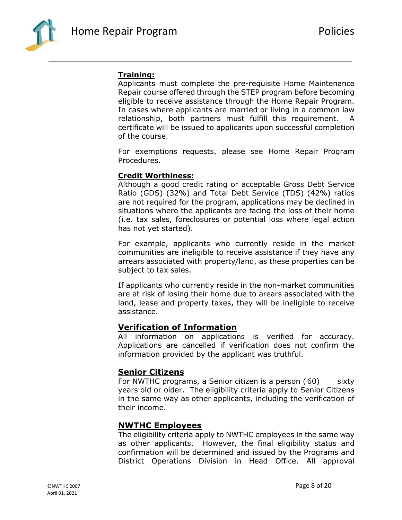

# **Training:**

Applicants must complete the pre-requisite Home Maintenance Repair course offered through the STEP program before becoming eligible to receive assistance through the Home Repair Program. In cases where applicants are married or living in a common law relationship, both partners must fulfill this requirement. certificate will be issued to applicants upon successful completion of the course.

\_\_\_\_\_\_\_\_\_\_\_\_\_\_\_\_\_\_\_\_\_\_\_\_\_\_\_\_\_\_\_\_\_\_\_\_\_\_\_\_\_\_\_\_\_\_\_\_\_\_\_\_\_\_\_\_\_\_\_\_\_\_\_\_\_\_\_\_\_\_\_\_\_\_\_\_\_\_\_\_\_\_\_\_\_\_\_\_\_\_\_\_\_\_

For exemptions requests, please see Home Repair Program Procedures.

## **Credit Worthiness:**

Although a good credit rating or acceptable Gross Debt Service Ratio (GDS) (32%) and Total Debt Service (TDS) (42%) ratios are not required for the program, applications may be declined in situations where the applicants are facing the loss of their home (i.e. tax sales, foreclosures or potential loss where legal action has not yet started).

For example, applicants who currently reside in the market communities are ineligible to receive assistance if they have any arrears associated with property/land, as these properties can be subject to tax sales.

If applicants who currently reside in the non-market communities are at risk of losing their home due to arears associated with the land, lease and property taxes, they will be ineligible to receive assistance.

## **Verification of Information**

All information on applications is verified for accuracy. Applications are cancelled if verification does not confirm the information provided by the applicant was truthful.

## **Senior Citizens**

For NWTHC programs, a Senior citizen is a person (60) sixty years old or older. The eligibility criteria apply to Senior Citizens in the same way as other applicants, including the verification of their income.

## **NWTHC Employees**

The eligibility criteria apply to NWTHC employees in the same way as other applicants. However, the final eligibility status and confirmation will be determined and issued by the Programs and District Operations Division in Head Office. All approval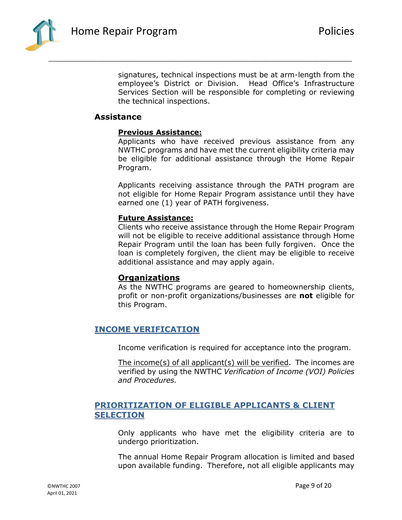signatures, technical inspections must be at arm-length from the employee's District or Division. Head Office's Infrastructure Services Section will be responsible for completing or reviewing the technical inspections.

\_\_\_\_\_\_\_\_\_\_\_\_\_\_\_\_\_\_\_\_\_\_\_\_\_\_\_\_\_\_\_\_\_\_\_\_\_\_\_\_\_\_\_\_\_\_\_\_\_\_\_\_\_\_\_\_\_\_\_\_\_\_\_\_\_\_\_\_\_\_\_\_\_\_\_\_\_\_\_\_\_\_\_\_\_\_\_\_\_\_\_\_\_\_

## **Assistance**

## **Previous Assistance:**

Applicants who have received previous assistance from any NWTHC programs and have met the current eligibility criteria may be eligible for additional assistance through the Home Repair Program.

Applicants receiving assistance through the PATH program are not eligible for Home Repair Program assistance until they have earned one (1) year of PATH forgiveness.

#### **Future Assistance:**

Clients who receive assistance through the Home Repair Program will not be eligible to receive additional assistance through Home Repair Program until the loan has been fully forgiven. Once the loan is completely forgiven, the client may be eligible to receive additional assistance and may apply again.

## **Organizations**

As the NWTHC programs are geared to homeownership clients, profit or non-profit organizations/businesses are **not** eligible for this Program.

# <span id="page-67-0"></span>**INCOME VERIFICATION**

Income verification is required for acceptance into the program.

The income(s) of all applicant(s) will be verified. The incomes are verified by using the NWTHC *Verification of Income (VOI) Policies and Procedures.*

## <span id="page-67-1"></span>**PRIORITIZATION OF ELIGIBLE APPLICANTS & CLIENT SELECTION**

Only applicants who have met the eligibility criteria are to undergo prioritization.

The annual Home Repair Program allocation is limited and based upon available funding. Therefore, not all eligible applicants may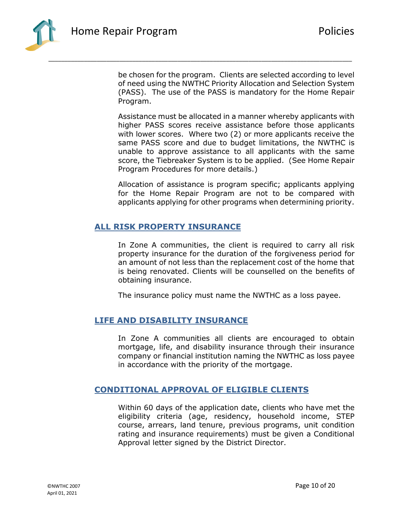

be chosen for the program. Clients are selected according to level of need using the NWTHC Priority Allocation and Selection System (PASS). The use of the PASS is mandatory for the Home Repair Program.

\_\_\_\_\_\_\_\_\_\_\_\_\_\_\_\_\_\_\_\_\_\_\_\_\_\_\_\_\_\_\_\_\_\_\_\_\_\_\_\_\_\_\_\_\_\_\_\_\_\_\_\_\_\_\_\_\_\_\_\_\_\_\_\_\_\_\_\_\_\_\_\_\_\_\_\_\_\_\_\_\_\_\_\_\_\_\_\_\_\_\_\_\_\_

Assistance must be allocated in a manner whereby applicants with higher PASS scores receive assistance before those applicants with lower scores. Where two (2) or more applicants receive the same PASS score and due to budget limitations, the NWTHC is unable to approve assistance to all applicants with the same score, the Tiebreaker System is to be applied. (See Home Repair Program Procedures for more details.)

Allocation of assistance is program specific; applicants applying for the Home Repair Program are not to be compared with applicants applying for other programs when determining priority.

# <span id="page-68-0"></span>**ALL RISK PROPERTY INSURANCE**

In Zone A communities, the client is required to carry all risk property insurance for the duration of the forgiveness period for an amount of not less than the replacement cost of the home that is being renovated. Clients will be counselled on the benefits of obtaining insurance.

The insurance policy must name the NWTHC as a loss payee.

# <span id="page-68-1"></span>**LIFE AND DISABILITY INSURANCE**

In Zone A communities all clients are encouraged to obtain mortgage, life, and disability insurance through their insurance company or financial institution naming the NWTHC as loss payee in accordance with the priority of the mortgage.

# <span id="page-68-2"></span>**CONDITIONAL APPROVAL OF ELIGIBLE CLIENTS**

Within 60 days of the application date, clients who have met the eligibility criteria (age, residency, household income, STEP course, arrears, land tenure, previous programs, unit condition rating and insurance requirements) must be given a Conditional Approval letter signed by the District Director.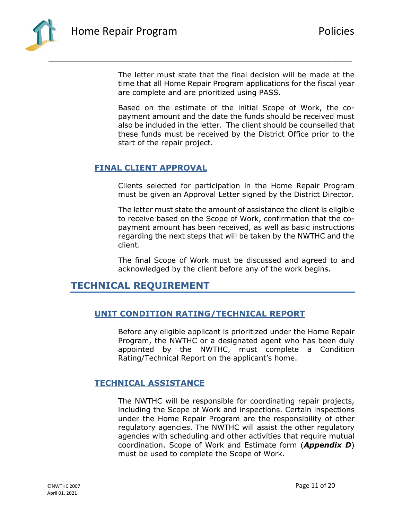

\_\_\_\_\_\_\_\_\_\_\_\_\_\_\_\_\_\_\_\_\_\_\_\_\_\_\_\_\_\_\_\_\_\_\_\_\_\_\_\_\_\_\_\_\_\_\_\_\_\_\_\_\_\_\_\_\_\_\_\_\_\_\_\_\_\_\_\_\_\_\_\_\_\_\_\_\_\_\_\_\_\_\_\_\_\_\_\_\_\_\_\_\_\_

Based on the estimate of the initial Scope of Work, the copayment amount and the date the funds should be received must also be included in the letter. The client should be counselled that these funds must be received by the District Office prior to the start of the repair project.

## <span id="page-69-0"></span>**FINAL CLIENT APPROVAL**

Clients selected for participation in the Home Repair Program must be given an Approval Letter signed by the District Director.

The letter must state the amount of assistance the client is eligible to receive based on the Scope of Work, confirmation that the copayment amount has been received, as well as basic instructions regarding the next steps that will be taken by the NWTHC and the client.

The final Scope of Work must be discussed and agreed to and acknowledged by the client before any of the work begins.

# <span id="page-69-2"></span><span id="page-69-1"></span>**TECHNICAL REQUIREMENT**

## **UNIT CONDITION RATING/TECHNICAL REPORT**

Before any eligible applicant is prioritized under the Home Repair Program, the NWTHC or a designated agent who has been duly appointed by the NWTHC, must complete a Condition Rating/Technical Report on the applicant's home.

# <span id="page-69-3"></span>**TECHNICAL ASSISTANCE**

The NWTHC will be responsible for coordinating repair projects, including the Scope of Work and inspections. Certain inspections under the Home Repair Program are the responsibility of other regulatory agencies. The NWTHC will assist the other regulatory agencies with scheduling and other activities that require mutual coordination. Scope of Work and Estimate form (*Appendix D*) must be used to complete the Scope of Work.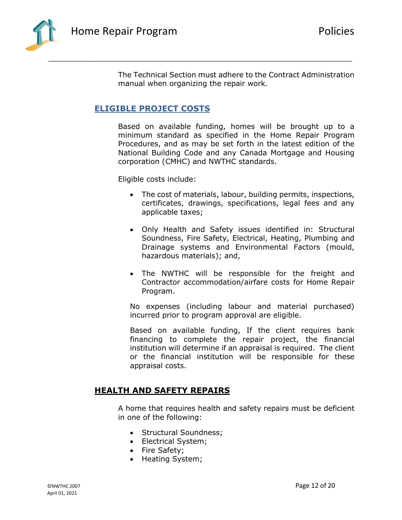

The Technical Section must adhere to the Contract Administration manual when organizing the repair work.

<span id="page-70-0"></span>\_\_\_\_\_\_\_\_\_\_\_\_\_\_\_\_\_\_\_\_\_\_\_\_\_\_\_\_\_\_\_\_\_\_\_\_\_\_\_\_\_\_\_\_\_\_\_\_\_\_\_\_\_\_\_\_\_\_\_\_\_\_\_\_\_\_\_\_\_\_\_\_\_\_\_\_\_\_\_\_\_\_\_\_\_\_\_\_\_\_\_\_\_\_

# **ELIGIBLE PROJECT COSTS**

Based on available funding, homes will be brought up to a minimum standard as specified in the Home Repair Program Procedures, and as may be set forth in the latest edition of the National Building Code and any Canada Mortgage and Housing corporation (CMHC) and NWTHC standards.

Eligible costs include:

- The cost of materials, labour, building permits, inspections, certificates, drawings, specifications, legal fees and any applicable taxes;
- Only Health and Safety issues identified in: Structural Soundness, Fire Safety, Electrical, Heating, Plumbing and Drainage systems and Environmental Factors (mould, hazardous materials); and,
- The NWTHC will be responsible for the freight and Contractor accommodation/airfare costs for Home Repair Program.

No expenses (including labour and material purchased) incurred prior to program approval are eligible.

Based on available funding, If the client requires bank financing to complete the repair project, the financial institution will determine if an appraisal is required. The client or the financial institution will be responsible for these appraisal costs.

# <span id="page-70-1"></span>**HEALTH AND SAFETY REPAIRS**

A home that requires health and safety repairs must be deficient in one of the following:

- Structural Soundness;
- Electrical System;
- Fire Safety;
- Heating System;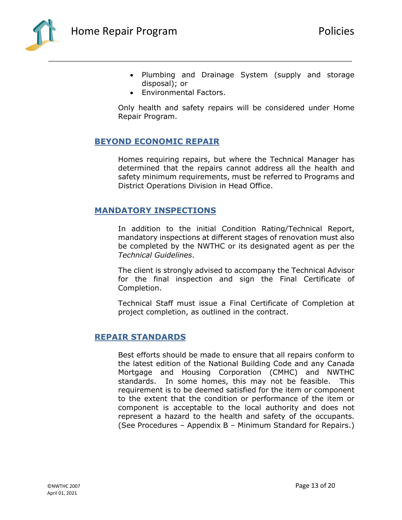

- Plumbing and Drainage System (supply and storage disposal); or
- Environmental Factors.

\_\_\_\_\_\_\_\_\_\_\_\_\_\_\_\_\_\_\_\_\_\_\_\_\_\_\_\_\_\_\_\_\_\_\_\_\_\_\_\_\_\_\_\_\_\_\_\_\_\_\_\_\_\_\_\_\_\_\_\_\_\_\_\_\_\_\_\_\_\_\_\_\_\_\_\_\_\_\_\_\_\_\_\_\_\_\_\_\_\_\_\_\_\_

Only health and safety repairs will be considered under Home Repair Program.

## <span id="page-71-0"></span>**BEYOND ECONOMIC REPAIR**

Homes requiring repairs, but where the Technical Manager has determined that the repairs cannot address all the health and safety minimum requirements, must be referred to Programs and District Operations Division in Head Office.

## <span id="page-71-1"></span>**MANDATORY INSPECTIONS**

In addition to the initial Condition Rating/Technical Report, mandatory inspections at different stages of renovation must also be completed by the NWTHC or its designated agent as per the *Technical Guidelines*.

The client is strongly advised to accompany the Technical Advisor for the final inspection and sign the Final Certificate of Completion.

Technical Staff must issue a Final Certificate of Completion at project completion, as outlined in the contract.

## <span id="page-71-2"></span>**REPAIR STANDARDS**

Best efforts should be made to ensure that all repairs conform to the latest edition of the National Building Code and any Canada Mortgage and Housing Corporation (CMHC) and NWTHC standards. In some homes, this may not be feasible. This requirement is to be deemed satisfied for the item or component to the extent that the condition or performance of the item or component is acceptable to the local authority and does not represent a hazard to the health and safety of the occupants. (See Procedures – Appendix B – Minimum Standard for Repairs.)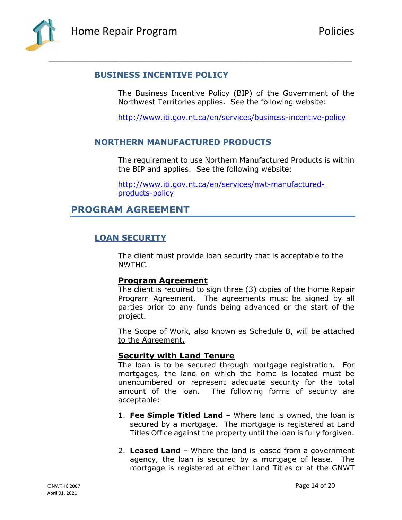

The Business Incentive Policy (BIP) of the Government of the Northwest Territories applies. See the following website:

<http://www.iti.gov.nt.ca/en/services/business-incentive-policy>

## **NORTHERN MANUFACTURED PRODUCTS**

\_\_\_\_\_\_\_\_\_\_\_\_\_\_\_\_\_\_\_\_\_\_\_\_\_\_\_\_\_\_\_\_\_\_\_\_\_\_\_\_\_\_\_\_\_\_\_\_\_\_\_\_\_\_\_\_\_\_\_\_\_\_\_\_\_\_\_\_\_\_\_\_\_\_\_\_\_\_\_\_\_\_\_\_\_\_\_\_\_\_\_\_\_\_

The requirement to use Northern Manufactured Products is within the BIP and applies. See the following website:

[http://www.iti.gov.nt.ca/en/services/nwt-manufactured](http://www.iti.gov.nt.ca/en/services/nwt-manufactured-products-policy)[products-policy](http://www.iti.gov.nt.ca/en/services/nwt-manufactured-products-policy)

# **PROGRAM AGREEMENT**

# **LOAN SECURITY**

The client must provide loan security that is acceptable to the NWTHC.

### **Program Agreement**

The client is required to sign three (3) copies of the Home Repair Program Agreement. The agreements must be signed by all parties prior to any funds being advanced or the start of the project.

The Scope of Work, also known as Schedule B, will be attached to the Agreement.

### **Security with Land Tenure**

The loan is to be secured through mortgage registration. For mortgages, the land on which the home is located must be unencumbered or represent adequate security for the total amount of the loan. The following forms of security are acceptable:

- 1. **Fee Simple Titled Land** Where land is owned, the loan is secured by a mortgage. The mortgage is registered at Land Titles Office against the property until the loan is fully forgiven.
- 2. **Leased Land** Where the land is leased from a government agency, the loan is secured by a mortgage of lease. The mortgage is registered at either Land Titles or at the GNWT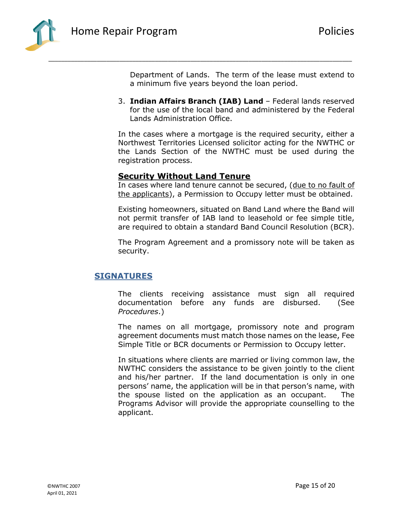

Department of Lands. The term of the lease must extend to a minimum five years beyond the loan period.

3. **Indian Affairs Branch (IAB) Land** – Federal lands reserved for the use of the local band and administered by the Federal Lands Administration Office.

In the cases where a mortgage is the required security, either a Northwest Territories Licensed solicitor acting for the NWTHC or the Lands Section of the NWTHC must be used during the registration process.

## **Security Without Land Tenure**

\_\_\_\_\_\_\_\_\_\_\_\_\_\_\_\_\_\_\_\_\_\_\_\_\_\_\_\_\_\_\_\_\_\_\_\_\_\_\_\_\_\_\_\_\_\_\_\_\_\_\_\_\_\_\_\_\_\_\_\_\_\_\_\_\_\_\_\_\_\_\_\_\_\_\_\_\_\_\_\_\_\_\_\_\_\_\_\_\_\_\_\_\_\_

In cases where land tenure cannot be secured, (due to no fault of the applicants), a Permission to Occupy letter must be obtained.

Existing homeowners, situated on Band Land where the Band will not permit transfer of IAB land to leasehold or fee simple title, are required to obtain a standard Band Council Resolution (BCR).

The Program Agreement and a promissory note will be taken as security.

# **SIGNATURES**

The clients receiving assistance must sign all required documentation before any funds are disbursed. (See *Procedures*.)

The names on all mortgage, promissory note and program agreement documents must match those names on the lease, Fee Simple Title or BCR documents or Permission to Occupy letter.

In situations where clients are married or living common law, the NWTHC considers the assistance to be given jointly to the client and his/her partner. If the land documentation is only in one persons' name, the application will be in that person's name, with the spouse listed on the application as an occupant. The Programs Advisor will provide the appropriate counselling to the applicant.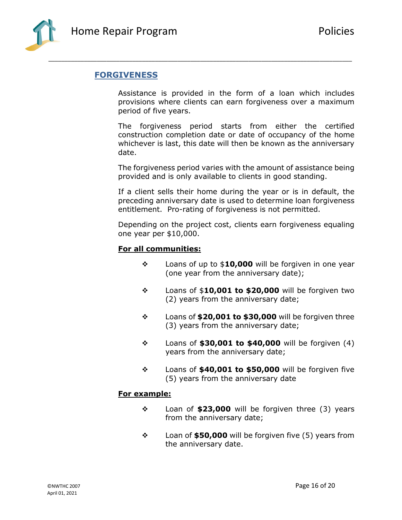

## **FORGIVENESS**

Assistance is provided in the form of a loan which includes provisions where clients can earn forgiveness over a maximum period of five years.

\_\_\_\_\_\_\_\_\_\_\_\_\_\_\_\_\_\_\_\_\_\_\_\_\_\_\_\_\_\_\_\_\_\_\_\_\_\_\_\_\_\_\_\_\_\_\_\_\_\_\_\_\_\_\_\_\_\_\_\_\_\_\_\_\_\_\_\_\_\_\_\_\_\_\_\_\_\_\_\_\_\_\_\_\_\_\_\_\_\_\_\_\_\_

The forgiveness period starts from either the certified construction completion date or date of occupancy of the home whichever is last, this date will then be known as the anniversary date.

The forgiveness period varies with the amount of assistance being provided and is only available to clients in good standing.

If a client sells their home during the year or is in default, the preceding anniversary date is used to determine loan forgiveness entitlement. Pro-rating of forgiveness is not permitted.

Depending on the project cost, clients earn forgiveness equaling one year per \$10,000.

#### **For all communities:**

- Loans of up to \$**10,000** will be forgiven in one year (one year from the anniversary date);
- Loans of \$**10,001 to \$20,000** will be forgiven two (2) years from the anniversary date;
- Loans of **\$20,001 to \$30,000** will be forgiven three (3) years from the anniversary date;
- Loans of **\$30,001 to \$40,000** will be forgiven (4) years from the anniversary date;
- Loans of **\$40,001 to \$50,000** will be forgiven five (5) years from the anniversary date

### **For example:**

- Loan of **\$23,000** will be forgiven three (3) years from the anniversary date;
- Loan of **\$50,000** will be forgiven five (5) years from the anniversary date.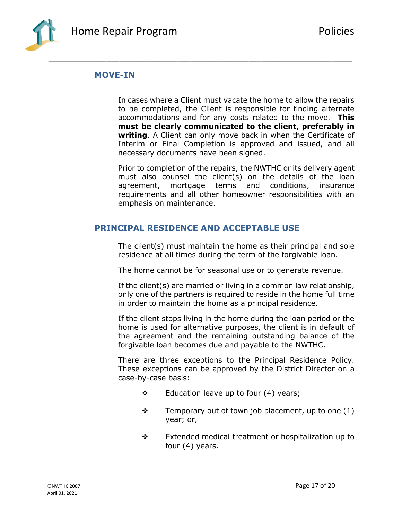

# **MOVE-IN**

In cases where a Client must vacate the home to allow the repairs to be completed, the Client is responsible for finding alternate accommodations and for any costs related to the move. **This must be clearly communicated to the client, preferably in writing**. A Client can only move back in when the Certificate of Interim or Final Completion is approved and issued, and all necessary documents have been signed.

Prior to completion of the repairs, the NWTHC or its delivery agent must also counsel the client(s) on the details of the loan agreement, mortgage terms and conditions, insurance requirements and all other homeowner responsibilities with an emphasis on maintenance.

## **PRINCIPAL RESIDENCE AND ACCEPTABLE USE**

\_\_\_\_\_\_\_\_\_\_\_\_\_\_\_\_\_\_\_\_\_\_\_\_\_\_\_\_\_\_\_\_\_\_\_\_\_\_\_\_\_\_\_\_\_\_\_\_\_\_\_\_\_\_\_\_\_\_\_\_\_\_\_\_\_\_\_\_\_\_\_\_\_\_\_\_\_\_\_\_\_\_\_\_\_\_\_\_\_\_\_\_\_\_

The client(s) must maintain the home as their principal and sole residence at all times during the term of the forgivable loan.

The home cannot be for seasonal use or to generate revenue.

If the client(s) are married or living in a common law relationship, only one of the partners is required to reside in the home full time in order to maintain the home as a principal residence.

If the client stops living in the home during the loan period or the home is used for alternative purposes, the client is in default of the agreement and the remaining outstanding balance of the forgivable loan becomes due and payable to the NWTHC.

There are three exceptions to the Principal Residence Policy. These exceptions can be approved by the District Director on a case-by-case basis:

- $\div$  Education leave up to four (4) years;
- $\div$  Temporary out of town job placement, up to one (1) year; or,
- $\div$  Extended medical treatment or hospitalization up to four (4) years.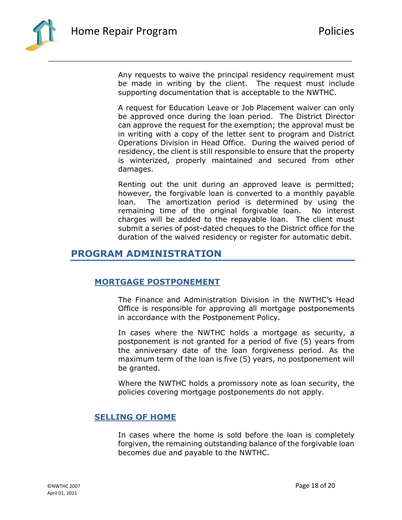

Any requests to waive the principal residency requirement must be made in writing by the client. The request must include supporting documentation that is acceptable to the NWTHC.

\_\_\_\_\_\_\_\_\_\_\_\_\_\_\_\_\_\_\_\_\_\_\_\_\_\_\_\_\_\_\_\_\_\_\_\_\_\_\_\_\_\_\_\_\_\_\_\_\_\_\_\_\_\_\_\_\_\_\_\_\_\_\_\_\_\_\_\_\_\_\_\_\_\_\_\_\_\_\_\_\_\_\_\_\_\_\_\_\_\_\_\_\_\_

A request for Education Leave or Job Placement waiver can only be approved once during the loan period. The District Director can approve the request for the exemption; the approval must be in writing with a copy of the letter sent to program and District Operations Division in Head Office. During the waived period of residency, the client is still responsible to ensure that the property is winterized, properly maintained and secured from other damages.

Renting out the unit during an approved leave is permitted; however, the forgivable loan is converted to a monthly payable loan. The amortization period is determined by using the remaining time of the original forgivable loan. No interest charges will be added to the repayable loan. The client must submit a series of post-dated cheques to the District office for the duration of the waived residency or register for automatic debit.

# **PROGRAM ADMINISTRATION**

# **MORTGAGE POSTPONEMENT**

The Finance and Administration Division in the NWTHC's Head Office is responsible for approving all mortgage postponements in accordance with the Postponement Policy.

In cases where the NWTHC holds a mortgage as security, a postponement is not granted for a period of five (5) years from the anniversary date of the loan forgiveness period. As the maximum term of the loan is five (5) years, no postponement will be granted.

Where the NWTHC holds a promissory note as loan security, the policies covering mortgage postponements do not apply.

### **SELLING OF HOME**

In cases where the home is sold before the loan is completely forgiven, the remaining outstanding balance of the forgivable loan becomes due and payable to the NWTHC.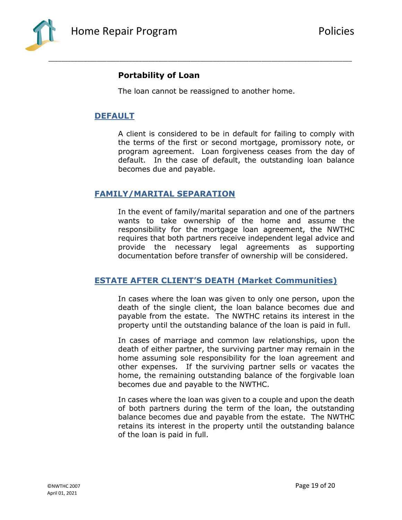

# **Portability of Loan**

The loan cannot be reassigned to another home.

\_\_\_\_\_\_\_\_\_\_\_\_\_\_\_\_\_\_\_\_\_\_\_\_\_\_\_\_\_\_\_\_\_\_\_\_\_\_\_\_\_\_\_\_\_\_\_\_\_\_\_\_\_\_\_\_\_\_\_\_\_\_\_\_\_\_\_\_\_\_\_\_\_\_\_\_\_\_\_\_\_\_\_\_\_\_\_\_\_\_\_\_\_\_

# **DEFAULT**

A client is considered to be in default for failing to comply with the terms of the first or second mortgage, promissory note, or program agreement. Loan forgiveness ceases from the day of default. In the case of default, the outstanding loan balance becomes due and payable.

# **FAMILY/MARITAL SEPARATION**

In the event of family/marital separation and one of the partners wants to take ownership of the home and assume the responsibility for the mortgage loan agreement, the NWTHC requires that both partners receive independent legal advice and provide the necessary legal agreements as supporting documentation before transfer of ownership will be considered.

# **ESTATE AFTER CLIENT'S DEATH (Market Communities)**

In cases where the loan was given to only one person, upon the death of the single client, the loan balance becomes due and payable from the estate. The NWTHC retains its interest in the property until the outstanding balance of the loan is paid in full.

In cases of marriage and common law relationships, upon the death of either partner, the surviving partner may remain in the home assuming sole responsibility for the loan agreement and other expenses. If the surviving partner sells or vacates the home, the remaining outstanding balance of the forgivable loan becomes due and payable to the NWTHC.

In cases where the loan was given to a couple and upon the death of both partners during the term of the loan, the outstanding balance becomes due and payable from the estate. The NWTHC retains its interest in the property until the outstanding balance of the loan is paid in full.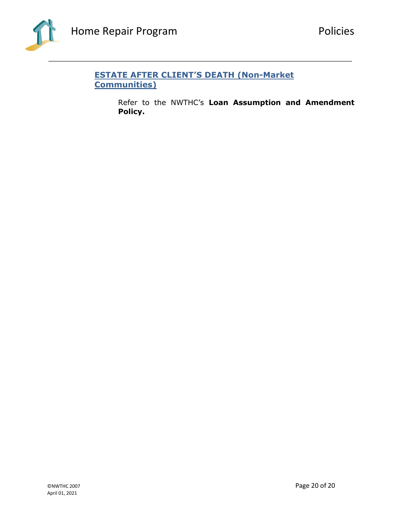

**ESTATE AFTER CLIENT'S DEATH (Non-Market Communities)**

\_\_\_\_\_\_\_\_\_\_\_\_\_\_\_\_\_\_\_\_\_\_\_\_\_\_\_\_\_\_\_\_\_\_\_\_\_\_\_\_\_\_\_\_\_\_\_\_\_\_\_\_\_\_\_\_\_\_\_\_\_\_\_\_\_\_\_\_\_\_\_\_\_\_\_\_\_\_\_\_\_\_\_\_\_\_\_\_\_\_\_\_\_\_

Refer to the NWTHC's **Loan Assumption and Amendment Policy.**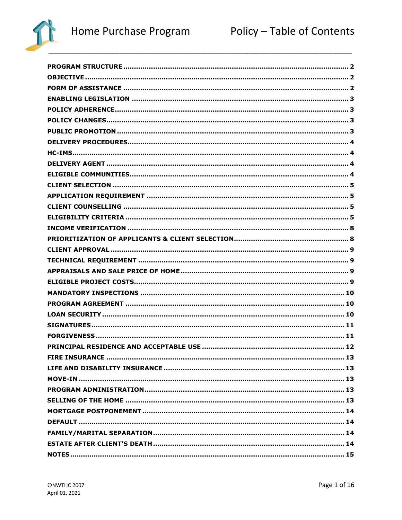

| <b>FIRE INSURANCE</b> |
|-----------------------|
|                       |
|                       |
|                       |
|                       |
|                       |
|                       |
|                       |
|                       |
|                       |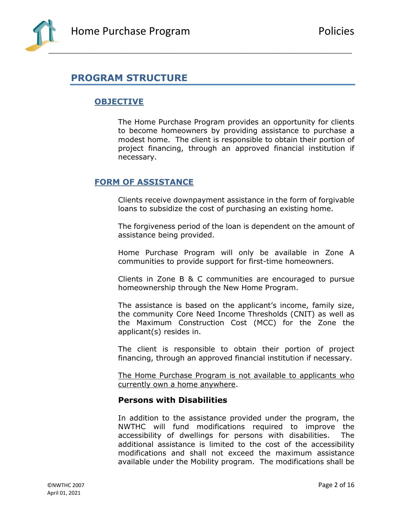

# <span id="page-80-1"></span><span id="page-80-0"></span>**PROGRAM STRUCTURE**

# **OBJECTIVE**

The Home Purchase Program provides an opportunity for clients to become homeowners by providing assistance to purchase a modest home. The client is responsible to obtain their portion of project financing, through an approved financial institution if necessary.

### <span id="page-80-2"></span>**FORM OF ASSISTANCE**

Clients receive downpayment assistance in the form of forgivable loans to subsidize the cost of purchasing an existing home.

The forgiveness period of the loan is dependent on the amount of assistance being provided.

Home Purchase Program will only be available in Zone A communities to provide support for first-time homeowners.

Clients in Zone B & C communities are encouraged to pursue homeownership through the New Home Program.

The assistance is based on the applicant's income, family size, the community Core Need Income Thresholds (CNIT) as well as the Maximum Construction Cost (MCC) for the Zone the applicant(s) resides in.

The client is responsible to obtain their portion of project financing, through an approved financial institution if necessary.

The Home Purchase Program is not available to applicants who currently own a home anywhere.

### **Persons with Disabilities**

In addition to the assistance provided under the program, the NWTHC will fund modifications required to improve the accessibility of dwellings for persons with disabilities. The additional assistance is limited to the cost of the accessibility modifications and shall not exceed the maximum assistance available under the Mobility program. The modifications shall be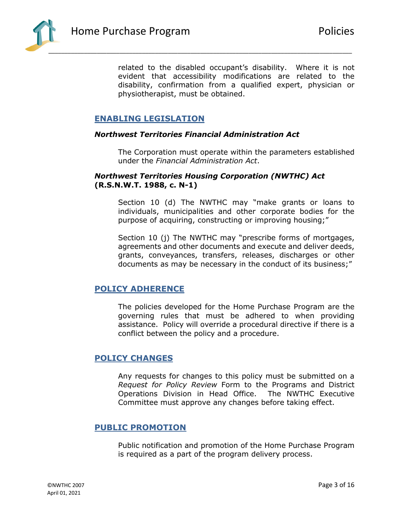

### <span id="page-81-0"></span>**ENABLING LEGISLATION**

#### *Northwest Territories Financial Administration Act*

\_\_\_\_\_\_\_\_\_\_\_\_\_\_\_\_\_\_\_\_\_\_\_\_\_\_\_\_\_\_\_\_\_\_\_\_\_\_\_\_\_\_\_\_\_\_\_\_\_\_\_\_\_\_\_\_\_\_\_\_\_\_\_\_\_\_\_\_\_\_\_\_\_\_\_\_\_\_\_\_\_\_\_\_\_\_\_\_\_\_\_\_\_\_

The Corporation must operate within the parameters established under the *Financial Administration Act*.

#### *Northwest Territories Housing Corporation (NWTHC) Act*  **(R.S.N.W.T. 1988, c. N-1)**

Section 10 (d) The NWTHC may "make grants or loans to individuals, municipalities and other corporate bodies for the purpose of acquiring, constructing or improving housing;"

Section 10 (j) The NWTHC may "prescribe forms of mortgages, agreements and other documents and execute and deliver deeds, grants, conveyances, transfers, releases, discharges or other documents as may be necessary in the conduct of its business;"

### <span id="page-81-1"></span>**POLICY ADHERENCE**

The policies developed for the Home Purchase Program are the governing rules that must be adhered to when providing assistance. Policy will override a procedural directive if there is a conflict between the policy and a procedure.

#### <span id="page-81-2"></span>**POLICY CHANGES**

Any requests for changes to this policy must be submitted on a *Request for Policy Review* Form to the Programs and District Operations Division in Head Office. The NWTHC Executive Committee must approve any changes before taking effect.

### <span id="page-81-3"></span>**PUBLIC PROMOTION**

Public notification and promotion of the Home Purchase Program is required as a part of the program delivery process.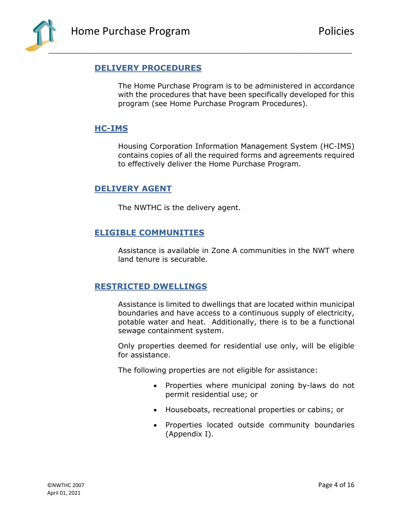

### <span id="page-82-0"></span>**DELIVERY PROCEDURES**

The Home Purchase Program is to be administered in accordance with the procedures that have been specifically developed for this program (see Home Purchase Program Procedures).

### <span id="page-82-1"></span>**HC-IMS**

Housing Corporation Information Management System (HC-IMS) contains copies of all the required forms and agreements required to effectively deliver the Home Purchase Program.

### <span id="page-82-2"></span>**DELIVERY AGENT**

The NWTHC is the delivery agent.

### <span id="page-82-3"></span>**ELIGIBLE COMMUNITIES**

Assistance is available in Zone A communities in the NWT where land tenure is securable.

### **RESTRICTED DWELLINGS**

Assistance is limited to dwellings that are located within municipal boundaries and have access to a continuous supply of electricity, potable water and heat. Additionally, there is to be a functional sewage containment system.

Only properties deemed for residential use only, will be eligible for assistance.

The following properties are not eligible for assistance:

- Properties where municipal zoning by-laws do not permit residential use; or
- Houseboats, recreational properties or cabins; or
- Properties located outside community boundaries (Appendix I).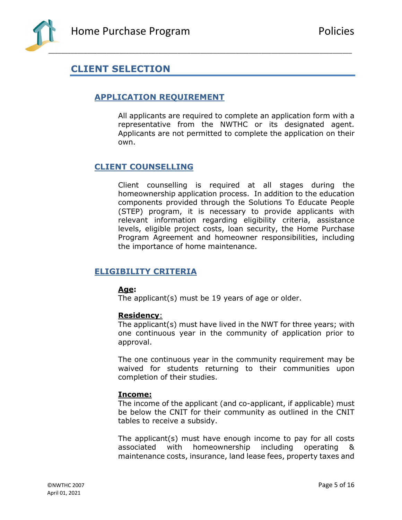

# <span id="page-83-1"></span><span id="page-83-0"></span>**CLIENT SELECTION**

## **APPLICATION REQUIREMENT**

All applicants are required to complete an application form with a representative from the NWTHC or its designated agent. Applicants are not permitted to complete the application on their own.

### <span id="page-83-2"></span>**CLIENT COUNSELLING**

Client counselling is required at all stages during the homeownership application process. In addition to the education components provided through the Solutions To Educate People (STEP) program, it is necessary to provide applicants with relevant information regarding eligibility criteria, assistance levels, eligible project costs, loan security, the Home Purchase Program Agreement and homeowner responsibilities, including the importance of home maintenance.

### <span id="page-83-3"></span>**ELIGIBILITY CRITERIA**

### **Age:**

The applicant(s) must be 19 years of age or older.

#### **Residency**:

The applicant(s) must have lived in the NWT for three years; with one continuous year in the community of application prior to approval.

The one continuous year in the community requirement may be waived for students returning to their communities upon completion of their studies.

#### **Income:**

The income of the applicant (and co-applicant, if applicable) must be below the CNIT for their community as outlined in the CNIT tables to receive a subsidy.

The applicant(s) must have enough income to pay for all costs associated with homeownership including operating & maintenance costs, insurance, land lease fees, property taxes and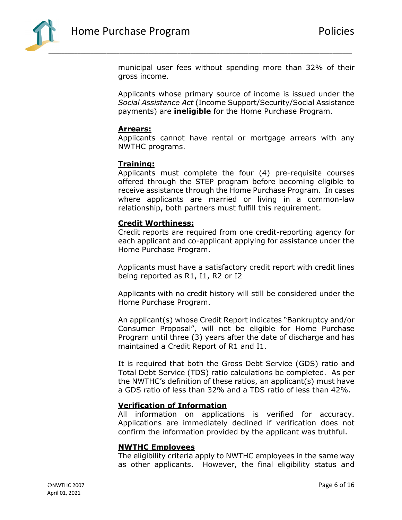

municipal user fees without spending more than 32% of their gross income.

Applicants whose primary source of income is issued under the *Social Assistance Act* (Income Support/Security/Social Assistance payments) are **ineligible** for the Home Purchase Program.

#### **Arrears:**

Applicants cannot have rental or mortgage arrears with any NWTHC programs.

#### **Training:**

Applicants must complete the four (4) pre-requisite courses offered through the STEP program before becoming eligible to receive assistance through the Home Purchase Program. In cases where applicants are married or living in a common-law relationship, both partners must fulfill this requirement.

#### **Credit Worthiness:**

Credit reports are required from one credit-reporting agency for each applicant and co-applicant applying for assistance under the Home Purchase Program.

Applicants must have a satisfactory credit report with credit lines being reported as R1, I1, R2 or I2

Applicants with no credit history will still be considered under the Home Purchase Program.

An applicant(s) whose Credit Report indicates "Bankruptcy and/or Consumer Proposal", will not be eligible for Home Purchase Program until three (3) years after the date of discharge and has maintained a Credit Report of R1 and I1.

It is required that both the Gross Debt Service (GDS) ratio and Total Debt Service (TDS) ratio calculations be completed. As per the NWTHC's definition of these ratios, an applicant(s) must have a GDS ratio of less than 32% and a TDS ratio of less than 42%.

### **Verification of Information**

All information on applications is verified for accuracy. Applications are immediately declined if verification does not confirm the information provided by the applicant was truthful.

#### **NWTHC Employees**

The eligibility criteria apply to NWTHC employees in the same way as other applicants. However, the final eligibility status and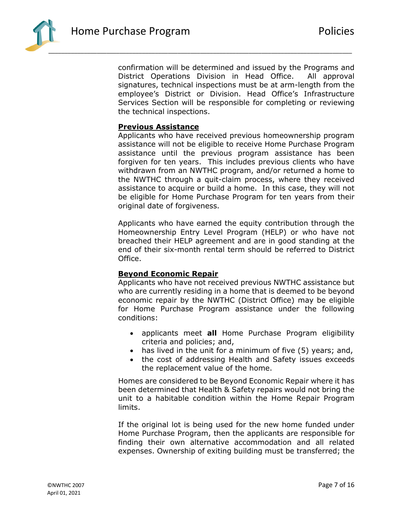confirmation will be determined and issued by the Programs and District Operations Division in Head Office. All approval signatures, technical inspections must be at arm-length from the employee's District or Division. Head Office's Infrastructure Services Section will be responsible for completing or reviewing the technical inspections.

\_\_\_\_\_\_\_\_\_\_\_\_\_\_\_\_\_\_\_\_\_\_\_\_\_\_\_\_\_\_\_\_\_\_\_\_\_\_\_\_\_\_\_\_\_\_\_\_\_\_\_\_\_\_\_\_\_\_\_\_\_\_\_\_\_\_\_\_\_\_\_\_\_\_\_\_\_\_\_\_\_\_\_\_\_\_\_\_\_\_\_\_\_\_

#### **Previous Assistance**

Applicants who have received previous homeownership program assistance will not be eligible to receive Home Purchase Program assistance until the previous program assistance has been forgiven for ten years. This includes previous clients who have withdrawn from an NWTHC program, and/or returned a home to the NWTHC through a quit-claim process, where they received assistance to acquire or build a home. In this case, they will not be eligible for Home Purchase Program for ten years from their original date of forgiveness.

Applicants who have earned the equity contribution through the Homeownership Entry Level Program (HELP) or who have not breached their HELP agreement and are in good standing at the end of their six-month rental term should be referred to District Office.

#### **Beyond Economic Repair**

Applicants who have not received previous NWTHC assistance but who are currently residing in a home that is deemed to be beyond economic repair by the NWTHC (District Office) may be eligible for Home Purchase Program assistance under the following conditions:

- applicants meet **all** Home Purchase Program eligibility criteria and policies; and,
- has lived in the unit for a minimum of five (5) years; and,
- the cost of addressing Health and Safety issues exceeds the replacement value of the home.

Homes are considered to be Beyond Economic Repair where it has been determined that Health & Safety repairs would not bring the unit to a habitable condition within the Home Repair Program limits.

If the original lot is being used for the new home funded under Home Purchase Program, then the applicants are responsible for finding their own alternative accommodation and all related expenses. Ownership of exiting building must be transferred; the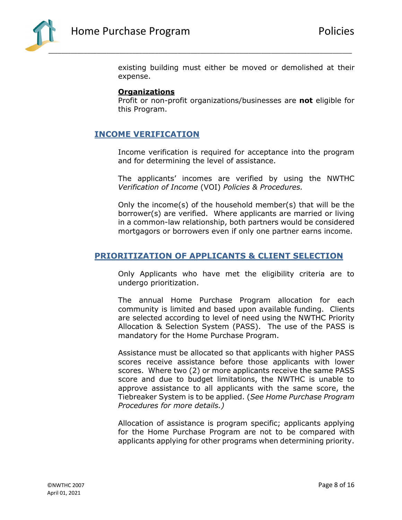

existing building must either be moved or demolished at their expense.

#### **Organizations**

Profit or non-profit organizations/businesses are **not** eligible for this Program.

### <span id="page-86-0"></span>**INCOME VERIFICATION**

Income verification is required for acceptance into the program and for determining the level of assistance.

The applicants' incomes are verified by using the NWTHC *Verification of Income* (VOI) *Policies & Procedures.* 

Only the income(s) of the household member(s) that will be the borrower(s) are verified. Where applicants are married or living in a common-law relationship, both partners would be considered mortgagors or borrowers even if only one partner earns income.

### <span id="page-86-1"></span>**PRIORITIZATION OF APPLICANTS & CLIENT SELECTION**

Only Applicants who have met the eligibility criteria are to undergo prioritization.

The annual Home Purchase Program allocation for each community is limited and based upon available funding. Clients are selected according to level of need using the NWTHC Priority Allocation & Selection System (PASS). The use of the PASS is mandatory for the Home Purchase Program.

Assistance must be allocated so that applicants with higher PASS scores receive assistance before those applicants with lower scores. Where two (2) or more applicants receive the same PASS score and due to budget limitations, the NWTHC is unable to approve assistance to all applicants with the same score, the Tiebreaker System is to be applied. (*See Home Purchase Program Procedures for more details.)*

Allocation of assistance is program specific; applicants applying for the Home Purchase Program are not to be compared with applicants applying for other programs when determining priority.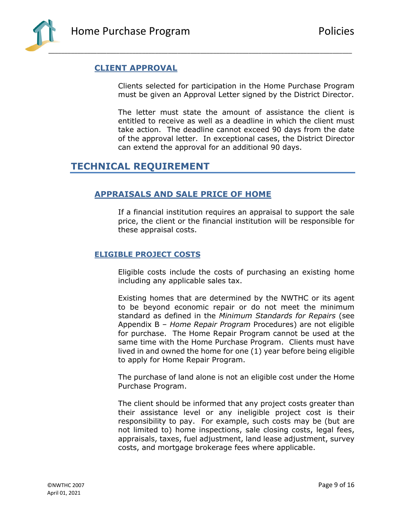

### <span id="page-87-0"></span>**CLIENT APPROVAL**

Clients selected for participation in the Home Purchase Program must be given an Approval Letter signed by the District Director.

The letter must state the amount of assistance the client is entitled to receive as well as a deadline in which the client must take action. The deadline cannot exceed 90 days from the date of the approval letter. In exceptional cases, the District Director can extend the approval for an additional 90 days.

# <span id="page-87-2"></span><span id="page-87-1"></span>**TECHNICAL REQUIREMENT**

### **APPRAISALS AND SALE PRICE OF HOME**

If a financial institution requires an appraisal to support the sale price, the client or the financial institution will be responsible for these appraisal costs.

### <span id="page-87-3"></span>**ELIGIBLE PROJECT COSTS**

Eligible costs include the costs of purchasing an existing home including any applicable sales tax.

Existing homes that are determined by the NWTHC or its agent to be beyond economic repair or do not meet the minimum standard as defined in the *Minimum Standards for Repairs* (see Appendix B – *Home Repair Program* Procedures) are not eligible for purchase. The Home Repair Program cannot be used at the same time with the Home Purchase Program. Clients must have lived in and owned the home for one (1) year before being eligible to apply for Home Repair Program.

The purchase of land alone is not an eligible cost under the Home Purchase Program.

The client should be informed that any project costs greater than their assistance level or any ineligible project cost is their responsibility to pay. For example, such costs may be (but are not limited to) home inspections, sale closing costs, legal fees, appraisals, taxes, fuel adjustment, land lease adjustment, survey costs, and mortgage brokerage fees where applicable.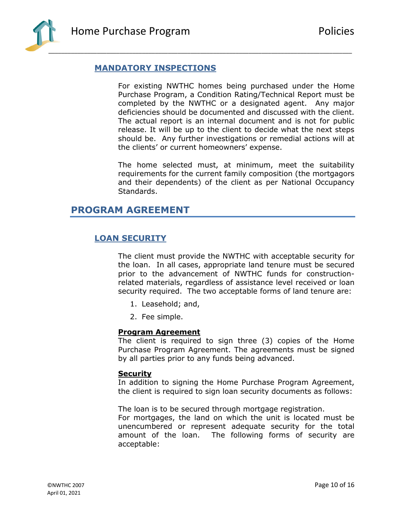

### <span id="page-88-0"></span>**MANDATORY INSPECTIONS**

For existing NWTHC homes being purchased under the Home Purchase Program, a Condition Rating/Technical Report must be completed by the NWTHC or a designated agent. Any major deficiencies should be documented and discussed with the client. The actual report is an internal document and is not for public release. It will be up to the client to decide what the next steps should be. Any further investigations or remedial actions will at the clients' or current homeowners' expense.

The home selected must, at minimum, meet the suitability requirements for the current family composition (the mortgagors and their dependents) of the client as per National Occupancy Standards.

# <span id="page-88-2"></span><span id="page-88-1"></span>**PROGRAM AGREEMENT**

### **LOAN SECURITY**

The client must provide the NWTHC with acceptable security for the loan. In all cases, appropriate land tenure must be secured prior to the advancement of NWTHC funds for constructionrelated materials, regardless of assistance level received or loan security required. The two acceptable forms of land tenure are:

- 1. Leasehold; and,
- 2. Fee simple.

### **Program Agreement**

The client is required to sign three (3) copies of the Home Purchase Program Agreement. The agreements must be signed by all parties prior to any funds being advanced.

#### **Security**

In addition to signing the Home Purchase Program Agreement, the client is required to sign loan security documents as follows:

The loan is to be secured through mortgage registration.

For mortgages, the land on which the unit is located must be unencumbered or represent adequate security for the total amount of the loan. The following forms of security are acceptable: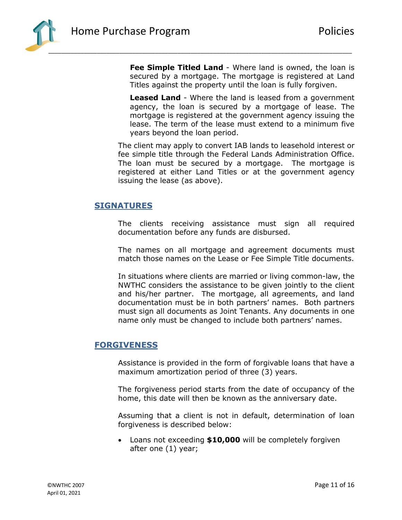

**Fee Simple Titled Land** - Where land is owned, the loan is secured by a mortgage. The mortgage is registered at Land Titles against the property until the loan is fully forgiven.

**Leased Land** - Where the land is leased from a government agency, the loan is secured by a mortgage of lease. The mortgage is registered at the government agency issuing the lease. The term of the lease must extend to a minimum five years beyond the loan period.

The client may apply to convert IAB lands to leasehold interest or fee simple title through the Federal Lands Administration Office. The loan must be secured by a mortgage. The mortgage is registered at either Land Titles or at the government agency issuing the lease (as above).

### <span id="page-89-0"></span>**SIGNATURES**

The clients receiving assistance must sign all required documentation before any funds are disbursed.

The names on all mortgage and agreement documents must match those names on the Lease or Fee Simple Title documents.

In situations where clients are married or living common-law, the NWTHC considers the assistance to be given jointly to the client and his/her partner. The mortgage, all agreements, and land documentation must be in both partners' names. Both partners must sign all documents as Joint Tenants. Any documents in one name only must be changed to include both partners' names.

### <span id="page-89-1"></span>**FORGIVENESS**

Assistance is provided in the form of forgivable loans that have a maximum amortization period of three (3) years.

The forgiveness period starts from the date of occupancy of the home, this date will then be known as the anniversary date.

Assuming that a client is not in default, determination of loan forgiveness is described below:

• Loans not exceeding **\$10,000** will be completely forgiven after one (1) year;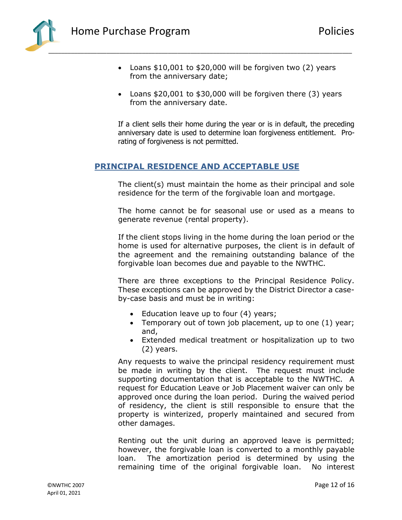

- Loans \$10,001 to \$20,000 will be forgiven two (2) years from the anniversary date;
- Loans \$20,001 to \$30,000 will be forgiven there (3) years from the anniversary date.

If a client sells their home during the year or is in default, the preceding anniversary date is used to determine loan forgiveness entitlement. Prorating of forgiveness is not permitted.

### <span id="page-90-0"></span>**PRINCIPAL RESIDENCE AND ACCEPTABLE USE**

The client(s) must maintain the home as their principal and sole residence for the term of the forgivable loan and mortgage.

The home cannot be for seasonal use or used as a means to generate revenue (rental property).

If the client stops living in the home during the loan period or the home is used for alternative purposes, the client is in default of the agreement and the remaining outstanding balance of the forgivable loan becomes due and payable to the NWTHC.

There are three exceptions to the Principal Residence Policy. These exceptions can be approved by the District Director a caseby-case basis and must be in writing:

- Education leave up to four (4) years;
- Temporary out of town job placement, up to one (1) year; and,
- Extended medical treatment or hospitalization up to two (2) years.

Any requests to waive the principal residency requirement must be made in writing by the client. The request must include supporting documentation that is acceptable to the NWTHC. A request for Education Leave or Job Placement waiver can only be approved once during the loan period. During the waived period of residency, the client is still responsible to ensure that the property is winterized, properly maintained and secured from other damages.

Renting out the unit during an approved leave is permitted; however, the forgivable loan is converted to a monthly payable loan. The amortization period is determined by using the remaining time of the original forgivable loan. No interest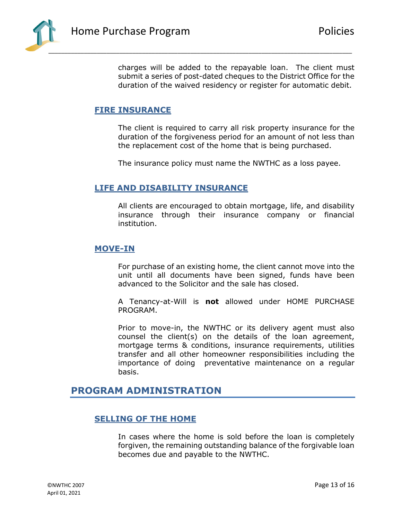

charges will be added to the repayable loan. The client must submit a series of post-dated cheques to the District Office for the duration of the waived residency or register for automatic debit.

<span id="page-91-0"></span>\_\_\_\_\_\_\_\_\_\_\_\_\_\_\_\_\_\_\_\_\_\_\_\_\_\_\_\_\_\_\_\_\_\_\_\_\_\_\_\_\_\_\_\_\_\_\_\_\_\_\_\_\_\_\_\_\_\_\_\_\_\_\_\_\_\_\_\_\_\_\_\_\_\_\_\_\_\_\_\_\_\_\_\_\_\_\_\_\_\_\_\_\_\_

### **FIRE INSURANCE**

The client is required to carry all risk property insurance for the duration of the forgiveness period for an amount of not less than the replacement cost of the home that is being purchased.

The insurance policy must name the NWTHC as a loss payee.

### <span id="page-91-1"></span>**LIFE AND DISABILITY INSURANCE**

All clients are encouraged to obtain mortgage, life, and disability insurance through their insurance company or financial institution.

### <span id="page-91-2"></span>**MOVE-IN**

For purchase of an existing home, the client cannot move into the unit until all documents have been signed, funds have been advanced to the Solicitor and the sale has closed.

A Tenancy-at-Will is **not** allowed under HOME PURCHASE PROGRAM.

Prior to move-in, the NWTHC or its delivery agent must also counsel the client(s) on the details of the loan agreement, mortgage terms & conditions, insurance requirements, utilities transfer and all other homeowner responsibilities including the importance of doing preventative maintenance on a regular basis.

# <span id="page-91-4"></span><span id="page-91-3"></span>**PROGRAM ADMINISTRATION**

### **SELLING OF THE HOME**

In cases where the home is sold before the loan is completely forgiven, the remaining outstanding balance of the forgivable loan becomes due and payable to the NWTHC.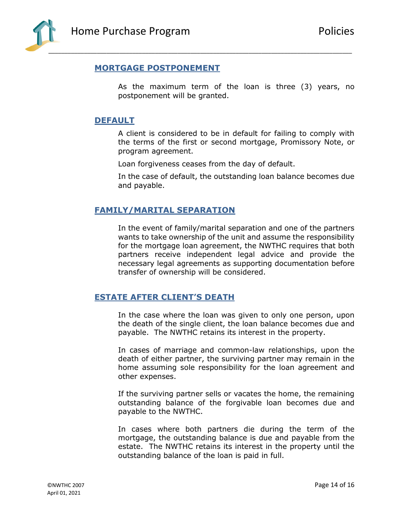

## <span id="page-92-0"></span>**MORTGAGE POSTPONEMENT**

As the maximum term of the loan is three (3) years, no postponement will be granted.

### <span id="page-92-1"></span>**DEFAULT**

A client is considered to be in default for failing to comply with the terms of the first or second mortgage, Promissory Note, or program agreement.

Loan forgiveness ceases from the day of default.

In the case of default, the outstanding loan balance becomes due and payable.

### <span id="page-92-2"></span>**FAMILY/MARITAL SEPARATION**

In the event of family/marital separation and one of the partners wants to take ownership of the unit and assume the responsibility for the mortgage loan agreement, the NWTHC requires that both partners receive independent legal advice and provide the necessary legal agreements as supporting documentation before transfer of ownership will be considered.

### <span id="page-92-3"></span>**ESTATE AFTER CLIENT'S DEATH**

In the case where the loan was given to only one person, upon the death of the single client, the loan balance becomes due and payable. The NWTHC retains its interest in the property.

In cases of marriage and common-law relationships, upon the death of either partner, the surviving partner may remain in the home assuming sole responsibility for the loan agreement and other expenses.

If the surviving partner sells or vacates the home, the remaining outstanding balance of the forgivable loan becomes due and payable to the NWTHC.

In cases where both partners die during the term of the mortgage, the outstanding balance is due and payable from the estate. The NWTHC retains its interest in the property until the outstanding balance of the loan is paid in full.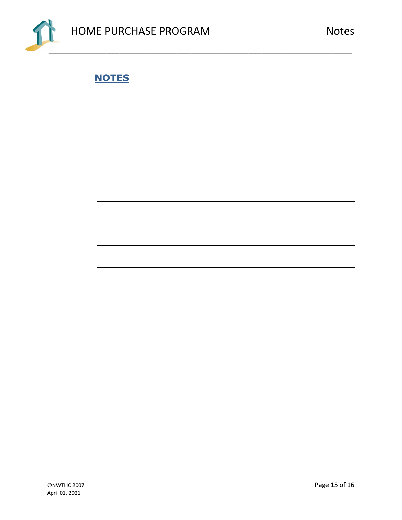

<span id="page-93-0"></span>

| <b>NOTES</b> |  |  |  |  |  |
|--------------|--|--|--|--|--|
|              |  |  |  |  |  |
|              |  |  |  |  |  |
|              |  |  |  |  |  |
|              |  |  |  |  |  |
|              |  |  |  |  |  |
|              |  |  |  |  |  |
|              |  |  |  |  |  |
|              |  |  |  |  |  |
|              |  |  |  |  |  |
|              |  |  |  |  |  |
|              |  |  |  |  |  |
|              |  |  |  |  |  |
|              |  |  |  |  |  |
|              |  |  |  |  |  |
|              |  |  |  |  |  |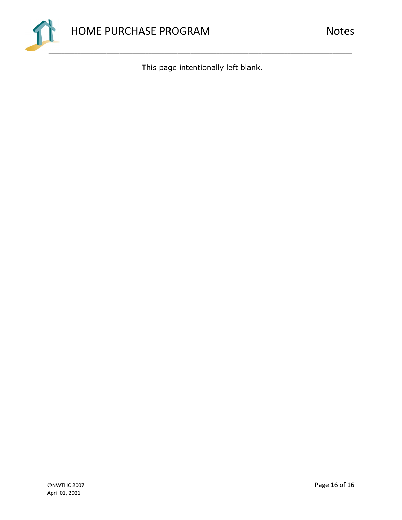

This page intentionally left blank.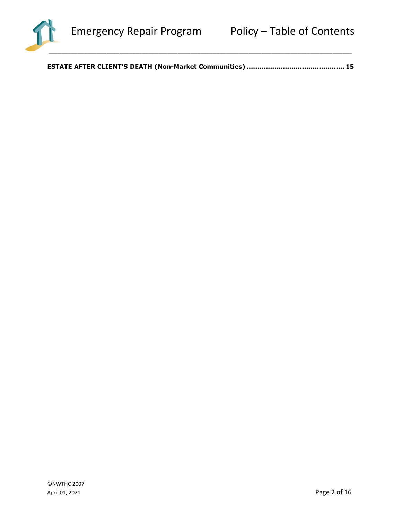

|--|--|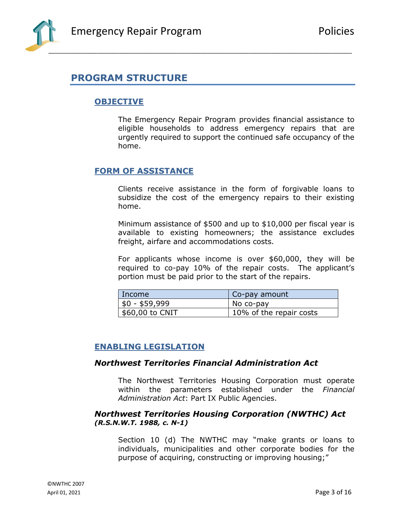

# <span id="page-97-1"></span><span id="page-97-0"></span>**PROGRAM STRUCTURE**

### **OBJECTIVE**

The Emergency Repair Program provides financial assistance to eligible households to address emergency repairs that are urgently required to support the continued safe occupancy of the home.

### <span id="page-97-2"></span>**FORM OF ASSISTANCE**

Clients receive assistance in the form of forgivable loans to subsidize the cost of the emergency repairs to their existing home.

Minimum assistance of \$500 and up to \$10,000 per fiscal year is available to existing homeowners; the assistance excludes freight, airfare and accommodations costs.

For applicants whose income is over \$60,000, they will be required to co-pay 10% of the repair costs. The applicant's portion must be paid prior to the start of the repairs.

| . Income        | Co-pay amount           |
|-----------------|-------------------------|
| $$0 - $59,999$  | No co-pay               |
| \$60,00 to CNIT | 10% of the repair costs |

### <span id="page-97-3"></span>**ENABLING LEGISLATION**

### *Northwest Territories Financial Administration Act*

The Northwest Territories Housing Corporation must operate within the parameters established under the *Financial Administration Act*: Part IX Public Agencies.

#### *Northwest Territories Housing Corporation (NWTHC) Act (R.S.N.W.T. 1988, c. N-1)*

Section 10 (d) The NWTHC may "make grants or loans to individuals, municipalities and other corporate bodies for the purpose of acquiring, constructing or improving housing;"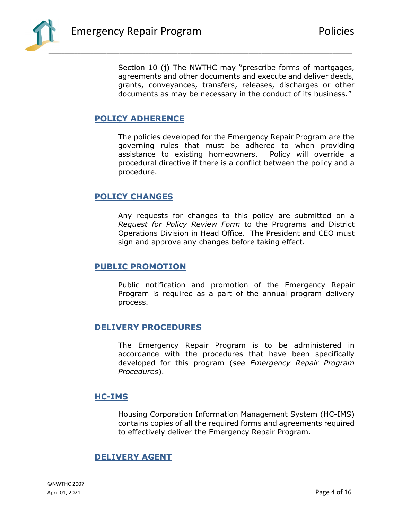Section 10 (j) The NWTHC may "prescribe forms of mortgages, agreements and other documents and execute and deliver deeds, grants, conveyances, transfers, releases, discharges or other documents as may be necessary in the conduct of its business."

\_\_\_\_\_\_\_\_\_\_\_\_\_\_\_\_\_\_\_\_\_\_\_\_\_\_\_\_\_\_\_\_\_\_\_\_\_\_\_\_\_\_\_\_\_\_\_\_\_\_\_\_\_\_\_\_\_\_\_\_\_\_\_\_\_\_\_\_\_\_\_\_\_\_\_\_\_\_\_\_\_\_\_\_\_\_\_\_\_\_\_\_\_\_

### <span id="page-98-0"></span>**POLICY ADHERENCE**

The policies developed for the Emergency Repair Program are the governing rules that must be adhered to when providing assistance to existing homeowners. Policy will override a procedural directive if there is a conflict between the policy and a procedure.

### <span id="page-98-1"></span>**POLICY CHANGES**

Any requests for changes to this policy are submitted on a *Request for Policy Review Form* to the Programs and District Operations Division in Head Office. The President and CEO must sign and approve any changes before taking effect.

### <span id="page-98-2"></span>**PUBLIC PROMOTION**

Public notification and promotion of the Emergency Repair Program is required as a part of the annual program delivery process.

#### <span id="page-98-3"></span>**DELIVERY PROCEDURES**

The Emergency Repair Program is to be administered in accordance with the procedures that have been specifically developed for this program (*see Emergency Repair Program Procedures*).

### <span id="page-98-4"></span>**HC-IMS**

Housing Corporation Information Management System (HC-IMS) contains copies of all the required forms and agreements required to effectively deliver the Emergency Repair Program.

#### <span id="page-98-5"></span>**DELIVERY AGENT**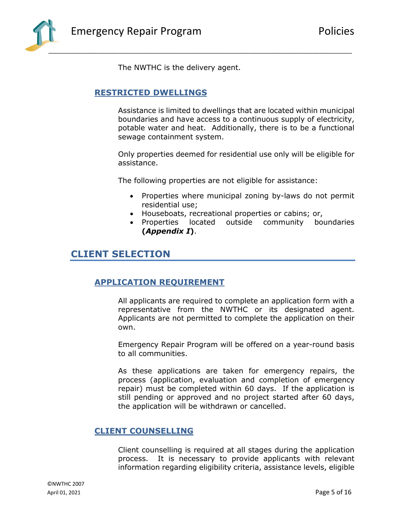The NWTHC is the delivery agent.

<span id="page-99-0"></span>\_\_\_\_\_\_\_\_\_\_\_\_\_\_\_\_\_\_\_\_\_\_\_\_\_\_\_\_\_\_\_\_\_\_\_\_\_\_\_\_\_\_\_\_\_\_\_\_\_\_\_\_\_\_\_\_\_\_\_\_\_\_\_\_\_\_\_\_\_\_\_\_\_\_\_\_\_\_\_\_\_\_\_\_\_\_\_\_\_\_\_\_\_\_

### **RESTRICTED DWELLINGS**

Assistance is limited to dwellings that are located within municipal boundaries and have access to a continuous supply of electricity, potable water and heat. Additionally, there is to be a functional sewage containment system.

Only properties deemed for residential use only will be eligible for assistance.

The following properties are not eligible for assistance:

- Properties where municipal zoning by-laws do not permit residential use;
- Houseboats, recreational properties or cabins; or,
- Properties located outside community boundaries **(***Appendix I***)**.

# <span id="page-99-2"></span><span id="page-99-1"></span>**CLIENT SELECTION**

### **APPLICATION REQUIREMENT**

All applicants are required to complete an application form with a representative from the NWTHC or its designated agent. Applicants are not permitted to complete the application on their own.

Emergency Repair Program will be offered on a year-round basis to all communities.

As these applications are taken for emergency repairs, the process (application, evaluation and completion of emergency repair) must be completed within 60 days. If the application is still pending or approved and no project started after 60 days, the application will be withdrawn or cancelled.

### <span id="page-99-3"></span>**CLIENT COUNSELLING**

Client counselling is required at all stages during the application process. It is necessary to provide applicants with relevant information regarding eligibility criteria, assistance levels, eligible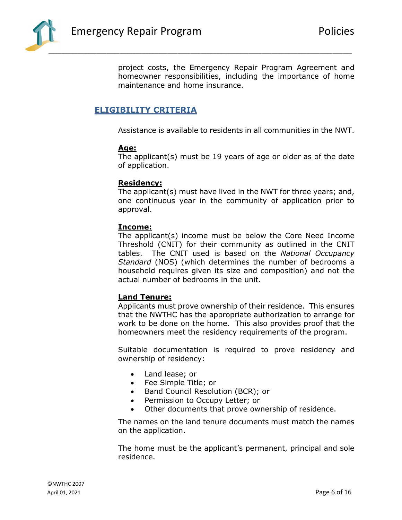project costs, the Emergency Repair Program Agreement and homeowner responsibilities, including the importance of home maintenance and home insurance.

<span id="page-100-0"></span>\_\_\_\_\_\_\_\_\_\_\_\_\_\_\_\_\_\_\_\_\_\_\_\_\_\_\_\_\_\_\_\_\_\_\_\_\_\_\_\_\_\_\_\_\_\_\_\_\_\_\_\_\_\_\_\_\_\_\_\_\_\_\_\_\_\_\_\_\_\_\_\_\_\_\_\_\_\_\_\_\_\_\_\_\_\_\_\_\_\_\_\_\_\_

# **ELIGIBILITY CRITERIA**

Assistance is available to residents in all communities in the NWT.

#### **Age:**

The applicant(s) must be 19 years of age or older as of the date of application.

#### **Residency:**

The applicant(s) must have lived in the NWT for three years; and, one continuous year in the community of application prior to approval.

#### **Income:**

The applicant(s) income must be below the Core Need Income Threshold (CNIT) for their community as outlined in the CNIT tables. The CNIT used is based on the *National Occupancy Standard* (NOS) (which determines the number of bedrooms a household requires given its size and composition) and not the actual number of bedrooms in the unit.

#### **Land Tenure:**

Applicants must prove ownership of their residence. This ensures that the NWTHC has the appropriate authorization to arrange for work to be done on the home. This also provides proof that the homeowners meet the residency requirements of the program.

Suitable documentation is required to prove residency and ownership of residency:

- Land lease; or
- Fee Simple Title; or
- Band Council Resolution (BCR); or
- Permission to Occupy Letter; or
- Other documents that prove ownership of residence.

The names on the land tenure documents must match the names on the application.

The home must be the applicant's permanent, principal and sole residence.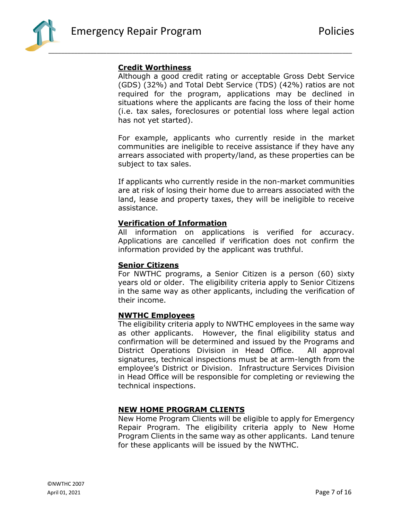

#### **Credit Worthiness**

Although a good credit rating or acceptable Gross Debt Service (GDS) (32%) and Total Debt Service (TDS) (42%) ratios are not required for the program, applications may be declined in situations where the applicants are facing the loss of their home (i.e. tax sales, foreclosures or potential loss where legal action has not yet started).

For example, applicants who currently reside in the market communities are ineligible to receive assistance if they have any arrears associated with property/land, as these properties can be subject to tax sales.

If applicants who currently reside in the non-market communities are at risk of losing their home due to arrears associated with the land, lease and property taxes, they will be ineligible to receive assistance.

#### **Verification of Information**

All information on applications is verified for accuracy. Applications are cancelled if verification does not confirm the information provided by the applicant was truthful.

#### **Senior Citizens**

For NWTHC programs, a Senior Citizen is a person (60) sixty years old or older. The eligibility criteria apply to Senior Citizens in the same way as other applicants, including the verification of their income.

#### **NWTHC Employees**

The eligibility criteria apply to NWTHC employees in the same way as other applicants. However, the final eligibility status and confirmation will be determined and issued by the Programs and District Operations Division in Head Office. All approval signatures, technical inspections must be at arm-length from the employee's District or Division. Infrastructure Services Division in Head Office will be responsible for completing or reviewing the technical inspections.

### **NEW HOME PROGRAM CLIENTS**

New Home Program Clients will be eligible to apply for Emergency Repair Program. The eligibility criteria apply to New Home Program Clients in the same way as other applicants. Land tenure for these applicants will be issued by the NWTHC.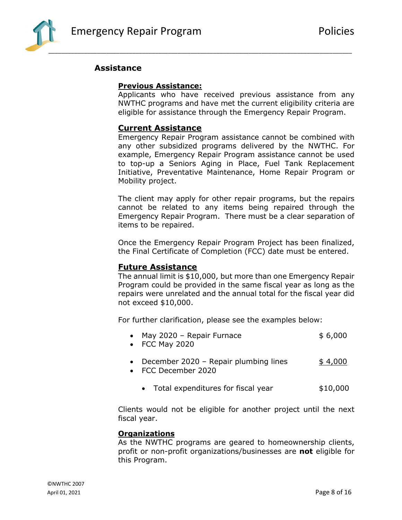

### **Assistance**

#### **Previous Assistance:**

Applicants who have received previous assistance from any NWTHC programs and have met the current eligibility criteria are eligible for assistance through the Emergency Repair Program.

#### **Current Assistance**

Emergency Repair Program assistance cannot be combined with any other subsidized programs delivered by the NWTHC. For example, Emergency Repair Program assistance cannot be used to top-up a Seniors Aging in Place, Fuel Tank Replacement Initiative, Preventative Maintenance, Home Repair Program or Mobility project.

The client may apply for other repair programs, but the repairs cannot be related to any items being repaired through the Emergency Repair Program. There must be a clear separation of items to be repaired.

Once the Emergency Repair Program Project has been finalized, the Final Certificate of Completion (FCC) date must be entered.

### **Future Assistance**

The annual limit is \$10,000, but more than one Emergency Repair Program could be provided in the same fiscal year as long as the repairs were unrelated and the annual total for the fiscal year did not exceed \$10,000.

For further clarification, please see the examples below:

|  | May 2020 - Repair Furnace | \$6,000 |
|--|---------------------------|---------|
|--|---------------------------|---------|

- FCC May 2020
- December 2020 Repair plumbing lines  $$4,000$
- FCC December 2020
	- Total expenditures for fiscal year \$10,000

Clients would not be eligible for another project until the next fiscal year.

#### **Organizations**

As the NWTHC programs are geared to homeownership clients, profit or non-profit organizations/businesses are **not** eligible for this Program.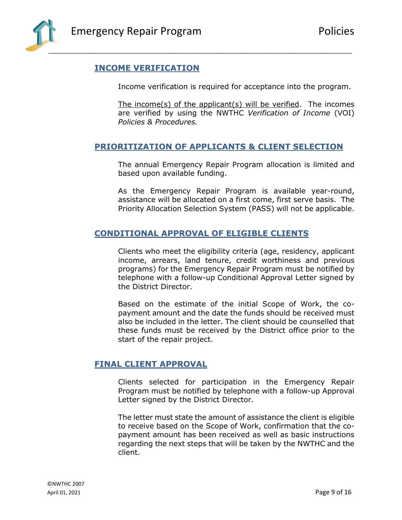

# <span id="page-103-0"></span>**INCOME VERIFICATION**

Income verification is required for acceptance into the program.

The income(s) of the applicant(s) will be verified. The incomes are verified by using the NWTHC *Verification of Income* (VOI) *Policies & Procedures.*

## <span id="page-103-1"></span>**PRIORITIZATION OF APPLICANTS & CLIENT SELECTION**

The annual Emergency Repair Program allocation is limited and based upon available funding.

As the Emergency Repair Program is available year-round, assistance will be allocated on a first come, first serve basis. The Priority Allocation Selection System (PASS) will not be applicable.

## <span id="page-103-2"></span>**CONDITIONAL APPROVAL OF ELIGIBLE CLIENTS**

Clients who meet the eligibility criteria (age, residency, applicant income, arrears, land tenure, credit worthiness and previous programs) for the Emergency Repair Program must be notified by telephone with a follow-up Conditional Approval Letter signed by the District Director.

Based on the estimate of the initial Scope of Work, the copayment amount and the date the funds should be received must also be included in the letter. The client should be counselled that these funds must be received by the District office prior to the start of the repair project.

### <span id="page-103-3"></span>**FINAL CLIENT APPROVAL**

Clients selected for participation in the Emergency Repair Program must be notified by telephone with a follow-up Approval Letter signed by the District Director.

The letter must state the amount of assistance the client is eligible to receive based on the Scope of Work, confirmation that the copayment amount has been received as well as basic instructions regarding the next steps that will be taken by the NWTHC and the client.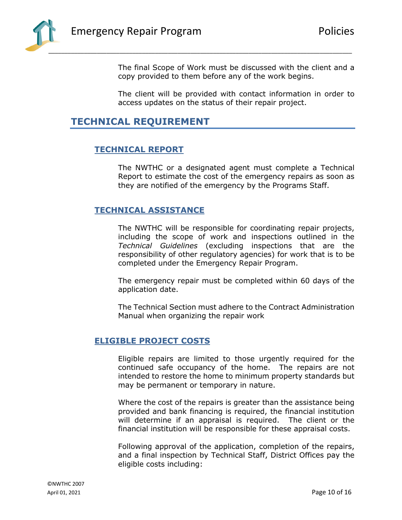The final Scope of Work must be discussed with the client and a copy provided to them before any of the work begins.

\_\_\_\_\_\_\_\_\_\_\_\_\_\_\_\_\_\_\_\_\_\_\_\_\_\_\_\_\_\_\_\_\_\_\_\_\_\_\_\_\_\_\_\_\_\_\_\_\_\_\_\_\_\_\_\_\_\_\_\_\_\_\_\_\_\_\_\_\_\_\_\_\_\_\_\_\_\_\_\_\_\_\_\_\_\_\_\_\_\_\_\_\_\_

The client will be provided with contact information in order to access updates on the status of their repair project.

# <span id="page-104-1"></span><span id="page-104-0"></span>**TECHNICAL REQUIREMENT**

### **TECHNICAL REPORT**

The NWTHC or a designated agent must complete a Technical Report to estimate the cost of the emergency repairs as soon as they are notified of the emergency by the Programs Staff.

### <span id="page-104-2"></span>**TECHNICAL ASSISTANCE**

The NWTHC will be responsible for coordinating repair projects, including the scope of work and inspections outlined in the *Technical Guidelines* (excluding inspections that are the responsibility of other regulatory agencies) for work that is to be completed under the Emergency Repair Program.

The emergency repair must be completed within 60 days of the application date.

The Technical Section must adhere to the Contract Administration Manual when organizing the repair work

### <span id="page-104-3"></span>**ELIGIBLE PROJECT COSTS**

Eligible repairs are limited to those urgently required for the continued safe occupancy of the home. The repairs are not intended to restore the home to minimum property standards but may be permanent or temporary in nature.

Where the cost of the repairs is greater than the assistance being provided and bank financing is required, the financial institution will determine if an appraisal is required. The client or the financial institution will be responsible for these appraisal costs.

Following approval of the application, completion of the repairs, and a final inspection by Technical Staff, District Offices pay the eligible costs including: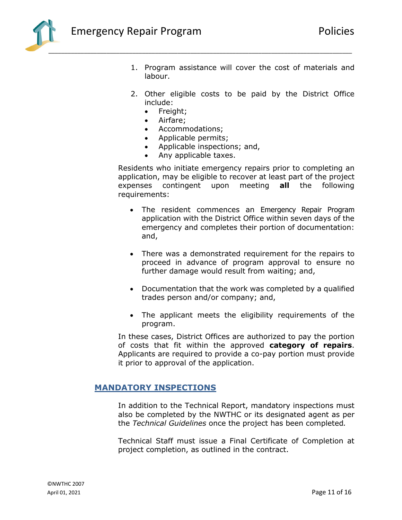

- 1. Program assistance will cover the cost of materials and labour.
- 2. Other eligible costs to be paid by the District Office include:
	- Freight;
	- Airfare;
	- Accommodations;
	- Applicable permits;
	- Applicable inspections; and,

\_\_\_\_\_\_\_\_\_\_\_\_\_\_\_\_\_\_\_\_\_\_\_\_\_\_\_\_\_\_\_\_\_\_\_\_\_\_\_\_\_\_\_\_\_\_\_\_\_\_\_\_\_\_\_\_\_\_\_\_\_\_\_\_\_\_\_\_\_\_\_\_\_\_\_\_\_\_\_\_\_\_\_\_\_\_\_\_\_\_\_\_\_\_

• Any applicable taxes.

Residents who initiate emergency repairs prior to completing an application, may be eligible to recover at least part of the project expenses contingent upon meeting **all** the following requirements:

- The resident commences an Emergency Repair Program application with the District Office within seven days of the emergency and completes their portion of documentation: and,
- There was a demonstrated requirement for the repairs to proceed in advance of program approval to ensure no further damage would result from waiting; and,
- Documentation that the work was completed by a qualified trades person and/or company; and,
- The applicant meets the eligibility requirements of the program.

In these cases, District Offices are authorized to pay the portion of costs that fit within the approved **category of repairs**. Applicants are required to provide a co-pay portion must provide it prior to approval of the application.

### <span id="page-105-0"></span>**MANDATORY INSPECTIONS**

In addition to the Technical Report, mandatory inspections must also be completed by the NWTHC or its designated agent as per the *Technical Guidelines* once the project has been completed*.* 

Technical Staff must issue a Final Certificate of Completion at project completion, as outlined in the contract.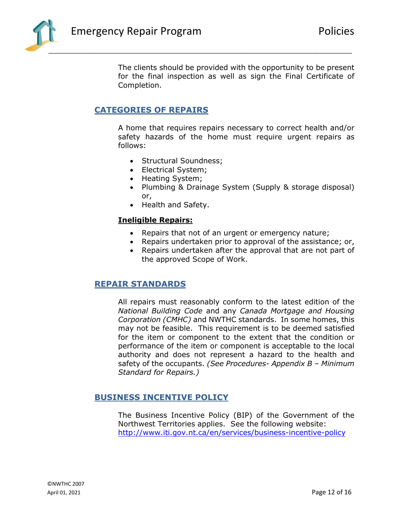

The clients should be provided with the opportunity to be present for the final inspection as well as sign the Final Certificate of Completion.

# <span id="page-106-0"></span>**CATEGORIES OF REPAIRS**

A home that requires repairs necessary to correct health and/or safety hazards of the home must require urgent repairs as follows:

- Structural Soundness;
- Electrical System;
- Heating System;
- Plumbing & Drainage System (Supply & storage disposal) or,
- Health and Safety.

### **Ineligible Repairs:**

- Repairs that not of an urgent or emergency nature;
- Repairs undertaken prior to approval of the assistance; or,
- Repairs undertaken after the approval that are not part of the approved Scope of Work.

### <span id="page-106-1"></span>**REPAIR STANDARDS**

All repairs must reasonably conform to the latest edition of the *National Building Code* and any *Canada Mortgage and Housing Corporation (CMHC)* and NWTHC standards. In some homes, this may not be feasible. This requirement is to be deemed satisfied for the item or component to the extent that the condition or performance of the item or component is acceptable to the local authority and does not represent a hazard to the health and safety of the occupants. *(See Procedures- Appendix B – Minimum Standard for Repairs.)*

### <span id="page-106-2"></span>**BUSINESS INCENTIVE POLICY**

The Business Incentive Policy (BIP) of the Government of the Northwest Territories applies. See the following website: <http://www.iti.gov.nt.ca/en/services/business-incentive-policy>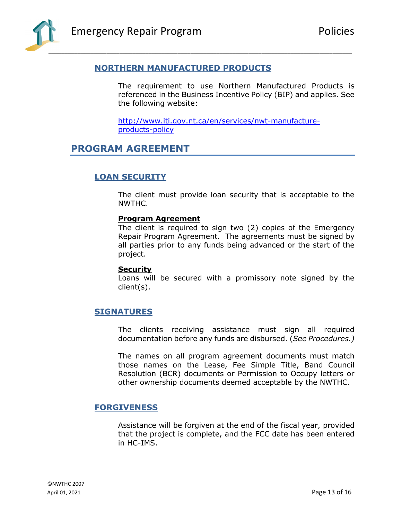

### <span id="page-107-0"></span>**NORTHERN MANUFACTURED PRODUCTS**

The requirement to use Northern Manufactured Products is referenced in the Business Incentive Policy (BIP) and applies. See the following website:

[http://www.iti.gov.nt.ca/en/services/nwt-manufacture](http://www.iti.gov.nt.ca/en/services/nwt-manufacture-products-policy)[products-policy](http://www.iti.gov.nt.ca/en/services/nwt-manufacture-products-policy)

# <span id="page-107-2"></span><span id="page-107-1"></span>**PROGRAM AGREEMENT**

### **LOAN SECURITY**

The client must provide loan security that is acceptable to the NWTHC.

#### **Program Agreement**

The client is required to sign two (2) copies of the Emergency Repair Program Agreement. The agreements must be signed by all parties prior to any funds being advanced or the start of the project.

#### **Security**

Loans will be secured with a promissory note signed by the client(s).

### <span id="page-107-3"></span>**SIGNATURES**

The clients receiving assistance must sign all required documentation before any funds are disbursed. (*See Procedures.)*

The names on all program agreement documents must match those names on the Lease, Fee Simple Title, Band Council Resolution (BCR) documents or Permission to Occupy letters or other ownership documents deemed acceptable by the NWTHC.

### <span id="page-107-4"></span>**FORGIVENESS**

Assistance will be forgiven at the end of the fiscal year, provided that the project is complete, and the FCC date has been entered in HC-IMS.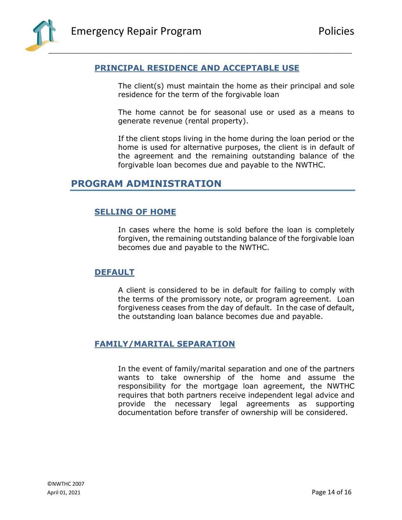

### **PRINCIPAL RESIDENCE AND ACCEPTABLE USE**

The client(s) must maintain the home as their principal and sole residence for the term of the forgivable loan

The home cannot be for seasonal use or used as a means to generate revenue (rental property).

If the client stops living in the home during the loan period or the home is used for alternative purposes, the client is in default of the agreement and the remaining outstanding balance of the forgivable loan becomes due and payable to the NWTHC.

## **PROGRAM ADMINISTRATION**

### **SELLING OF HOME**

In cases where the home is sold before the loan is completely forgiven, the remaining outstanding balance of the forgivable loan becomes due and payable to the NWTHC.

#### **DEFAULT**

A client is considered to be in default for failing to comply with the terms of the promissory note, or program agreement. Loan forgiveness ceases from the day of default. In the case of default, the outstanding loan balance becomes due and payable.

## **FAMILY/MARITAL SEPARATION**

In the event of family/marital separation and one of the partners wants to take ownership of the home and assume the responsibility for the mortgage loan agreement, the NWTHC requires that both partners receive independent legal advice and provide the necessary legal agreements as supporting documentation before transfer of ownership will be considered.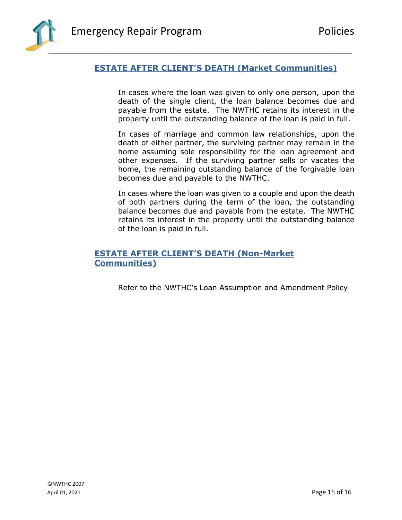

## **ESTATE AFTER CLIENT'S DEATH (Market Communities)**

In cases where the loan was given to only one person, upon the death of the single client, the loan balance becomes due and payable from the estate. The NWTHC retains its interest in the property until the outstanding balance of the loan is paid in full.

In cases of marriage and common law relationships, upon the death of either partner, the surviving partner may remain in the home assuming sole responsibility for the loan agreement and other expenses. If the surviving partner sells or vacates the home, the remaining outstanding balance of the forgivable loan becomes due and payable to the NWTHC.

In cases where the loan was given to a couple and upon the death of both partners during the term of the loan, the outstanding balance becomes due and payable from the estate. The NWTHC retains its interest in the property until the outstanding balance of the loan is paid in full.

## **ESTATE AFTER CLIENT'S DEATH (Non-Market Communities)**

Refer to the NWTHC's Loan Assumption and Amendment Policy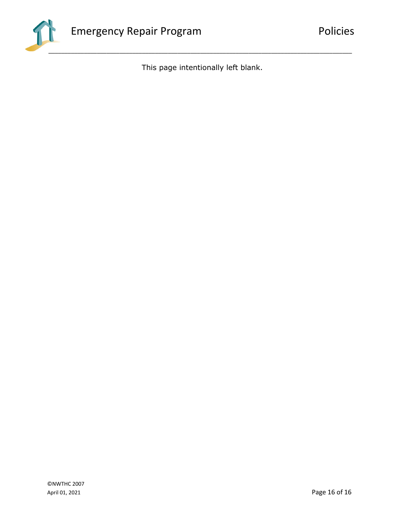

This page intentionally left blank.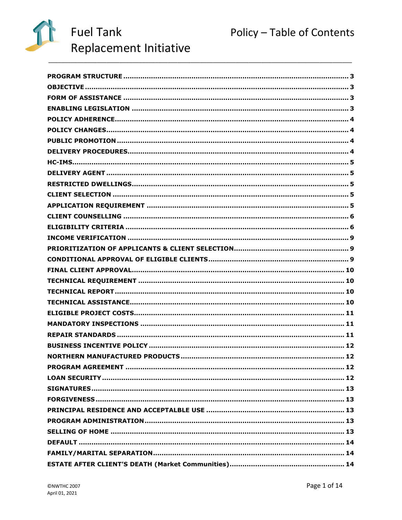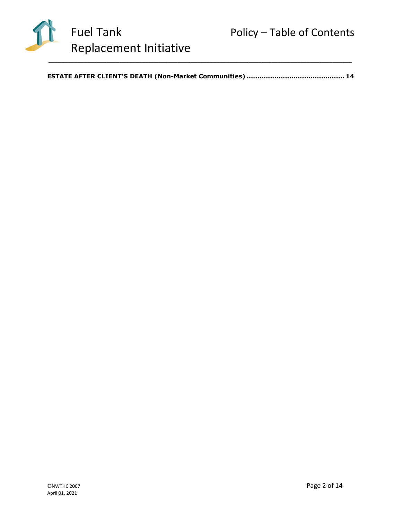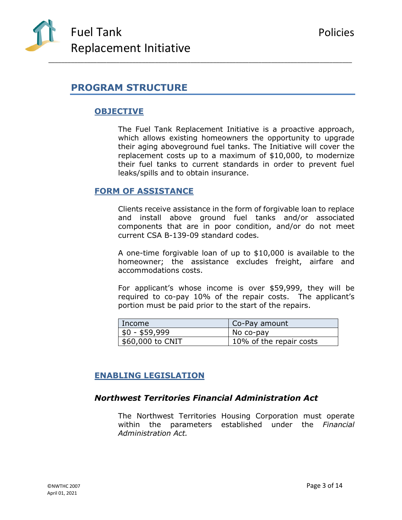

# <span id="page-113-1"></span><span id="page-113-0"></span>**PROGRAM STRUCTURE**

## **OBJECTIVE**

The Fuel Tank Replacement Initiative is a proactive approach, which allows existing homeowners the opportunity to upgrade their aging aboveground fuel tanks. The Initiative will cover the replacement costs up to a maximum of \$10,000, to modernize their fuel tanks to current standards in order to prevent fuel leaks/spills and to obtain insurance.

### <span id="page-113-2"></span>**FORM OF ASSISTANCE**

Clients receive assistance in the form of forgivable loan to replace and install above ground fuel tanks and/or associated components that are in poor condition, and/or do not meet current CSA B-139-09 standard codes.

A one-time forgivable loan of up to \$10,000 is available to the homeowner; the assistance excludes freight, airfare and accommodations costs.

For applicant's whose income is over \$59,999, they will be required to co-pay 10% of the repair costs. The applicant's portion must be paid prior to the start of the repairs.

| Income           | Co-Pay amount           |
|------------------|-------------------------|
| \$0 - \$59,999   | No co-pay               |
| \$60,000 to CNIT | 10% of the repair costs |

## <span id="page-113-3"></span>**ENABLING LEGISLATION**

#### *Northwest Territories Financial Administration Act*

The Northwest Territories Housing Corporation must operate within the parameters established under the *Financial Administration Act.*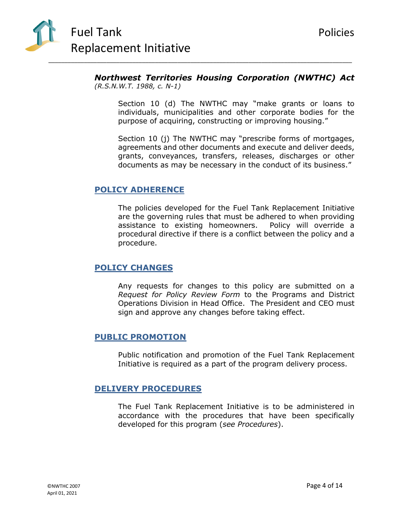

#### *Northwest Territories Housing Corporation (NWTHC) Act (R.S.N.W.T. 1988, c. N-1)*

Section 10 (d) The NWTHC may "make grants or loans to individuals, municipalities and other corporate bodies for the purpose of acquiring, constructing or improving housing."

Section 10 (j) The NWTHC may "prescribe forms of mortgages, agreements and other documents and execute and deliver deeds, grants, conveyances, transfers, releases, discharges or other documents as may be necessary in the conduct of its business."

#### <span id="page-114-0"></span>**POLICY ADHERENCE**

The policies developed for the Fuel Tank Replacement Initiative are the governing rules that must be adhered to when providing assistance to existing homeowners. Policy will override a procedural directive if there is a conflict between the policy and a procedure.

#### <span id="page-114-1"></span>**POLICY CHANGES**

Any requests for changes to this policy are submitted on a *Request for Policy Review Form* to the Programs and District Operations Division in Head Office. The President and CEO must sign and approve any changes before taking effect.

#### <span id="page-114-2"></span>**PUBLIC PROMOTION**

Public notification and promotion of the Fuel Tank Replacement Initiative is required as a part of the program delivery process.

#### <span id="page-114-3"></span>**DELIVERY PROCEDURES**

The Fuel Tank Replacement Initiative is to be administered in accordance with the procedures that have been specifically developed for this program (*see Procedures*).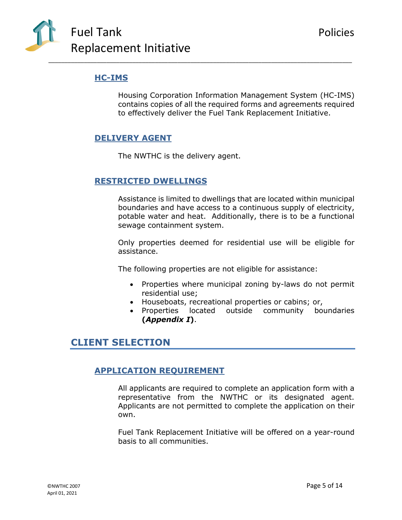

## <span id="page-115-0"></span>**HC-IMS**

Housing Corporation Information Management System (HC-IMS) contains copies of all the required forms and agreements required to effectively deliver the Fuel Tank Replacement Initiative.

## <span id="page-115-1"></span>**DELIVERY AGENT**

The NWTHC is the delivery agent.

### <span id="page-115-2"></span>**RESTRICTED DWELLINGS**

Assistance is limited to dwellings that are located within municipal boundaries and have access to a continuous supply of electricity, potable water and heat. Additionally, there is to be a functional sewage containment system.

Only properties deemed for residential use will be eligible for assistance.

The following properties are not eligible for assistance:

- Properties where municipal zoning by-laws do not permit residential use;
- Houseboats, recreational properties or cabins; or,
- Properties located outside community boundaries **(***Appendix I***)**.

# <span id="page-115-4"></span><span id="page-115-3"></span>**CLIENT SELECTION**

## **APPLICATION REQUIREMENT**

All applicants are required to complete an application form with a representative from the NWTHC or its designated agent. Applicants are not permitted to complete the application on their own.

Fuel Tank Replacement Initiative will be offered on a year-round basis to all communities.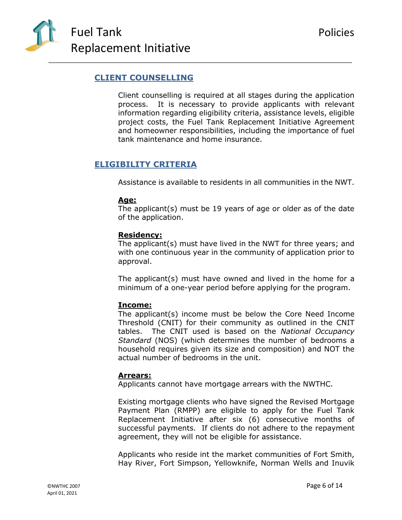

## <span id="page-116-0"></span>**CLIENT COUNSELLING**

Client counselling is required at all stages during the application process. It is necessary to provide applicants with relevant information regarding eligibility criteria, assistance levels, eligible project costs, the Fuel Tank Replacement Initiative Agreement and homeowner responsibilities, including the importance of fuel tank maintenance and home insurance.

## <span id="page-116-1"></span>**ELIGIBILITY CRITERIA**

Assistance is available to residents in all communities in the NWT.

#### **Age:**

The applicant(s) must be 19 years of age or older as of the date of the application.

#### **Residency:**

The applicant(s) must have lived in the NWT for three years; and with one continuous year in the community of application prior to approval.

The applicant(s) must have owned and lived in the home for a minimum of a one-year period before applying for the program.

#### **Income:**

The applicant(s) income must be below the Core Need Income Threshold (CNIT) for their community as outlined in the CNIT tables. The CNIT used is based on the *National Occupancy Standard* (NOS) (which determines the number of bedrooms a household requires given its size and composition) and NOT the actual number of bedrooms in the unit.

#### **Arrears:**

Applicants cannot have mortgage arrears with the NWTHC.

Existing mortgage clients who have signed the Revised Mortgage Payment Plan (RMPP) are eligible to apply for the Fuel Tank Replacement Initiative after six (6) consecutive months of successful payments. If clients do not adhere to the repayment agreement, they will not be eligible for assistance.

Applicants who reside int the market communities of Fort Smith, Hay River, Fort Simpson, Yellowknife, Norman Wells and Inuvik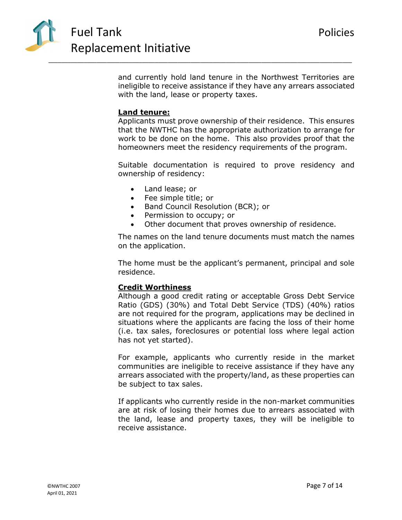

and currently hold land tenure in the Northwest Territories are ineligible to receive assistance if they have any arrears associated with the land, lease or property taxes.

#### **Land tenure:**

Applicants must prove ownership of their residence. This ensures that the NWTHC has the appropriate authorization to arrange for work to be done on the home. This also provides proof that the homeowners meet the residency requirements of the program.

Suitable documentation is required to prove residency and ownership of residency:

- Land lease; or
- Fee simple title; or
- Band Council Resolution (BCR); or
- Permission to occupy; or
- Other document that proves ownership of residence.

The names on the land tenure documents must match the names on the application.

The home must be the applicant's permanent, principal and sole residence.

#### **Credit Worthiness**

Although a good credit rating or acceptable Gross Debt Service Ratio (GDS) (30%) and Total Debt Service (TDS) (40%) ratios are not required for the program, applications may be declined in situations where the applicants are facing the loss of their home (i.e. tax sales, foreclosures or potential loss where legal action has not yet started).

For example, applicants who currently reside in the market communities are ineligible to receive assistance if they have any arrears associated with the property/land, as these properties can be subject to tax sales.

If applicants who currently reside in the non-market communities are at risk of losing their homes due to arrears associated with the land, lease and property taxes, they will be ineligible to receive assistance.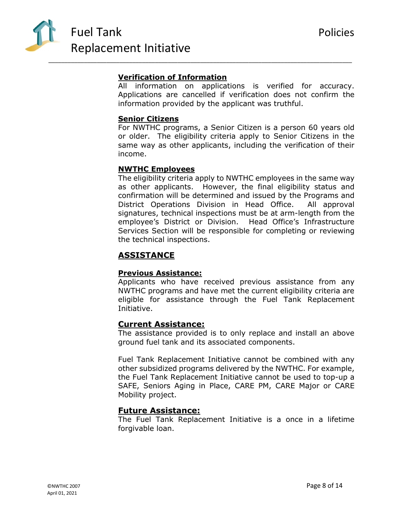

## **Verification of Information**

All information on applications is verified for accuracy. Applications are cancelled if verification does not confirm the information provided by the applicant was truthful.

### **Senior Citizens**

For NWTHC programs, a Senior Citizen is a person 60 years old or older. The eligibility criteria apply to Senior Citizens in the same way as other applicants, including the verification of their income.

### **NWTHC Employees**

The eligibility criteria apply to NWTHC employees in the same way as other applicants. However, the final eligibility status and confirmation will be determined and issued by the Programs and District Operations Division in Head Office. All approval signatures, technical inspections must be at arm-length from the employee's District or Division. Head Office's Infrastructure Services Section will be responsible for completing or reviewing the technical inspections.

## **ASSISTANCE**

#### **Previous Assistance:**

Applicants who have received previous assistance from any NWTHC programs and have met the current eligibility criteria are eligible for assistance through the Fuel Tank Replacement Initiative.

#### **Current Assistance:**

The assistance provided is to only replace and install an above ground fuel tank and its associated components.

Fuel Tank Replacement Initiative cannot be combined with any other subsidized programs delivered by the NWTHC. For example, the Fuel Tank Replacement Initiative cannot be used to top-up a SAFE, Seniors Aging in Place, CARE PM, CARE Major or CARE Mobility project.

#### **Future Assistance:**

The Fuel Tank Replacement Initiative is a once in a lifetime forgivable loan.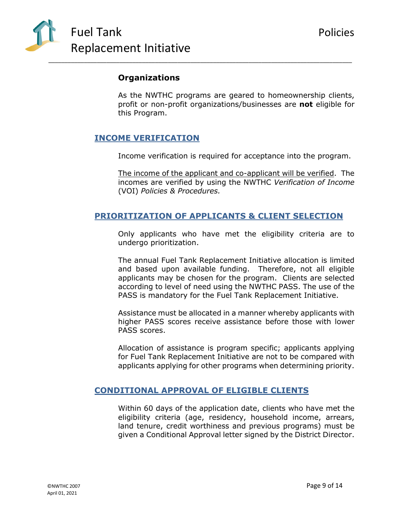

## **Organizations**

As the NWTHC programs are geared to homeownership clients, profit or non-profit organizations/businesses are **not** eligible for this Program.

## <span id="page-119-0"></span>**INCOME VERIFICATION**

Income verification is required for acceptance into the program.

The income of the applicant and co-applicant will be verified. The incomes are verified by using the NWTHC *Verification of Income*  (VOI) *Policies & Procedures.*

## <span id="page-119-1"></span>**PRIORITIZATION OF APPLICANTS & CLIENT SELECTION**

Only applicants who have met the eligibility criteria are to undergo prioritization.

The annual Fuel Tank Replacement Initiative allocation is limited and based upon available funding. Therefore, not all eligible applicants may be chosen for the program. Clients are selected according to level of need using the NWTHC PASS. The use of the PASS is mandatory for the Fuel Tank Replacement Initiative.

Assistance must be allocated in a manner whereby applicants with higher PASS scores receive assistance before those with lower PASS scores.

Allocation of assistance is program specific; applicants applying for Fuel Tank Replacement Initiative are not to be compared with applicants applying for other programs when determining priority.

## <span id="page-119-2"></span>**CONDITIONAL APPROVAL OF ELIGIBLE CLIENTS**

Within 60 days of the application date, clients who have met the eligibility criteria (age, residency, household income, arrears, land tenure, credit worthiness and previous programs) must be given a Conditional Approval letter signed by the District Director.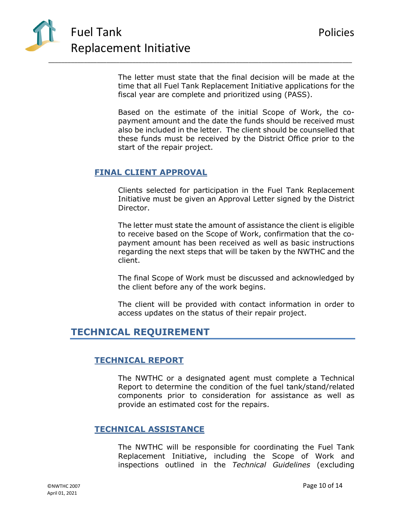

The letter must state that the final decision will be made at the time that all Fuel Tank Replacement Initiative applications for the fiscal year are complete and prioritized using (PASS).

Based on the estimate of the initial Scope of Work, the copayment amount and the date the funds should be received must also be included in the letter. The client should be counselled that these funds must be received by the District Office prior to the start of the repair project.

### <span id="page-120-0"></span>**FINAL CLIENT APPROVAL**

Clients selected for participation in the Fuel Tank Replacement Initiative must be given an Approval Letter signed by the District Director.

The letter must state the amount of assistance the client is eligible to receive based on the Scope of Work, confirmation that the copayment amount has been received as well as basic instructions regarding the next steps that will be taken by the NWTHC and the client.

The final Scope of Work must be discussed and acknowledged by the client before any of the work begins.

The client will be provided with contact information in order to access updates on the status of their repair project.

## <span id="page-120-2"></span><span id="page-120-1"></span>**TECHNICAL REQUIREMENT**

#### **TECHNICAL REPORT**

The NWTHC or a designated agent must complete a Technical Report to determine the condition of the fuel tank/stand/related components prior to consideration for assistance as well as provide an estimated cost for the repairs.

#### <span id="page-120-3"></span>**TECHNICAL ASSISTANCE**

The NWTHC will be responsible for coordinating the Fuel Tank Replacement Initiative, including the Scope of Work and inspections outlined in the *Technical Guidelines* (excluding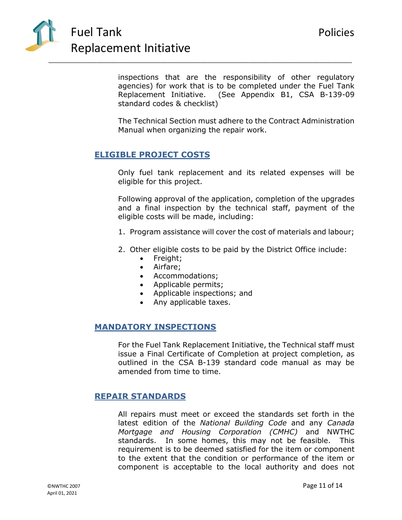

inspections that are the responsibility of other regulatory agencies) for work that is to be completed under the Fuel Tank Replacement Initiative. (See Appendix B1, CSA B-139-09 standard codes & checklist)

The Technical Section must adhere to the Contract Administration Manual when organizing the repair work.

#### <span id="page-121-0"></span>**ELIGIBLE PROJECT COSTS**

Only fuel tank replacement and its related expenses will be eligible for this project.

Following approval of the application, completion of the upgrades and a final inspection by the technical staff, payment of the eligible costs will be made, including:

- 1. Program assistance will cover the cost of materials and labour;
- 2. Other eligible costs to be paid by the District Office include:
	- Freight;
	- Airfare;
	- Accommodations;
	- Applicable permits;
	- Applicable inspections; and
	- Any applicable taxes.

#### <span id="page-121-1"></span>**MANDATORY INSPECTIONS**

For the Fuel Tank Replacement Initiative, the Technical staff must issue a Final Certificate of Completion at project completion, as outlined in the CSA B-139 standard code manual as may be amended from time to time.

#### <span id="page-121-2"></span>**REPAIR STANDARDS**

All repairs must meet or exceed the standards set forth in the latest edition of the *National Building Code* and any *Canada Mortgage and Housing Corporation (CMHC)* and NWTHC standards. In some homes, this may not be feasible. This requirement is to be deemed satisfied for the item or component to the extent that the condition or performance of the item or component is acceptable to the local authority and does not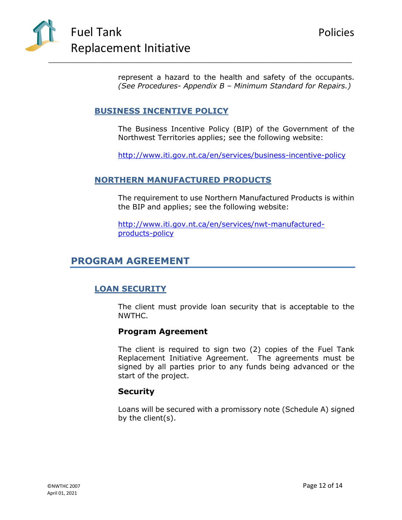

represent a hazard to the health and safety of the occupants. *(See Procedures- Appendix B – Minimum Standard for Repairs.)*

## <span id="page-122-0"></span>**BUSINESS INCENTIVE POLICY**

The Business Incentive Policy (BIP) of the Government of the Northwest Territories applies; see the following website:

<http://www.iti.gov.nt.ca/en/services/business-incentive-policy>

### <span id="page-122-1"></span>**NORTHERN MANUFACTURED PRODUCTS**

The requirement to use Northern Manufactured Products is within the BIP and applies; see the following website:

[http://www.iti.gov.nt.ca/en/services/nwt-manufactured](http://www.iti.gov.nt.ca/en/services/nwt-manufactured-products-policy)[products-policy](http://www.iti.gov.nt.ca/en/services/nwt-manufactured-products-policy)

# <span id="page-122-3"></span><span id="page-122-2"></span>**PROGRAM AGREEMENT**

## **LOAN SECURITY**

The client must provide loan security that is acceptable to the NWTHC.

#### **Program Agreement**

The client is required to sign two (2) copies of the Fuel Tank Replacement Initiative Agreement. The agreements must be signed by all parties prior to any funds being advanced or the start of the project.

#### **Security**

Loans will be secured with a promissory note (Schedule A) signed by the client(s).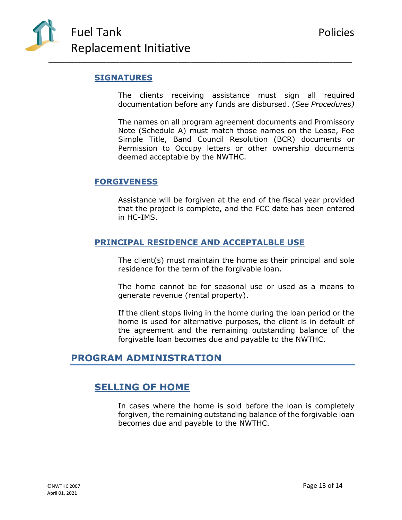

### <span id="page-123-0"></span>**SIGNATURES**

The clients receiving assistance must sign all required documentation before any funds are disbursed. (*See Procedures)*

The names on all program agreement documents and Promissory Note (Schedule A) must match those names on the Lease, Fee Simple Title, Band Council Resolution (BCR) documents or Permission to Occupy letters or other ownership documents deemed acceptable by the NWTHC.

#### <span id="page-123-1"></span>**FORGIVENESS**

Assistance will be forgiven at the end of the fiscal year provided that the project is complete, and the FCC date has been entered in HC-IMS.

### <span id="page-123-2"></span>**PRINCIPAL RESIDENCE AND ACCEPTALBLE USE**

The client(s) must maintain the home as their principal and sole residence for the term of the forgivable loan.

The home cannot be for seasonal use or used as a means to generate revenue (rental property).

If the client stops living in the home during the loan period or the home is used for alternative purposes, the client is in default of the agreement and the remaining outstanding balance of the forgivable loan becomes due and payable to the NWTHC.

## <span id="page-123-4"></span><span id="page-123-3"></span>**PROGRAM ADMINISTRATION**

# **SELLING OF HOME**

In cases where the home is sold before the loan is completely forgiven, the remaining outstanding balance of the forgivable loan becomes due and payable to the NWTHC.